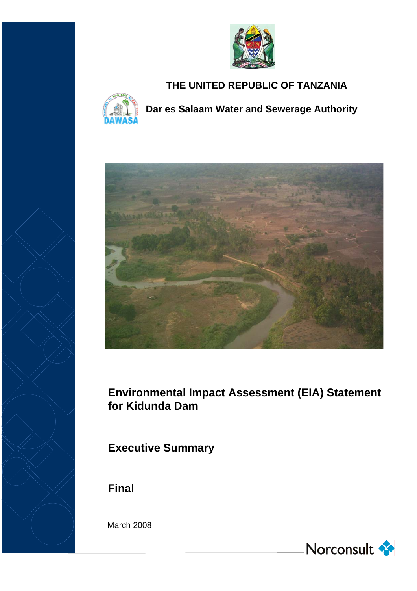

# **THE UNITED REPUBLIC OF TANZANIA**



**Dar es Salaam Water and Sewerage Authority**



**Environmental Impact Assessment (EIA) Statement for Kidunda Dam**

**Executive Summary**

**Final**

March 2008

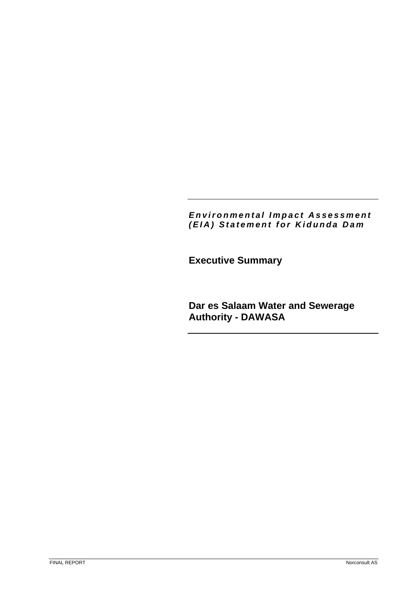# *Environmental Impact Assessment (EIA) Statement for Kidunda Dam*

**Executive Summary** 

**Dar es Salaam Water and Sewerage Authority - DAWASA**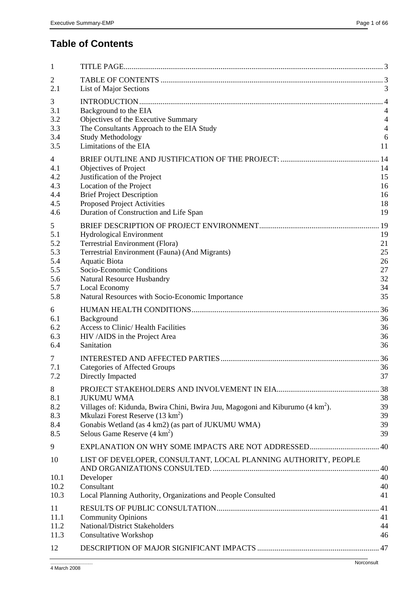# **Table of Contents**

| List of Major Sections                         | 3                                                                                                                                                                                                                                                                                                                                                                                                                                                                                                                                                                                                                                                                                                                                                                                                                                                                                                                                                                                                                                                          |
|------------------------------------------------|------------------------------------------------------------------------------------------------------------------------------------------------------------------------------------------------------------------------------------------------------------------------------------------------------------------------------------------------------------------------------------------------------------------------------------------------------------------------------------------------------------------------------------------------------------------------------------------------------------------------------------------------------------------------------------------------------------------------------------------------------------------------------------------------------------------------------------------------------------------------------------------------------------------------------------------------------------------------------------------------------------------------------------------------------------|
|                                                | $\overline{4}$                                                                                                                                                                                                                                                                                                                                                                                                                                                                                                                                                                                                                                                                                                                                                                                                                                                                                                                                                                                                                                             |
|                                                | 4<br>$\overline{4}$                                                                                                                                                                                                                                                                                                                                                                                                                                                                                                                                                                                                                                                                                                                                                                                                                                                                                                                                                                                                                                        |
|                                                | $\overline{4}$                                                                                                                                                                                                                                                                                                                                                                                                                                                                                                                                                                                                                                                                                                                                                                                                                                                                                                                                                                                                                                             |
|                                                | 6                                                                                                                                                                                                                                                                                                                                                                                                                                                                                                                                                                                                                                                                                                                                                                                                                                                                                                                                                                                                                                                          |
| Limitations of the EIA                         | 11                                                                                                                                                                                                                                                                                                                                                                                                                                                                                                                                                                                                                                                                                                                                                                                                                                                                                                                                                                                                                                                         |
|                                                | . 14                                                                                                                                                                                                                                                                                                                                                                                                                                                                                                                                                                                                                                                                                                                                                                                                                                                                                                                                                                                                                                                       |
| Objectives of Project                          | 14                                                                                                                                                                                                                                                                                                                                                                                                                                                                                                                                                                                                                                                                                                                                                                                                                                                                                                                                                                                                                                                         |
|                                                | 15                                                                                                                                                                                                                                                                                                                                                                                                                                                                                                                                                                                                                                                                                                                                                                                                                                                                                                                                                                                                                                                         |
|                                                | 16                                                                                                                                                                                                                                                                                                                                                                                                                                                                                                                                                                                                                                                                                                                                                                                                                                                                                                                                                                                                                                                         |
|                                                | 16<br>18                                                                                                                                                                                                                                                                                                                                                                                                                                                                                                                                                                                                                                                                                                                                                                                                                                                                                                                                                                                                                                                   |
|                                                | 19                                                                                                                                                                                                                                                                                                                                                                                                                                                                                                                                                                                                                                                                                                                                                                                                                                                                                                                                                                                                                                                         |
|                                                |                                                                                                                                                                                                                                                                                                                                                                                                                                                                                                                                                                                                                                                                                                                                                                                                                                                                                                                                                                                                                                                            |
|                                                | <sup>19</sup><br>19                                                                                                                                                                                                                                                                                                                                                                                                                                                                                                                                                                                                                                                                                                                                                                                                                                                                                                                                                                                                                                        |
|                                                | 21                                                                                                                                                                                                                                                                                                                                                                                                                                                                                                                                                                                                                                                                                                                                                                                                                                                                                                                                                                                                                                                         |
| Terrestrial Environment (Fauna) (And Migrants) | 25                                                                                                                                                                                                                                                                                                                                                                                                                                                                                                                                                                                                                                                                                                                                                                                                                                                                                                                                                                                                                                                         |
| <b>Aquatic Biota</b>                           | 26                                                                                                                                                                                                                                                                                                                                                                                                                                                                                                                                                                                                                                                                                                                                                                                                                                                                                                                                                                                                                                                         |
| Socio-Economic Conditions                      | 27                                                                                                                                                                                                                                                                                                                                                                                                                                                                                                                                                                                                                                                                                                                                                                                                                                                                                                                                                                                                                                                         |
|                                                | 32                                                                                                                                                                                                                                                                                                                                                                                                                                                                                                                                                                                                                                                                                                                                                                                                                                                                                                                                                                                                                                                         |
|                                                | 34<br>35                                                                                                                                                                                                                                                                                                                                                                                                                                                                                                                                                                                                                                                                                                                                                                                                                                                                                                                                                                                                                                                   |
|                                                |                                                                                                                                                                                                                                                                                                                                                                                                                                                                                                                                                                                                                                                                                                                                                                                                                                                                                                                                                                                                                                                            |
|                                                | 36<br>36                                                                                                                                                                                                                                                                                                                                                                                                                                                                                                                                                                                                                                                                                                                                                                                                                                                                                                                                                                                                                                                   |
|                                                | 36                                                                                                                                                                                                                                                                                                                                                                                                                                                                                                                                                                                                                                                                                                                                                                                                                                                                                                                                                                                                                                                         |
| HIV /AIDS in the Project Area                  | 36                                                                                                                                                                                                                                                                                                                                                                                                                                                                                                                                                                                                                                                                                                                                                                                                                                                                                                                                                                                                                                                         |
| Sanitation                                     | 36                                                                                                                                                                                                                                                                                                                                                                                                                                                                                                                                                                                                                                                                                                                                                                                                                                                                                                                                                                                                                                                         |
|                                                | . 36                                                                                                                                                                                                                                                                                                                                                                                                                                                                                                                                                                                                                                                                                                                                                                                                                                                                                                                                                                                                                                                       |
| <b>Categories of Affected Groups</b>           | 36                                                                                                                                                                                                                                                                                                                                                                                                                                                                                                                                                                                                                                                                                                                                                                                                                                                                                                                                                                                                                                                         |
|                                                | 37                                                                                                                                                                                                                                                                                                                                                                                                                                                                                                                                                                                                                                                                                                                                                                                                                                                                                                                                                                                                                                                         |
|                                                | .38                                                                                                                                                                                                                                                                                                                                                                                                                                                                                                                                                                                                                                                                                                                                                                                                                                                                                                                                                                                                                                                        |
| <b>JUKUMU WMA</b>                              | 38                                                                                                                                                                                                                                                                                                                                                                                                                                                                                                                                                                                                                                                                                                                                                                                                                                                                                                                                                                                                                                                         |
|                                                | 39                                                                                                                                                                                                                                                                                                                                                                                                                                                                                                                                                                                                                                                                                                                                                                                                                                                                                                                                                                                                                                                         |
|                                                | 39<br>39                                                                                                                                                                                                                                                                                                                                                                                                                                                                                                                                                                                                                                                                                                                                                                                                                                                                                                                                                                                                                                                   |
|                                                | 39                                                                                                                                                                                                                                                                                                                                                                                                                                                                                                                                                                                                                                                                                                                                                                                                                                                                                                                                                                                                                                                         |
|                                                |                                                                                                                                                                                                                                                                                                                                                                                                                                                                                                                                                                                                                                                                                                                                                                                                                                                                                                                                                                                                                                                            |
|                                                |                                                                                                                                                                                                                                                                                                                                                                                                                                                                                                                                                                                                                                                                                                                                                                                                                                                                                                                                                                                                                                                            |
|                                                |                                                                                                                                                                                                                                                                                                                                                                                                                                                                                                                                                                                                                                                                                                                                                                                                                                                                                                                                                                                                                                                            |
| Developer                                      | 40                                                                                                                                                                                                                                                                                                                                                                                                                                                                                                                                                                                                                                                                                                                                                                                                                                                                                                                                                                                                                                                         |
| Consultant                                     | 40                                                                                                                                                                                                                                                                                                                                                                                                                                                                                                                                                                                                                                                                                                                                                                                                                                                                                                                                                                                                                                                         |
|                                                | 41                                                                                                                                                                                                                                                                                                                                                                                                                                                                                                                                                                                                                                                                                                                                                                                                                                                                                                                                                                                                                                                         |
|                                                | .41                                                                                                                                                                                                                                                                                                                                                                                                                                                                                                                                                                                                                                                                                                                                                                                                                                                                                                                                                                                                                                                        |
|                                                | 41                                                                                                                                                                                                                                                                                                                                                                                                                                                                                                                                                                                                                                                                                                                                                                                                                                                                                                                                                                                                                                                         |
|                                                | 44<br>46                                                                                                                                                                                                                                                                                                                                                                                                                                                                                                                                                                                                                                                                                                                                                                                                                                                                                                                                                                                                                                                   |
|                                                |                                                                                                                                                                                                                                                                                                                                                                                                                                                                                                                                                                                                                                                                                                                                                                                                                                                                                                                                                                                                                                                            |
|                                                |                                                                                                                                                                                                                                                                                                                                                                                                                                                                                                                                                                                                                                                                                                                                                                                                                                                                                                                                                                                                                                                            |
|                                                | Background to the EIA<br>Objectives of the Executive Summary<br>The Consultants Approach to the EIA Study<br><b>Study Methodology</b><br>Justification of the Project<br>Location of the Project<br><b>Brief Project Description</b><br>Proposed Project Activities<br>Duration of Construction and Life Span<br><b>Hydrological Environment</b><br>Terrestrial Environment (Flora)<br><b>Natural Resource Husbandry</b><br>Local Economy<br>Natural Resources with Socio-Economic Importance<br>Background<br><b>Access to Clinic/Health Facilities</b><br>Directly Impacted<br>Villages of: Kidunda, Bwira Chini, Bwira Juu, Magogoni and Kiburumo (4 km <sup>2</sup> ).<br>Mkulazi Forest Reserve $(13 \text{ km}^2)$<br>Gonabis Wetland (as 4 km2) (as part of JUKUMU WMA)<br>Selous Game Reserve $(4 \text{ km}^2)$<br>LIST OF DEVELOPER, CONSULTANT, LOCAL PLANNING AUTHORITY, PEOPLE<br>Local Planning Authority, Organizations and People Consulted<br><b>Community Opinions</b><br>National/District Stakeholders<br><b>Consultative Workshop</b> |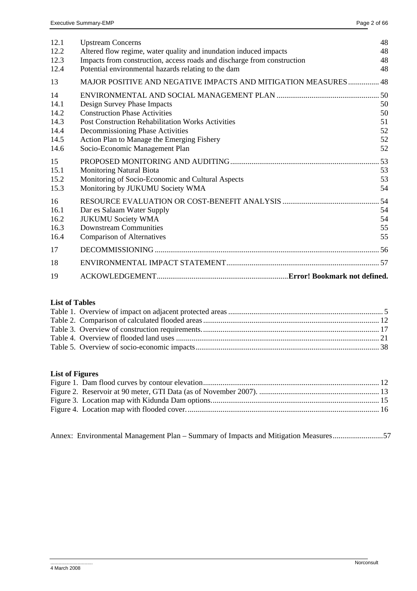| 12.1         | <b>Upstream Concerns</b>                                                     | 48       |
|--------------|------------------------------------------------------------------------------|----------|
| 12.2         | Altered flow regime, water quality and inundation induced impacts            | 48       |
| 12.3         | Impacts from construction, access roads and discharge from construction      | 48       |
| 12.4         | Potential environmental hazards relating to the dam                          | 48       |
| 13           | MAJOR POSITIVE AND NEGATIVE IMPACTS AND MITIGATION MEASURES                  | .48      |
| 14           |                                                                              |          |
| 14.1         | Design Survey Phase Impacts                                                  | 50       |
| 14.2         | <b>Construction Phase Activities</b>                                         | 50       |
| 14.3         | <b>Post Construction Rehabilitation Works Activities</b>                     | 51       |
| 14.4         | Decommissioning Phase Activities                                             | 52       |
| 14.5<br>14.6 | Action Plan to Manage the Emerging Fishery<br>Socio-Economic Management Plan | 52<br>52 |
|              |                                                                              |          |
| 15           |                                                                              | .53      |
| 15.1         | <b>Monitoring Natural Biota</b>                                              | 53       |
| 15.2         | Monitoring of Socio-Economic and Cultural Aspects                            | 53       |
| 15.3         | Monitoring by JUKUMU Society WMA                                             | 54       |
| 16           |                                                                              | 54       |
| 16.1         | Dar es Salaam Water Supply                                                   | 54       |
| 16.2         | <b>JUKUMU Society WMA</b>                                                    | 54       |
| 16.3         | <b>Downstream Communities</b>                                                | 55       |
| 16.4         | <b>Comparison of Alternatives</b>                                            | 55       |
| 17           |                                                                              |          |
| 18           |                                                                              |          |
| 19           |                                                                              |          |

# **List of Tables**

# **List of Figures**

Annex: Environmental Management Plan – Summary of Impacts and Mitigation Measures..........................57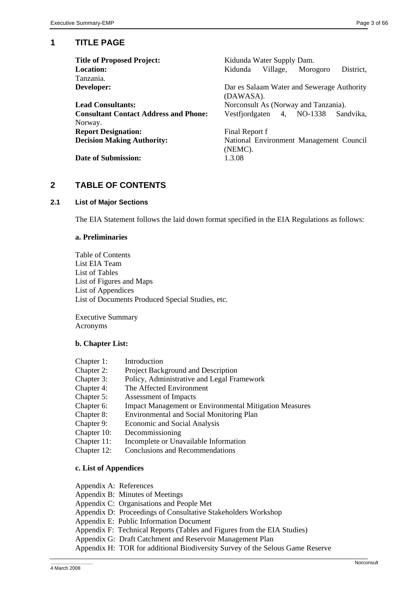# **1 TITLE PAGE**

| <b>Title of Proposed Project:</b>            | Kidunda Water Supply Dam.                               |  |  |  |  |
|----------------------------------------------|---------------------------------------------------------|--|--|--|--|
| <b>Location:</b>                             | Village,<br>District.<br>Morogoro<br>Kidunda            |  |  |  |  |
| Tanzania.                                    |                                                         |  |  |  |  |
| Developer:                                   | Dar es Salaam Water and Sewerage Authority<br>(DAWASA). |  |  |  |  |
| <b>Lead Consultants:</b>                     | Norconsult As (Norway and Tanzania).                    |  |  |  |  |
| <b>Consultant Contact Address and Phone:</b> | 4, NO-1338<br>Vestfjordgaten<br>Sandvika.               |  |  |  |  |
| Norway.                                      |                                                         |  |  |  |  |
| <b>Report Designation:</b>                   | Final Report f                                          |  |  |  |  |
| <b>Decision Making Authority:</b>            | National Environment Management Council                 |  |  |  |  |
|                                              | (NEMC).                                                 |  |  |  |  |
| Date of Submission:                          | 1.3.08                                                  |  |  |  |  |

# **2 TABLE OF CONTENTS**

# **2.1 List of Major Sections**

The EIA Statement follows the laid down format specified in the EIA Regulations as follows:

#### **a. Preliminaries**

Table of Contents List EIA Team List of Tables List of Figures and Maps List of Appendices List of Documents Produced Special Studies, etc.

Executive Summary Acronyms

# **b. Chapter List:**

| Introduction                                                  |
|---------------------------------------------------------------|
| Project Background and Description                            |
| Policy, Administrative and Legal Framework                    |
| The Affected Environment                                      |
| Assessment of Impacts                                         |
| <b>Impact Management or Environmental Mitigation Measures</b> |
| <b>Environmental and Social Monitoring Plan</b>               |
| Economic and Social Analysis                                  |
| Decommissioning                                               |
| Incomplete or Unavailable Information                         |
| <b>Conclusions and Recommendations</b>                        |
|                                                               |

# **c. List of Appendices**

Appendix A: References Appendix B: Minutes of Meetings Appendix C: Organisations and People Met Appendix D: Proceedings of Consultative Stakeholders Workshop Appendix E: Public Information Document Appendix F: Technical Reports (Tables and Figures from the EIA Studies) Appendix G: Draft Catchment and Reservoir Management Plan Appendix H: TOR for additional Biodiversity Survey of the Selous Game Reserve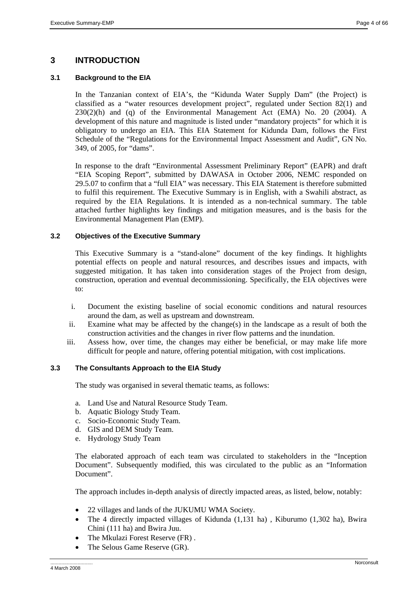# **3 INTRODUCTION**

# **3.1 Background to the EIA**

In the Tanzanian context of EIA's, the "Kidunda Water Supply Dam" (the Project) is classified as a "water resources development project", regulated under Section 82(1) and  $230(2)(h)$  and (q) of the Environmental Management Act (EMA) No. 20 (2004). A development of this nature and magnitude is listed under "mandatory projects" for which it is obligatory to undergo an EIA. This EIA Statement for Kidunda Dam, follows the First Schedule of the "Regulations for the Environmental Impact Assessment and Audit", GN No. 349, of 2005, for "dams".

In response to the draft "Environmental Assessment Preliminary Report" (EAPR) and draft "EIA Scoping Report", submitted by DAWASA in October 2006, NEMC responded on 29.5.07 to confirm that a "full EIA" was necessary. This EIA Statement is therefore submitted to fulfil this requirement. The Executive Summary is in English, with a Swahili abstract, as required by the EIA Regulations. It is intended as a non-technical summary. The table attached further highlights key findings and mitigation measures, and is the basis for the Environmental Management Plan (EMP).

# **3.2 Objectives of the Executive Summary**

This Executive Summary is a "stand-alone" document of the key findings. It highlights potential effects on people and natural resources, and describes issues and impacts, with suggested mitigation. It has taken into consideration stages of the Project from design, construction, operation and eventual decommissioning. Specifically, the EIA objectives were to:

- i. Document the existing baseline of social economic conditions and natural resources around the dam, as well as upstream and downstream.
- ii. Examine what may be affected by the change(s) in the landscape as a result of both the construction activities and the changes in river flow patterns and the inundation.
- iii. Assess how, over time, the changes may either be beneficial, or may make life more difficult for people and nature, offering potential mitigation, with cost implications.

# **3.3 The Consultants Approach to the EIA Study**

The study was organised in several thematic teams, as follows:

- a. Land Use and Natural Resource Study Team.
- b. Aquatic Biology Study Team.
- c. Socio-Economic Study Team.
- d. GIS and DEM Study Team.
- e. Hydrology Study Team

The elaborated approach of each team was circulated to stakeholders in the "Inception Document". Subsequently modified, this was circulated to the public as an "Information Document".

The approach includes in-depth analysis of directly impacted areas, as listed, below, notably:

- 22 villages and lands of the JUKUMU WMA Society.
- The 4 directly impacted villages of Kidunda (1,131 ha) , Kiburumo (1,302 ha), Bwira Chini (111 ha) and Bwira Juu.
- The Mkulazi Forest Reserve (FR).
- The Selous Game Reserve (GR).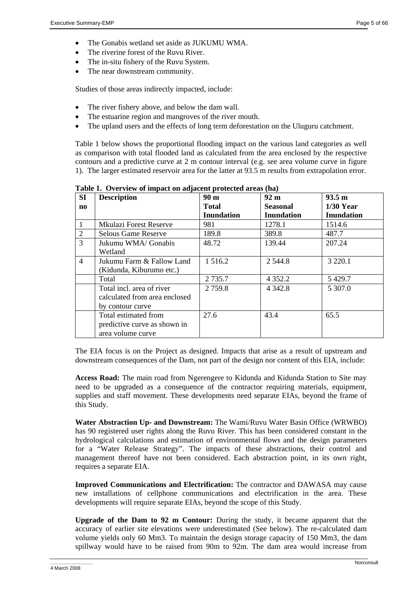- The Gonabis wetland set aside as JUKUMU WMA.
- The riverine forest of the Ruvu River.
- The in-situ fishery of the Ruvu System.
- The near downstream community.

Studies of those areas indirectly impacted, include:

- The river fishery above, and below the dam wall.
- The estuarine region and mangroves of the river mouth.
- The upland users and the effects of long term deforestation on the Uluguru catchment.

Table 1 below shows the proportional flooding impact on the various land categories as well as comparison with total flooded land as calculated from the area enclosed by the respective contours and a predictive curve at 2 m contour interval (e.g. see area volume curve in figure 1). The larger estimated reservoir area for the latter at 93.5 m results from extrapolation error.

| SI                     | <b>Description</b>            | 90 <sub>m</sub>   | 92 <sub>m</sub>   | 93.5 m            |
|------------------------|-------------------------------|-------------------|-------------------|-------------------|
| $\mathbf{n}\mathbf{o}$ |                               | <b>Total</b>      | <b>Seasonal</b>   | $1/30$ Year       |
|                        |                               | <b>Inundation</b> | <b>Inundation</b> | <b>Inundation</b> |
| 1.                     | <b>Mkulazi Forest Reserve</b> | 981               | 1278.1            | 1514.6            |
| 2                      | <b>Selous Game Reserve</b>    | 189.8             | 389.8             | 487.7             |
| 3                      | Jukumu WMA/ Gonabis           | 48.72             | 139.44            | 207.24            |
|                        | Wetland                       |                   |                   |                   |
| $\overline{4}$         | Jukumu Farm & Fallow Land     | 1 5 1 6 .2        | 2 5 4 4 .8        | 3 2 2 0 .1        |
|                        | (Kidunda, Kiburumo etc.)      |                   |                   |                   |
|                        | Total                         | 2 7 3 5 .7        | 4 3 5 2 . 2       | 5 4 29.7          |
|                        | Total incl. area of river     | 2 7 5 9.8         | 4 3 4 2 .8        | 5 307.0           |
|                        | calculated from area enclosed |                   |                   |                   |
|                        | by contour curve              |                   |                   |                   |
|                        | Total estimated from          | 27.6              | 43.4              | 65.5              |
|                        | predictive curve as shown in  |                   |                   |                   |
|                        | area volume curve             |                   |                   |                   |

**Table 1. Overview of impact on adjacent protected areas (ha)** 

The EIA focus is on the Project as designed. Impacts that arise as a result of upstream and downstream consequences of the Dam, not part of the design nor content of this EIA, include:

**Access Road:** The main road from Ngerengere to Kidunda and Kidunda Station to Site may need to be upgraded as a consequence of the contractor requiring materials, equipment, supplies and staff movement. These developments need separate EIAs, beyond the frame of this Study.

**Water Abstraction Up- and Downstream:** The Wami/Ruvu Water Basin Office (WRWBO) has 90 registered user rights along the Ruvu River. This has been considered constant in the hydrological calculations and estimation of environmental flows and the design parameters for a "Water Release Strategy". The impacts of these abstractions, their control and management thereof have not been considered. Each abstraction point, in its own right, requires a separate EIA.

**Improved Communications and Electrification:** The contractor and DAWASA may cause new installations of cellphone communications and electrification in the area. These developments will require separate EIAs, beyond the scope of this Study.

**Upgrade of the Dam to 92 m Contour:** During the study, it became apparent that the accuracy of earlier site elevations were underestimated (See below). The re-calculated dam volume yields only 60 Mm3. To maintain the design storage capacity of 150 Mm3, the dam spillway would have to be raised from 90m to 92m. The dam area would increase from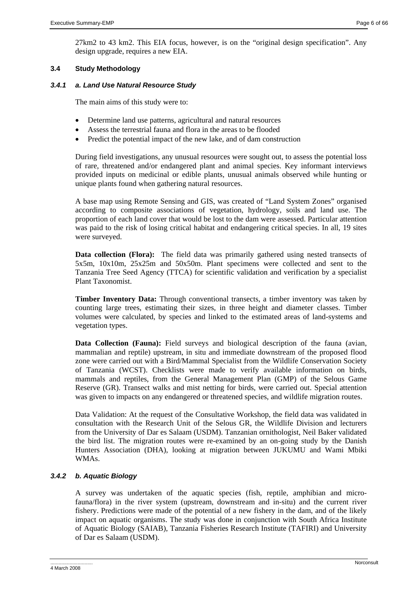27km2 to 43 km2. This EIA focus, however, is on the "original design specification". Any design upgrade, requires a new EIA.

# **3.4 Study Methodology**

# *3.4.1 a. Land Use Natural Resource Study*

The main aims of this study were to:

- Determine land use patterns, agricultural and natural resources
- Assess the terrestrial fauna and flora in the areas to be flooded
- Predict the potential impact of the new lake, and of dam construction

During field investigations, any unusual resources were sought out, to assess the potential loss of rare, threatened and/or endangered plant and animal species. Key informant interviews provided inputs on medicinal or edible plants, unusual animals observed while hunting or unique plants found when gathering natural resources.

A base map using Remote Sensing and GIS, was created of "Land System Zones" organised according to composite associations of vegetation, hydrology, soils and land use. The proportion of each land cover that would be lost to the dam were assessed. Particular attention was paid to the risk of losing critical habitat and endangering critical species. In all, 19 sites were surveyed.

**Data collection (Flora):** The field data was primarily gathered using nested transects of 5x5m, 10x10m, 25x25m and 50x50m. Plant specimens were collected and sent to the Tanzania Tree Seed Agency (TTCA) for scientific validation and verification by a specialist Plant Taxonomist.

**Timber Inventory Data:** Through conventional transects, a timber inventory was taken by counting large trees, estimating their sizes, in three height and diameter classes. Timber volumes were calculated, by species and linked to the estimated areas of land-systems and vegetation types.

**Data Collection (Fauna):** Field surveys and biological description of the fauna (avian, mammalian and reptile) upstream, in situ and immediate downstream of the proposed flood zone were carried out with a Bird/Mammal Specialist from the Wildlife Conservation Society of Tanzania (WCST). Checklists were made to verify available information on birds, mammals and reptiles, from the General Management Plan (GMP) of the Selous Game Reserve (GR). Transect walks and mist netting for birds, were carried out. Special attention was given to impacts on any endangered or threatened species, and wildlife migration routes.

Data Validation: At the request of the Consultative Workshop, the field data was validated in consultation with the Research Unit of the Selous GR, the Wildlife Division and lecturers from the University of Dar es Salaam (USDM). Tanzanian ornithologist, Neil Baker validated the bird list. The migration routes were re-examined by an on-going study by the Danish Hunters Association (DHA), looking at migration between JUKUMU and Wami Mbiki WMAs.

# *3.4.2 b. Aquatic Biology*

A survey was undertaken of the aquatic species (fish, reptile, amphibian and microfauna/flora) in the river system (upstream, downstream and in-situ) and the current river fishery. Predictions were made of the potential of a new fishery in the dam, and of the likely impact on aquatic organisms. The study was done in conjunction with South Africa Institute of Aquatic Biology (SAIAB), Tanzania Fisheries Research Institute (TAFIRI) and University of Dar es Salaam (USDM).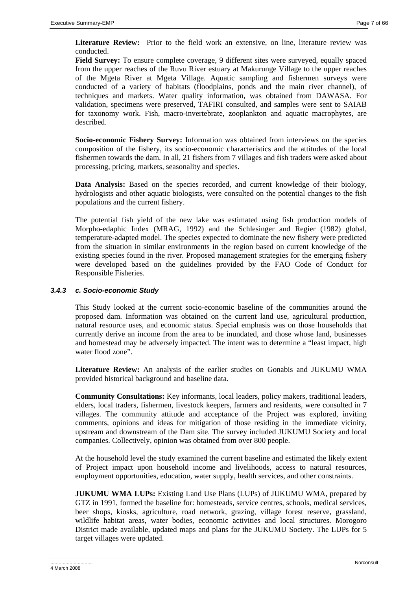Literature Review: Prior to the field work an extensive, on line, literature review was conducted.

**Field Survey:** To ensure complete coverage, 9 different sites were surveyed, equally spaced from the upper reaches of the Ruvu River estuary at Makurunge Village to the upper reaches of the Mgeta River at Mgeta Village. Aquatic sampling and fishermen surveys were conducted of a variety of habitats (floodplains, ponds and the main river channel), of techniques and markets. Water quality information, was obtained from DAWASA. For validation, specimens were preserved, TAFIRI consulted, and samples were sent to SAIAB for taxonomy work. Fish, macro-invertebrate, zooplankton and aquatic macrophytes, are described.

**Socio-economic Fishery Survey:** Information was obtained from interviews on the species composition of the fishery, its socio-economic characteristics and the attitudes of the local fishermen towards the dam. In all, 21 fishers from 7 villages and fish traders were asked about processing, pricing, markets, seasonality and species.

**Data Analysis:** Based on the species recorded, and current knowledge of their biology, hydrologists and other aquatic biologists, were consulted on the potential changes to the fish populations and the current fishery.

The potential fish yield of the new lake was estimated using fish production models of Morpho-edaphic Index (MRAG, 1992) and the Schlesinger and Regier (1982) global, temperature-adapted model. The species expected to dominate the new fishery were predicted from the situation in similar environments in the region based on current knowledge of the existing species found in the river. Proposed management strategies for the emerging fishery were developed based on the guidelines provided by the FAO Code of Conduct for Responsible Fisheries.

# *3.4.3 c. Socio-economic Study*

This Study looked at the current socio-economic baseline of the communities around the proposed dam. Information was obtained on the current land use, agricultural production, natural resource uses, and economic status. Special emphasis was on those households that currently derive an income from the area to be inundated, and those whose land, businesses and homestead may be adversely impacted. The intent was to determine a "least impact, high water flood zone".

**Literature Review:** An analysis of the earlier studies on Gonabis and JUKUMU WMA provided historical background and baseline data.

**Community Consultations:** Key informants, local leaders, policy makers, traditional leaders, elders, local traders, fishermen, livestock keepers, farmers and residents, were consulted in 7 villages. The community attitude and acceptance of the Project was explored, inviting comments, opinions and ideas for mitigation of those residing in the immediate vicinity, upstream and downstream of the Dam site. The survey included JUKUMU Society and local companies. Collectively, opinion was obtained from over 800 people.

At the household level the study examined the current baseline and estimated the likely extent of Project impact upon household income and livelihoods, access to natural resources, employment opportunities, education, water supply, health services, and other constraints.

**JUKUMU WMA LUPs:** Existing Land Use Plans (LUPs) of JUKUMU WMA, prepared by GTZ in 1991, formed the baseline for: homesteads, service centres, schools, medical services, beer shops, kiosks, agriculture, road network, grazing, village forest reserve, grassland, wildlife habitat areas, water bodies, economic activities and local structures. Morogoro District made available, updated maps and plans for the JUKUMU Society. The LUPs for 5 target villages were updated.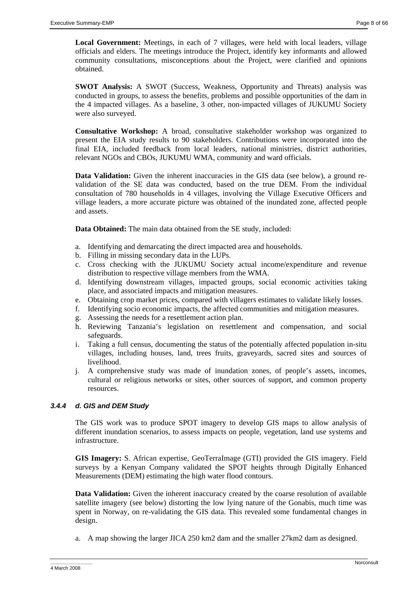**Local Government:** Meetings, in each of 7 villages, were held with local leaders, village officials and elders. The meetings introduce the Project, identify key informants and allowed community consultations, misconceptions about the Project, were clarified and opinions obtained.

**SWOT Analysis:** A SWOT (Success, Weakness, Opportunity and Threats) analysis was conducted in groups, to assess the benefits, problems and possible opportunities of the dam in the 4 impacted villages. As a baseline, 3 other, non-impacted villages of JUKUMU Society were also surveyed.

**Consultative Workshop:** A broad, consultative stakeholder workshop was organized to present the EIA study results to 90 stakeholders. Contributions were incorporated into the final EIA, included feedback from local leaders, national ministries, district authorities, relevant NGOs and CBOs, JUKUMU WMA, community and ward officials.

**Data Validation:** Given the inherent inaccuracies in the GIS data (see below), a ground revalidation of the SE data was conducted, based on the true DEM. From the individual consultation of 780 households in 4 villages, involving the Village Executive Officers and village leaders, a more accurate picture was obtained of the inundated zone, affected people and assets.

**Data Obtained:** The main data obtained from the SE study, included:

- a. Identifying and demarcating the direct impacted area and households.
- b. Filling in missing secondary data in the LUPs.
- c. Cross checking with the JUKUMU Society actual income/expenditure and revenue distribution to respective village members from the WMA.
- d. Identifying downstream villages, impacted groups, social economic activities taking place, and associated impacts and mitigation measures.
- e. Obtaining crop market prices, compared with villagers estimates to validate likely losses.
- f. Identifying socio economic impacts, the affected communities and mitigation measures.
- g. Assessing the needs for a resettlement action plan.
- h. Reviewing Tanzania's legislation on resettlement and compensation, and social safeguards.
- i. Taking a full census, documenting the status of the potentially affected population in-situ villages, including houses, land, trees fruits, graveyards, sacred sites and sources of livelihood.
- j. A comprehensive study was made of inundation zones, of people's assets, incomes, cultural or religious networks or sites, other sources of support, and common property resources.

# *3.4.4 d. GIS and DEM Study*

The GIS work was to produce SPOT imagery to develop GIS maps to allow analysis of different inundation scenarios, to assess impacts on people, vegetation, land use systems and infrastructure.

**GIS Imagery:** S. African expertise, GeoTerraImage (GTI) provided the GIS imagery. Field surveys by a Kenyan Company validated the SPOT heights through Digitally Enhanced Measurements (DEM) estimating the high water flood contours.

**Data Validation:** Given the inherent inaccuracy created by the coarse resolution of available satellite imagery (see below) distorting the low lying nature of the Gonabis, much time was spent in Norway, on re-validating the GIS data. This revealed some fundamental changes in design.

a. A map showing the larger JICA 250 km2 dam and the smaller 27km2 dam as designed.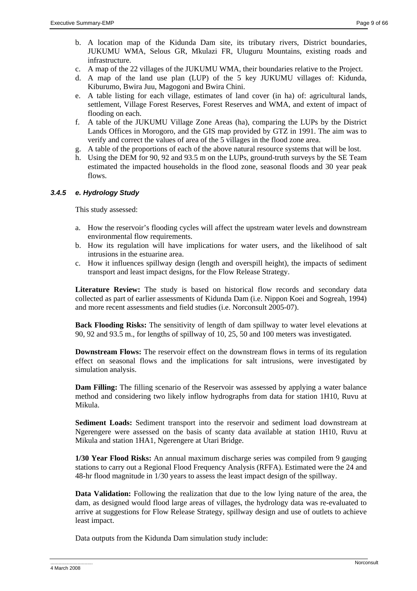- b. A location map of the Kidunda Dam site, its tributary rivers, District boundaries, JUKUMU WMA, Selous GR, Mkulazi FR, Uluguru Mountains, existing roads and infrastructure.
- c. A map of the 22 villages of the JUKUMU WMA, their boundaries relative to the Project.
- d. A map of the land use plan (LUP) of the 5 key JUKUMU villages of: Kidunda, Kiburumo, Bwira Juu, Magogoni and Bwira Chini.
- e. A table listing for each village, estimates of land cover (in ha) of: agricultural lands, settlement, Village Forest Reserves, Forest Reserves and WMA, and extent of impact of flooding on each.
- f. A table of the JUKUMU Village Zone Areas (ha), comparing the LUPs by the District Lands Offices in Morogoro, and the GIS map provided by GTZ in 1991. The aim was to verify and correct the values of area of the 5 villages in the flood zone area.
- g. A table of the proportions of each of the above natural resource systems that will be lost.
- h. Using the DEM for 90, 92 and 93.5 m on the LUPs, ground-truth surveys by the SE Team estimated the impacted households in the flood zone, seasonal floods and 30 year peak flows.

# *3.4.5 e. Hydrology Study*

This study assessed:

- a. How the reservoir's flooding cycles will affect the upstream water levels and downstream environmental flow requirements.
- b. How its regulation will have implications for water users, and the likelihood of salt intrusions in the estuarine area.
- c. How it influences spillway design (length and overspill height), the impacts of sediment transport and least impact designs, for the Flow Release Strategy.

**Literature Review:** The study is based on historical flow records and secondary data collected as part of earlier assessments of Kidunda Dam (i.e. Nippon Koei and Sogreah, 1994) and more recent assessments and field studies (i.e. Norconsult 2005-07).

**Back Flooding Risks:** The sensitivity of length of dam spillway to water level elevations at 90, 92 and 93.5 m., for lengths of spillway of 10, 25, 50 and 100 meters was investigated.

**Downstream Flows:** The reservoir effect on the downstream flows in terms of its regulation effect on seasonal flows and the implications for salt intrusions, were investigated by simulation analysis.

**Dam Filling:** The filling scenario of the Reservoir was assessed by applying a water balance method and considering two likely inflow hydrographs from data for station 1H10, Ruvu at Mikula.

**Sediment Loads:** Sediment transport into the reservoir and sediment load downstream at Ngerengere were assessed on the basis of scanty data available at station 1H10, Ruvu at Mikula and station 1HA1, Ngerengere at Utari Bridge.

**1/30 Year Flood Risks:** An annual maximum discharge series was compiled from 9 gauging stations to carry out a Regional Flood Frequency Analysis (RFFA). Estimated were the 24 and 48-hr flood magnitude in 1/30 years to assess the least impact design of the spillway.

**Data Validation:** Following the realization that due to the low lying nature of the area, the dam, as designed would flood large areas of villages, the hydrology data was re-evaluated to arrive at suggestions for Flow Release Strategy, spillway design and use of outlets to achieve least impact.

Data outputs from the Kidunda Dam simulation study include: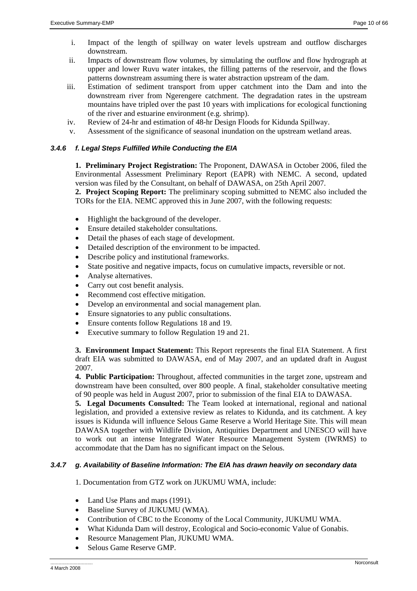- i. Impact of the length of spillway on water levels upstream and outflow discharges downstream.
- ii. Impacts of downstream flow volumes, by simulating the outflow and flow hydrograph at upper and lower Ruvu water intakes, the filling patterns of the reservoir, and the flows patterns downstream assuming there is water abstraction upstream of the dam.
- iii. Estimation of sediment transport from upper catchment into the Dam and into the downstream river from Ngerengere catchment. The degradation rates in the upstream mountains have tripled over the past 10 years with implications for ecological functioning of the river and estuarine environment (e.g. shrimp).
- iv. Review of 24-hr and estimation of 48-hr Design Floods for Kidunda Spillway.
- v. Assessment of the significance of seasonal inundation on the upstream wetland areas.

# *3.4.6 f. Legal Steps Fulfilled While Conducting the EIA*

**1. Preliminary Project Registration:** The Proponent, DAWASA in October 2006, filed the Environmental Assessment Preliminary Report (EAPR) with NEMC. A second, updated version was filed by the Consultant, on behalf of DAWASA, on 25th April 2007.

**2. Project Scoping Report:** The preliminary scoping submitted to NEMC also included the TORs for the EIA. NEMC approved this in June 2007, with the following requests:

- Highlight the background of the developer.
- Ensure detailed stakeholder consultations.
- Detail the phases of each stage of development.
- Detailed description of the environment to be impacted.
- Describe policy and institutional frameworks.
- State positive and negative impacts, focus on cumulative impacts, reversible or not.
- Analyse alternatives.
- Carry out cost benefit analysis.
- Recommend cost effective mitigation.
- Develop an environmental and social management plan.
- Ensure signatories to any public consultations.
- Ensure contents follow Regulations 18 and 19.
- Executive summary to follow Regulation 19 and 21.

**3. Environment Impact Statement:** This Report represents the final EIA Statement. A first draft EIA was submitted to DAWASA, end of May 2007, and an updated draft in August 2007.

**4. Public Participation:** Throughout, affected communities in the target zone, upstream and downstream have been consulted, over 800 people. A final, stakeholder consultative meeting of 90 people was held in August 2007, prior to submission of the final EIA to DAWASA.

**5. Legal Documents Consulted:** The Team looked at international, regional and national legislation, and provided a extensive review as relates to Kidunda, and its catchment. A key issues is Kidunda will influence Selous Game Reserve a World Heritage Site. This will mean DAWASA together with Wildlife Division, Antiquities Department and UNESCO will have to work out an intense Integrated Water Resource Management System (IWRMS) to accommodate that the Dam has no significant impact on the Selous.

# *3.4.7 g. Availability of Baseline Information: The EIA has drawn heavily on secondary data*

1. Documentation from GTZ work on JUKUMU WMA, include:

- Land Use Plans and maps (1991).
- Baseline Survey of JUKUMU (WMA).
- Contribution of CBC to the Economy of the Local Community, JUKUMU WMA.
- What Kidunda Dam will destroy, Ecological and Socio-economic Value of Gonabis.
- Resource Management Plan, JUKUMU WMA.
- Selous Game Reserve GMP.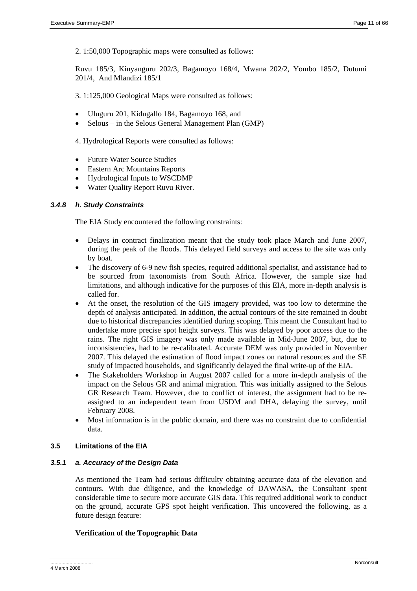2. 1:50,000 Topographic maps were consulted as follows:

Ruvu 185/3, Kinyanguru 202/3, Bagamoyo 168/4, Mwana 202/2, Yombo 185/2, Dutumi 201/4, And Mlandizi 185/1

3. 1:125,000 Geological Maps were consulted as follows:

- Uluguru 201, Kidugallo 184, Bagamoyo 168, and
- Selous in the Selous General Management Plan (GMP)

4. Hydrological Reports were consulted as follows:

- Future Water Source Studies
- Eastern Arc Mountains Reports
- Hydrological Inputs to WSCDMP
- Water Quality Report Ruvu River.

# *3.4.8 h. Study Constraints*

The EIA Study encountered the following constraints:

- Delays in contract finalization meant that the study took place March and June 2007, during the peak of the floods. This delayed field surveys and access to the site was only by boat.
- The discovery of 6-9 new fish species, required additional specialist, and assistance had to be sourced from taxonomists from South Africa. However, the sample size had limitations, and although indicative for the purposes of this EIA, more in-depth analysis is called for.
- At the onset, the resolution of the GIS imagery provided, was too low to determine the depth of analysis anticipated. In addition, the actual contours of the site remained in doubt due to historical discrepancies identified during scoping. This meant the Consultant had to undertake more precise spot height surveys. This was delayed by poor access due to the rains. The right GIS imagery was only made available in Mid-June 2007, but, due to inconsistencies, had to be re-calibrated. Accurate DEM was only provided in November 2007. This delayed the estimation of flood impact zones on natural resources and the SE study of impacted households, and significantly delayed the final write-up of the EIA.
- The Stakeholders Workshop in August 2007 called for a more in-depth analysis of the impact on the Selous GR and animal migration. This was initially assigned to the Selous GR Research Team. However, due to conflict of interest, the assignment had to be reassigned to an independent team from USDM and DHA, delaying the survey, until February 2008.
- Most information is in the public domain, and there was no constraint due to confidential data.

# **3.5 Limitations of the EIA**

# *3.5.1 a. Accuracy of the Design Data*

As mentioned the Team had serious difficulty obtaining accurate data of the elevation and contours. With due diligence, and the knowledge of DAWASA, the Consultant spent considerable time to secure more accurate GIS data. This required additional work to conduct on the ground, accurate GPS spot height verification. This uncovered the following, as a future design feature:

# **Verification of the Topographic Data**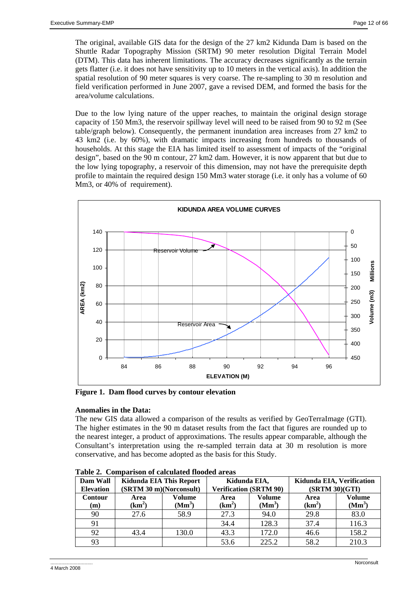The original, available GIS data for the design of the 27 km2 Kidunda Dam is based on the Shuttle Radar Topography Mission (SRTM) 90 meter resolution Digital Terrain Model (DTM). This data has inherent limitations. The accuracy decreases significantly as the terrain gets flatter (i.e. it does not have sensitivity up to 10 meters in the vertical axis). In addition the spatial resolution of 90 meter squares is very coarse. The re-sampling to 30 m resolution and field verification performed in June 2007, gave a revised DEM, and formed the basis for the area/volume calculations.

Due to the low lying nature of the upper reaches, to maintain the original design storage capacity of 150 Mm3, the reservoir spillway level will need to be raised from 90 to 92 m (See table/graph below). Consequently, the permanent inundation area increases from 27 km2 to 43 km2 (i.e. by 60%), with dramatic impacts increasing from hundreds to thousands of households. At this stage the EIA has limited itself to assessment of impacts of the "original design", based on the 90 m contour, 27 km2 dam. However, it is now apparent that but due to the low lying topography, a reservoir of this dimension, may not have the prerequisite depth profile to maintain the required design 150 Mm3 water storage (i.e. it only has a volume of 60 Mm3, or 40% of requirement).



**Figure 1. Dam flood curves by contour elevation** 

# **Anomalies in the Data:**

The new GIS data allowed a comparison of the results as verified by GeoTerraImage (GTI). The higher estimates in the 90 m dataset results from the fact that figures are rounded up to the nearest integer, a product of approximations. The results appear comparable, although the Consultant's interpretation using the re-sampled terrain data at 30 m resolution is more conservative, and has become adopted as the basis for this Study.

| Dam Wall<br>Kidunda EIA This Report<br>(SRTM 30 m)(Norconsult)<br><b>Elevation</b> |                  | Kidunda EIA,<br><b>Verification (SRTM 90)</b> |                            | Kidunda EIA, Verification<br>(SRTM 30) (GTI) |                  |                                     |
|------------------------------------------------------------------------------------|------------------|-----------------------------------------------|----------------------------|----------------------------------------------|------------------|-------------------------------------|
| <b>Contour</b><br>(m)                                                              | Area<br>$(km^2)$ | <b>Volume</b><br>(Mm <sup>3</sup> )           | Area<br>(km <sup>2</sup> ) | <b>Volume</b><br>(Mm <sup>3</sup> )          | Area<br>$(km^2)$ | <b>Volume</b><br>(Mm <sup>3</sup> ) |
| 90                                                                                 | 27.6             | 58.9                                          | 27.3                       | 94.0                                         | 29.8             | 83.0                                |
| 91                                                                                 |                  |                                               | 34.4                       | 128.3                                        | 37.4             | 116.3                               |
| 92                                                                                 | 43.4             | 130.0                                         | 43.3                       | 172.0                                        | 46.6             | 158.2                               |
| 93                                                                                 |                  |                                               | 53.6                       | 225.2                                        | 58.2             | 210.3                               |

**Table 2. Comparison of calculated flooded areas**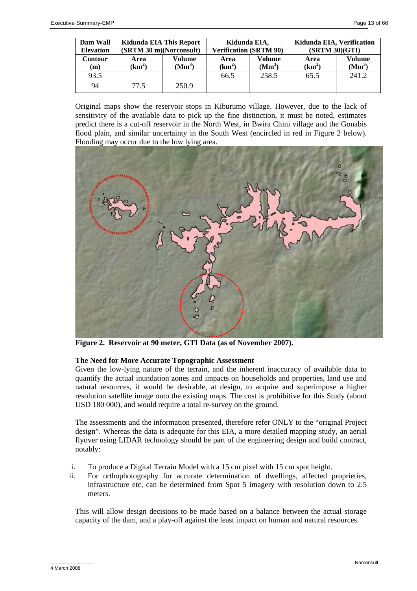| Dam Wall<br><b>Elevation</b> | Kidunda EIA This Report<br>(SRTM 30 m)(Norconsult) |                              | Kidunda EIA,               | <b>Verification (SRTM 90)</b> | Kidunda EIA, Verification<br>(SRTM 30) (GTI) |                                     |
|------------------------------|----------------------------------------------------|------------------------------|----------------------------|-------------------------------|----------------------------------------------|-------------------------------------|
| Contour<br>(m)               | Area<br>(km <sup>2</sup> )                         | Volume<br>(Mm <sup>3</sup> ) | Area<br>(km <sup>2</sup> ) | Volume<br>(Mm <sup>3</sup> )  | Area<br>$(km^2)$                             | <b>Volume</b><br>(Mm <sup>3</sup> ) |
| 93.5                         |                                                    |                              | 66.5                       | 258.5                         | 65.5                                         | 241.2                               |
| 94                           | 77.5                                               | 250.9                        |                            |                               |                                              |                                     |

Original maps show the reservoir stops in Kiburumo village. However, due to the lack of sensitivity of the available data to pick up the fine distinction, it must be noted, estimates predict there is a cut-off reservoir in the North West, in Bwira Chini village and the Gonabis flood plain, and similar uncertainty in the South West (encircled in red in Figure 2 below). Flooding may occur due to the low lying area.



**Figure 2. Reservoir at 90 meter, GTI Data (as of November 2007).** 

# **The Need for More Accurate Topographic Assessment**

Given the low-lying nature of the terrain, and the inherent inaccuracy of available data to quantify the actual inundation zones and impacts on households and properties, land use and natural resources, it would be desirable, at design, to acquire and superimpose a higher resolution satellite image onto the existing maps. The cost is prohibitive for this Study (about USD 180 000), and would require a total re-survey on the ground.

The assessments and the information presented, therefore refer ONLY to the "original Project design". Whereas the data is adequate for this EIA, a more detailed mapping study, an aerial flyover using LIDAR technology should be part of the engineering design and build contract, notably:

- i. To produce a Digital Terrain Model with a 15 cm pixel with 15 cm spot height.
- ii. For orthophotography for accurate determination of dwellings, affected proprieties, infrastructure etc, can be determined from Spot 5 imagery with resolution down to 2.5 meters.

This will allow design decisions to be made based on a balance between the actual storage capacity of the dam, and a play-off against the least impact on human and natural resources.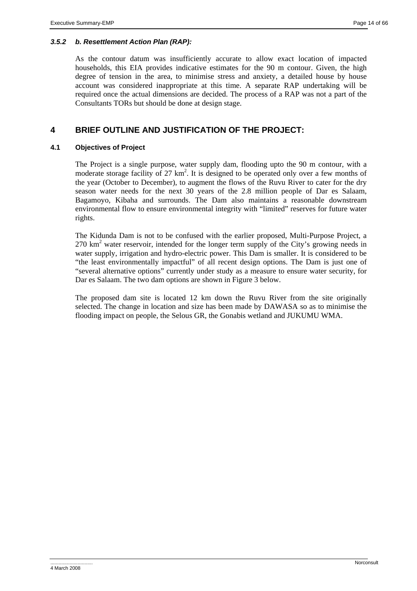# *3.5.2 b. Resettlement Action Plan (RAP):*

As the contour datum was insufficiently accurate to allow exact location of impacted households, this EIA provides indicative estimates for the 90 m contour. Given, the high degree of tension in the area, to minimise stress and anxiety, a detailed house by house account was considered inappropriate at this time. A separate RAP undertaking will be required once the actual dimensions are decided. The process of a RAP was not a part of the Consultants TORs but should be done at design stage.

# **4 BRIEF OUTLINE AND JUSTIFICATION OF THE PROJECT:**

#### **4.1 Objectives of Project**

The Project is a single purpose, water supply dam, flooding upto the 90 m contour, with a moderate storage facility of 27  $km^2$ . It is designed to be operated only over a few months of the year (October to December), to augment the flows of the Ruvu River to cater for the dry season water needs for the next 30 years of the 2.8 million people of Dar es Salaam, Bagamoyo, Kibaha and surrounds. The Dam also maintains a reasonable downstream environmental flow to ensure environmental integrity with "limited" reserves for future water rights.

The Kidunda Dam is not to be confused with the earlier proposed, Multi-Purpose Project, a  $270 \text{ km}^2$  water reservoir, intended for the longer term supply of the City's growing needs in water supply, irrigation and hydro-electric power. This Dam is smaller. It is considered to be "the least environmentally impactful" of all recent design options. The Dam is just one of "several alternative options" currently under study as a measure to ensure water security, for Dar es Salaam. The two dam options are shown in Figure 3 below.

The proposed dam site is located 12 km down the Ruvu River from the site originally selected. The change in location and size has been made by DAWASA so as to minimise the flooding impact on people, the Selous GR, the Gonabis wetland and JUKUMU WMA.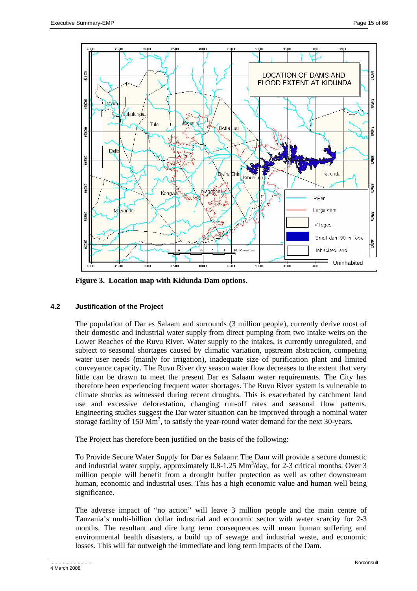

**Figure 3. Location map with Kidunda Dam options.** 

# **4.2 Justification of the Project**

The population of Dar es Salaam and surrounds (3 million people), currently derive most of their domestic and industrial water supply from direct pumping from two intake weirs on the Lower Reaches of the Ruvu River. Water supply to the intakes, is currently unregulated, and subject to seasonal shortages caused by climatic variation, upstream abstraction, competing water user needs (mainly for irrigation), inadequate size of purification plant and limited conveyance capacity. The Ruvu River dry season water flow decreases to the extent that very little can be drawn to meet the present Dar es Salaam water requirements. The City has therefore been experiencing frequent water shortages. The Ruvu River system is vulnerable to climate shocks as witnessed during recent droughts. This is exacerbated by catchment land use and excessive deforestation, changing run-off rates and seasonal flow patterns. Engineering studies suggest the Dar water situation can be improved through a nominal water storage facility of  $150 \text{ Mm}^3$ , to satisfy the year-round water demand for the next 30-years.

The Project has therefore been justified on the basis of the following:

To Provide Secure Water Supply for Dar es Salaam: The Dam will provide a secure domestic and industrial water supply, approximately  $0.8$ -1.25 Mm<sup>3</sup>/day, for 2-3 critical months. Over 3 million people will benefit from a drought buffer protection as well as other downstream human, economic and industrial uses. This has a high economic value and human well being significance.

The adverse impact of "no action" will leave 3 million people and the main centre of Tanzania's multi-billion dollar industrial and economic sector with water scarcity for 2-3 months. The resultant and dire long term consequences will mean human suffering and environmental health disasters, a build up of sewage and industrial waste, and economic losses. This will far outweigh the immediate and long term impacts of the Dam.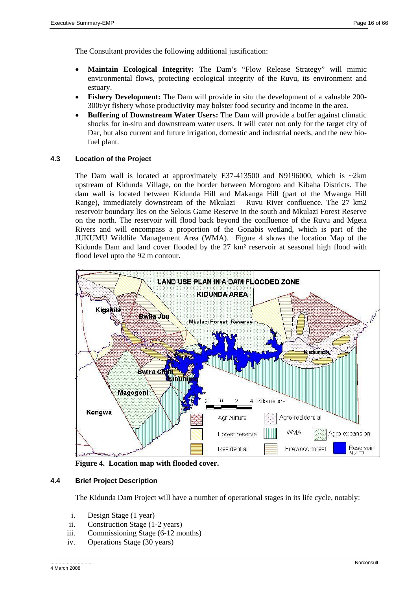The Consultant provides the following additional justification:

- **Maintain Ecological Integrity:** The Dam's "Flow Release Strategy" will mimic environmental flows, protecting ecological integrity of the Ruvu, its environment and estuary.
- **Fishery Development:** The Dam will provide in situ the development of a valuable 200- 300t/yr fishery whose productivity may bolster food security and income in the area.
- **Buffering of Downstream Water Users:** The Dam will provide a buffer against climatic shocks for in-situ and downstream water users. It will cater not only for the target city of Dar, but also current and future irrigation, domestic and industrial needs, and the new biofuel plant.

# **4.3 Location of the Project**

The Dam wall is located at approximately E37-413500 and N9196000, which is  $\sim$ 2km upstream of Kidunda Village, on the border between Morogoro and Kibaha Districts. The dam wall is located between Kidunda Hill and Makanga Hill (part of the Mwanga Hill Range), immediately downstream of the Mkulazi – Ruvu River confluence. The 27 km2 reservoir boundary lies on the Selous Game Reserve in the south and Mkulazi Forest Reserve on the north. The reservoir will flood back beyond the confluence of the Ruvu and Mgeta Rivers and will encompass a proportion of the Gonabis wetland, which is part of the JUKUMU Wildlife Management Area (WMA). Figure 4 shows the location Map of the Kidunda Dam and land cover flooded by the 27 km² reservoir at seasonal high flood with flood level upto the 92 m contour.



**Figure 4. Location map with flooded cover.** 

# **4.4 Brief Project Description**

The Kidunda Dam Project will have a number of operational stages in its life cycle, notably:

- i. Design Stage (1 year)
- ii. Construction Stage (1-2 years)
- iii. Commissioning Stage (6-12 months)
- iv. Operations Stage (30 years)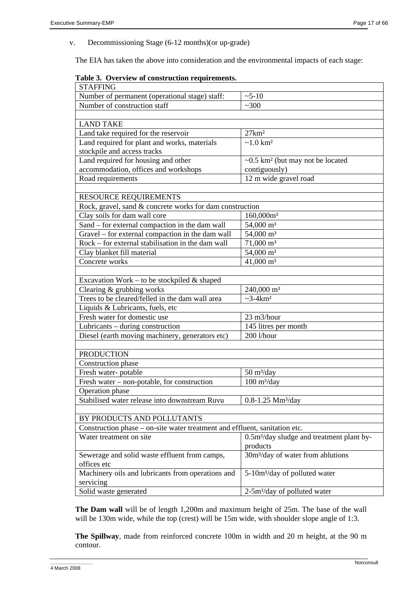v. Decommissioning Stage (6-12 months)(or up-grade)

The EIA has taken the above into consideration and the environmental impacts of each stage:

|  | Table 3. Overview of construction requirements. |  |
|--|-------------------------------------------------|--|
|  |                                                 |  |

| <b>STAFFING</b>                                                            |                                                       |
|----------------------------------------------------------------------------|-------------------------------------------------------|
| Number of permanent (operational stage) staff:                             | $~5 - 10$                                             |
| Number of construction staff                                               | ~100                                                  |
|                                                                            |                                                       |
| <b>LAND TAKE</b>                                                           |                                                       |
| Land take required for the reservoir                                       | $27 \text{km}^2$                                      |
| Land required for plant and works, materials                               | $~1.0 \text{ km}^2$                                   |
| stockpile and access tracks                                                |                                                       |
| Land required for housing and other                                        | $\sim 0.5$ km <sup>2</sup> (but may not be located    |
| accommodation, offices and workshops                                       | contiguously)                                         |
| Road requirements                                                          | 12 m wide gravel road                                 |
|                                                                            |                                                       |
| RESOURCE REQUIREMENTS                                                      |                                                       |
| Rock, gravel, sand & concrete works for dam construction                   |                                                       |
| Clay soils for dam wall core                                               | 160,000m <sup>3</sup>                                 |
| Sand – for external compaction in the dam wall                             | 54,000 m <sup>3</sup>                                 |
| Gravel – for external compaction in the dam wall                           | 54,000 m <sup>3</sup>                                 |
| Rock – for external stabilisation in the dam wall                          | $71,000 \text{ m}^3$                                  |
| Clay blanket fill material                                                 | 54,000 m <sup>3</sup>                                 |
| Concrete works                                                             | $41,000 \text{ m}^3$                                  |
|                                                                            |                                                       |
| Excavation Work – to be stockpiled $&$ shaped                              |                                                       |
| Clearing & grubbing works                                                  | 240,000 m <sup>3</sup>                                |
| Trees to be cleared/felled in the dam wall area                            | $\sim$ 3-4 $km^2$                                     |
| Liquids & Lubricants, fuels, etc                                           |                                                       |
| Fresh water for domestic use                                               | 23 m3/hour                                            |
| Lubricants - during construction                                           | 145 litres per month                                  |
| Diesel (earth moving machinery, generators etc)                            | 200 l/hour                                            |
|                                                                            |                                                       |
| <b>PRODUCTION</b>                                                          |                                                       |
| Construction phase                                                         |                                                       |
| Fresh water-potable                                                        | $50 \frac{\text{m}^3}{\text{day}}$                    |
| Fresh water – non-potable, for construction                                | $100 \frac{\text{m}^3}{\text{day}}$                   |
| Operation phase                                                            |                                                       |
| Stabilised water release into downstream Ruvu                              | $0.8 - 1.25$ Mm <sup>3</sup> /day                     |
|                                                                            |                                                       |
| BY PRODUCTS AND POLLUTANTS                                                 |                                                       |
| Construction phase – on-site water treatment and effluent, sanitation etc. |                                                       |
| Water treatment on site                                                    | 0.5m <sup>3</sup> /day sludge and treatment plant by- |
|                                                                            | products                                              |
| Sewerage and solid waste effluent from camps,                              | 30m <sup>3</sup> /day of water from ablutions         |
| offices etc                                                                |                                                       |
| Machinery oils and lubricants from operations and                          | 5-10m <sup>3</sup> /day of polluted water             |
| servicing                                                                  |                                                       |
| Solid waste generated                                                      | 2-5m <sup>3</sup> /day of polluted water              |

**The Dam wall** will be of length 1,200m and maximum height of 25m. The base of the wall will be 130m wide, while the top (crest) will be 15m wide, with shoulder slope angle of 1:3.

**The Spillway**, made from reinforced concrete 100m in width and 20 m height, at the 90 m contour.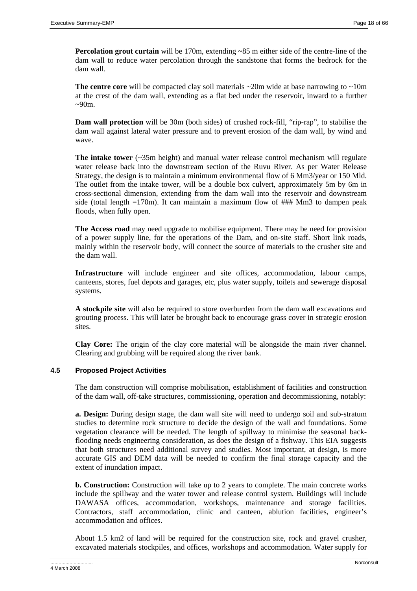**Percolation grout curtain** will be 170m, extending ~85 m either side of the centre-line of the dam wall to reduce water percolation through the sandstone that forms the bedrock for the dam wall.

**The centre core** will be compacted clay soil materials ~20m wide at base narrowing to ~10m at the crest of the dam wall, extending as a flat bed under the reservoir, inward to a further  $\sim 90$ m.

**Dam wall protection** will be 30m (both sides) of crushed rock-fill, "rip-rap", to stabilise the dam wall against lateral water pressure and to prevent erosion of the dam wall, by wind and wave.

**The intake tower** (~35m height) and manual water release control mechanism will regulate water release back into the downstream section of the Ruvu River. As per Water Release Strategy, the design is to maintain a minimum environmental flow of 6 Mm3/year or 150 Mld. The outlet from the intake tower, will be a double box culvert, approximately 5m by 6m in cross-sectional dimension, extending from the dam wall into the reservoir and downstream side (total length  $=170$ m). It can maintain a maximum flow of  $\#$ ## Mm3 to dampen peak floods, when fully open.

**The Access road** may need upgrade to mobilise equipment. There may be need for provision of a power supply line, for the operations of the Dam, and on-site staff. Short link roads, mainly within the reservoir body, will connect the source of materials to the crusher site and the dam wall.

**Infrastructure** will include engineer and site offices, accommodation, labour camps, canteens, stores, fuel depots and garages, etc, plus water supply, toilets and sewerage disposal systems.

**A stockpile site** will also be required to store overburden from the dam wall excavations and grouting process. This will later be brought back to encourage grass cover in strategic erosion sites.

**Clay Core:** The origin of the clay core material will be alongside the main river channel. Clearing and grubbing will be required along the river bank.

# **4.5 Proposed Project Activities**

The dam construction will comprise mobilisation, establishment of facilities and construction of the dam wall, off-take structures, commissioning, operation and decommissioning, notably:

**a. Design:** During design stage, the dam wall site will need to undergo soil and sub-stratum studies to determine rock structure to decide the design of the wall and foundations. Some vegetation clearance will be needed. The length of spillway to minimise the seasonal backflooding needs engineering consideration, as does the design of a fishway. This EIA suggests that both structures need additional survey and studies. Most important, at design, is more accurate GIS and DEM data will be needed to confirm the final storage capacity and the extent of inundation impact.

**b. Construction:** Construction will take up to 2 years to complete. The main concrete works include the spillway and the water tower and release control system. Buildings will include DAWASA offices, accommodation, workshops, maintenance and storage facilities. Contractors, staff accommodation, clinic and canteen, ablution facilities, engineer's accommodation and offices.

About 1.5 km2 of land will be required for the construction site, rock and gravel crusher, excavated materials stockpiles, and offices, workshops and accommodation. Water supply for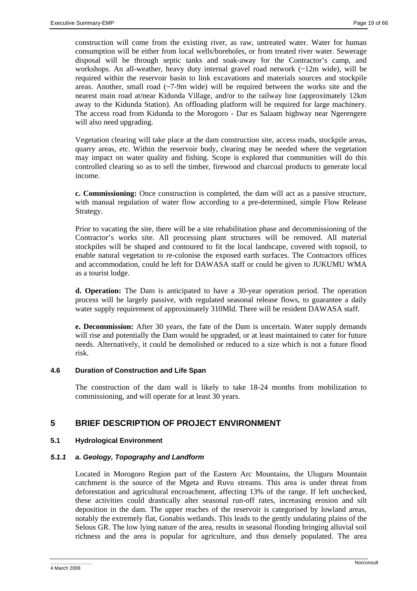construction will come from the existing river, as raw, untreated water. Water for human consumption will be either from local wells/boreholes, or from treated river water. Sewerage disposal will be through septic tanks and soak-away for the Contractor's camp, and workshops. An all-weather, heavy duty internal gravel road network  $(\sim 12m$  wide), will be required within the reservoir basin to link excavations and materials sources and stockpile areas. Another, small road  $(-7-9m)$  wide) will be required between the works site and the nearest main road at/near Kidunda Village, and/or to the railway line (approximately 12km away to the Kidunda Station). An offloading platform will be required for large machinery. The access road from Kidunda to the Morogoro - Dar es Salaam highway near Ngerengere will also need upgrading.

Vegetation clearing will take place at the dam construction site, access roads, stockpile areas, quarry areas, etc. Within the reservoir body, clearing may be needed where the vegetation may impact on water quality and fishing. Scope is explored that communities will do this controlled clearing so as to sell the timber, firewood and charcoal products to generate local income.

**c. Commissioning:** Once construction is completed, the dam will act as a passive structure, with manual regulation of water flow according to a pre-determined, simple Flow Release Strategy.

Prior to vacating the site, there will be a site rehabilitation phase and decommissioning of the Contractor's works site. All processing plant structures will be removed. All material stockpiles will be shaped and contoured to fit the local landscape, covered with topsoil, to enable natural vegetation to re-colonise the exposed earth surfaces. The Contractors offices and accommodation, could be left for DAWASA staff or could be given to JUKUMU WMA as a tourist lodge.

**d. Operation:** The Dam is anticipated to have a 30-year operation period. The operation process will be largely passive, with regulated seasonal release flows, to guarantee a daily water supply requirement of approximately 310Mld. There will be resident DAWASA staff.

**e. Decommission:** After 30 years, the fate of the Dam is uncertain. Water supply demands will rise and potentially the Dam would be upgraded, or at least maintained to cater for future needs. Alternatively, it could be demolished or reduced to a size which is not a future flood risk.

# **4.6 Duration of Construction and Life Span**

The construction of the dam wall is likely to take 18-24 months from mobilization to commissioning, and will operate for at least 30 years.

# **5 BRIEF DESCRIPTION OF PROJECT ENVIRONMENT**

# **5.1 Hydrological Environment**

#### *5.1.1 a. Geology, Topography and Landform*

Located in Morogoro Region part of the Eastern Arc Mountains, the Uluguru Mountain catchment is the source of the Mgeta and Ruvu streams. This area is under threat from deforestation and agricultural encroachment, affecting 13% of the range. If left unchecked, these activities could drastically alter seasonal run-off rates, increasing erosion and silt deposition in the dam. The upper reaches of the reservoir is categorised by lowland areas, notably the extremely flat, Gonabis wetlands. This leads to the gently undulating plains of the Selous GR. The low lying nature of the area, results in seasonal flooding bringing alluvial soil richness and the area is popular for agriculture, and thus densely populated. The area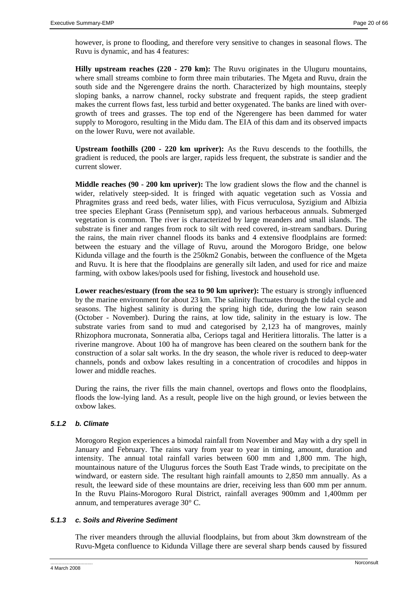however, is prone to flooding, and therefore very sensitive to changes in seasonal flows. The Ruvu is dynamic, and has 4 features:

**Hilly upstream reaches (220 - 270 km):** The Ruvu originates in the Uluguru mountains, where small streams combine to form three main tributaries. The Mgeta and Ruvu, drain the south side and the Ngerengere drains the north. Characterized by high mountains, steeply sloping banks, a narrow channel, rocky substrate and frequent rapids, the steep gradient makes the current flows fast, less turbid and better oxygenated. The banks are lined with overgrowth of trees and grasses. The top end of the Ngerengere has been dammed for water supply to Morogoro, resulting in the Midu dam. The EIA of this dam and its observed impacts on the lower Ruvu, were not available.

**Upstream foothills (200 - 220 km upriver):** As the Ruvu descends to the foothills, the gradient is reduced, the pools are larger, rapids less frequent, the substrate is sandier and the current slower.

**Middle reaches (90 - 200 km upriver):** The low gradient slows the flow and the channel is wider, relatively steep-sided. It is fringed with aquatic vegetation such as Vossia and Phragmites grass and reed beds, water lilies, with Ficus verruculosa, Syzigium and Albizia tree species Elephant Grass (Pennisetum spp), and various herbaceous annuals. Submerged vegetation is common. The river is characterized by large meanders and small islands. The substrate is finer and ranges from rock to silt with reed covered, in-stream sandbars. During the rains, the main river channel floods its banks and 4 extensive floodplains are formed: between the estuary and the village of Ruvu, around the Morogoro Bridge, one below Kidunda village and the fourth is the 250km2 Gonabis, between the confluence of the Mgeta and Ruvu. It is here that the floodplains are generally silt laden, and used for rice and maize farming, with oxbow lakes/pools used for fishing, livestock and household use.

**Lower reaches/estuary (from the sea to 90 km upriver):** The estuary is strongly influenced by the marine environment for about 23 km. The salinity fluctuates through the tidal cycle and seasons. The highest salinity is during the spring high tide, during the low rain season (October - November). During the rains, at low tide, salinity in the estuary is low. The substrate varies from sand to mud and categorised by 2,123 ha of mangroves, mainly Rhizophora mucronata, Sonneratia alba, Ceriops tagal and Heritiera littoralis. The latter is a riverine mangrove. About 100 ha of mangrove has been cleared on the southern bank for the construction of a solar salt works. In the dry season, the whole river is reduced to deep-water channels, ponds and oxbow lakes resulting in a concentration of crocodiles and hippos in lower and middle reaches.

During the rains, the river fills the main channel, overtops and flows onto the floodplains, floods the low-lying land. As a result, people live on the high ground, or levies between the oxbow lakes.

# *5.1.2 b. Climate*

Morogoro Region experiences a bimodal rainfall from November and May with a dry spell in January and February. The rains vary from year to year in timing, amount, duration and intensity. The annual total rainfall varies between 600 mm and 1,800 mm. The high, mountainous nature of the Ulugurus forces the South East Trade winds, to precipitate on the windward, or eastern side. The resultant high rainfall amounts to 2,850 mm annually. As a result, the leeward side of these mountains are drier, receiving less than 600 mm per annum. In the Ruvu Plains-Morogoro Rural District, rainfall averages 900mm and 1,400mm per annum, and temperatures average 30° C.

# *5.1.3 c. Soils and Riverine Sediment*

The river meanders through the alluvial floodplains, but from about 3km downstream of the Ruvu-Mgeta confluence to Kidunda Village there are several sharp bends caused by fissured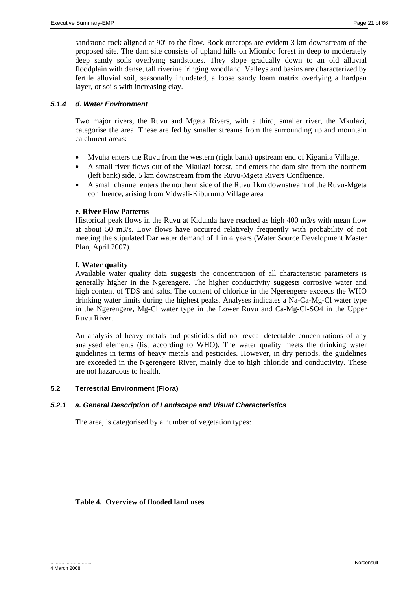sandstone rock aligned at 90º to the flow. Rock outcrops are evident 3 km downstream of the proposed site. The dam site consists of upland hills on Miombo forest in deep to moderately deep sandy soils overlying sandstones. They slope gradually down to an old alluvial floodplain with dense, tall riverine fringing woodland. Valleys and basins are characterized by fertile alluvial soil, seasonally inundated, a loose sandy loam matrix overlying a hardpan layer, or soils with increasing clay.

# *5.1.4 d. Water Environment*

Two major rivers, the Ruvu and Mgeta Rivers, with a third, smaller river, the Mkulazi, categorise the area. These are fed by smaller streams from the surrounding upland mountain catchment areas:

- Mvuha enters the Ruvu from the western (right bank) upstream end of Kiganila Village.
- A small river flows out of the Mkulazi forest, and enters the dam site from the northern (left bank) side, 5 km downstream from the Ruvu-Mgeta Rivers Confluence.
- A small channel enters the northern side of the Ruvu 1km downstream of the Ruvu-Mgeta confluence, arising from Vidwali-Kiburumo Village area

# **e. River Flow Patterns**

Historical peak flows in the Ruvu at Kidunda have reached as high 400 m3/s with mean flow at about 50 m3/s. Low flows have occurred relatively frequently with probability of not meeting the stipulated Dar water demand of 1 in 4 years (Water Source Development Master Plan, April 2007).

# **f. Water quality**

Available water quality data suggests the concentration of all characteristic parameters is generally higher in the Ngerengere. The higher conductivity suggests corrosive water and high content of TDS and salts. The content of chloride in the Ngerengere exceeds the WHO drinking water limits during the highest peaks. Analyses indicates a Na-Ca-Mg-Cl water type in the Ngerengere, Mg-Cl water type in the Lower Ruvu and Ca-Mg-Cl-SO4 in the Upper Ruvu River.

An analysis of heavy metals and pesticides did not reveal detectable concentrations of any analysed elements (list according to WHO). The water quality meets the drinking water guidelines in terms of heavy metals and pesticides. However, in dry periods, the guidelines are exceeded in the Ngerengere River, mainly due to high chloride and conductivity. These are not hazardous to health.

# **5.2 Terrestrial Environment (Flora)**

# *5.2.1 a. General Description of Landscape and Visual Characteristics*

The area, is categorised by a number of vegetation types:

# **Table 4. Overview of flooded land uses**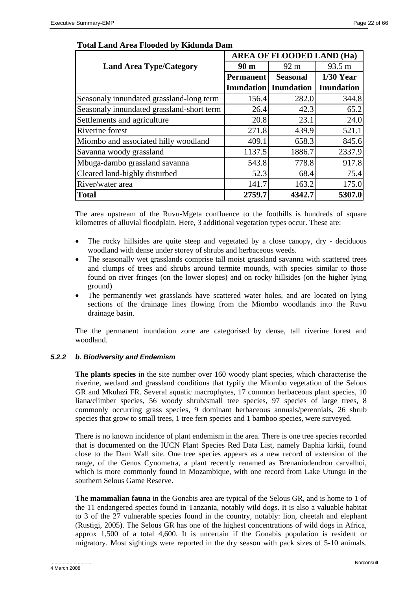|                                           | <b>AREA OF FLOODED LAND (Ha)</b> |                   |                   |  |  |
|-------------------------------------------|----------------------------------|-------------------|-------------------|--|--|
| <b>Land Area Type/Category</b>            | 90 <sub>m</sub>                  | 92 m              | 93.5 m            |  |  |
|                                           | <b>Permanent</b>                 | <b>Seasonal</b>   | $1/30$ Year       |  |  |
|                                           | <b>Inundation</b>                | <b>Inundation</b> | <b>Inundation</b> |  |  |
| Seasonaly innundated grassland-long term  | 156.4                            | 282.0             | 344.8             |  |  |
| Seasonaly innundated grassland-short term | 26.4                             | 42.3              | 65.2              |  |  |
| Settlements and agriculture               | 20.8                             | 23.1              | 24.0              |  |  |
| Riverine forest                           | 271.8                            | 439.9             | 521.1             |  |  |
| Miombo and associated hilly woodland      | 409.1                            | 658.3             | 845.6             |  |  |
| Savanna woody grassland                   | 1137.5                           | 1886.7            | 2337.9            |  |  |
| Mbuga-dambo grassland savanna             | 543.8                            | 778.8             | 917.8             |  |  |
| Cleared land-highly disturbed             | 52.3                             | 68.4              | 75.4              |  |  |
| River/water area                          | 141.7                            | 163.2             | 175.0             |  |  |
| <b>Total</b>                              | 2759.7                           | 4342.7            | 5307.0            |  |  |

# **Total Land Area Flooded by Kidunda Dam**

The area upstream of the Ruvu-Mgeta confluence to the foothills is hundreds of square kilometres of alluvial floodplain. Here, 3 additional vegetation types occur. These are:

- The rocky hillsides are quite steep and vegetated by a close canopy, dry deciduous woodland with dense under storey of shrubs and herbaceous weeds.
- The seasonally wet grasslands comprise tall moist grassland savanna with scattered trees and clumps of trees and shrubs around termite mounds, with species similar to those found on river fringes (on the lower slopes) and on rocky hillsides (on the higher lying ground)
- The permanently wet grasslands have scattered water holes, and are located on lying sections of the drainage lines flowing from the Miombo woodlands into the Ruvu drainage basin.

The the permanent inundation zone are categorised by dense, tall riverine forest and woodland.

# *5.2.2 b. Biodiversity and Endemism*

**The plants species** in the site number over 160 woody plant species, which characterise the riverine, wetland and grassland conditions that typify the Miombo vegetation of the Selous GR and Mkulazi FR. Several aquatic macrophytes, 17 common herbaceous plant species, 10 liana/climber species, 56 woody shrub/small tree species, 97 species of large trees, 8 commonly occurring grass species, 9 dominant herbaceous annuals/perennials, 26 shrub species that grow to small trees, 1 tree fern species and 1 bamboo species, were surveyed.

There is no known incidence of plant endemism in the area. There is one tree species recorded that is documented on the IUCN Plant Species Red Data List, namely Baphia kirkii, found close to the Dam Wall site. One tree species appears as a new record of extension of the range, of the Genus Cynometra, a plant recently renamed as Brenaniodendron carvalhoi, which is more commonly found in Mozambique, with one record from Lake Utungu in the southern Selous Game Reserve.

**The mammalian fauna** in the Gonabis area are typical of the Selous GR, and is home to 1 of the 11 endangered species found in Tanzania, notably wild dogs. It is also a valuable habitat to 3 of the 27 vulnerable species found in the country, notably: lion, cheetah and elephant (Rustigi, 2005). The Selous GR has one of the highest concentrations of wild dogs in Africa, approx 1,500 of a total 4,600. It is uncertain if the Gonabis population is resident or migratory. Most sightings were reported in the dry season with pack sizes of 5-10 animals.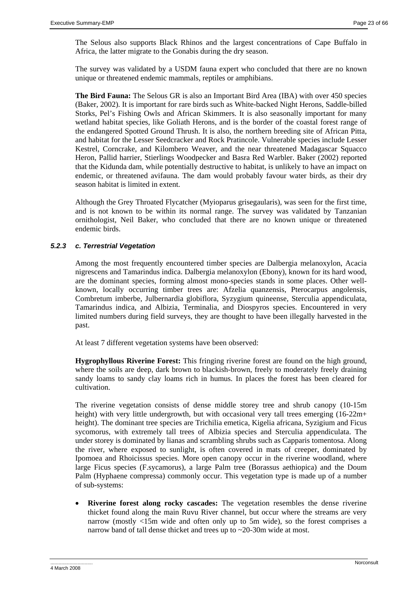The Selous also supports Black Rhinos and the largest concentrations of Cape Buffalo in Africa, the latter migrate to the Gonabis during the dry season.

The survey was validated by a USDM fauna expert who concluded that there are no known unique or threatened endemic mammals, reptiles or amphibians.

**The Bird Fauna:** The Selous GR is also an Important Bird Area (IBA) with over 450 species (Baker, 2002). It is important for rare birds such as White-backed Night Herons, Saddle-billed Storks, Pel's Fishing Owls and African Skimmers. It is also seasonally important for many wetland habitat species, like Goliath Herons, and is the border of the coastal forest range of the endangered Spotted Ground Thrush. It is also, the northern breeding site of African Pitta, and habitat for the Lesser Seedcracker and Rock Pratincole. Vulnerable species include Lesser Kestrel, Corncrake, and Kilombero Weaver, and the near threatened Madagascar Squacco Heron, Pallid harrier, Stierlings Woodpecker and Basra Red Warbler. Baker (2002) reported that the Kidunda dam, while potentially destructive to habitat, is unlikely to have an impact on endemic, or threatened avifauna. The dam would probably favour water birds, as their dry season habitat is limited in extent.

Although the Grey Throated Flycatcher (Myioparus grisegaularis), was seen for the first time, and is not known to be within its normal range. The survey was validated by Tanzanian ornithologist, Neil Baker, who concluded that there are no known unique or threatened endemic birds.

# *5.2.3 c. Terrestrial Vegetation*

Among the most frequently encountered timber species are Dalbergia melanoxylon, Acacia nigrescens and Tamarindus indica. Dalbergia melanoxylon (Ebony), known for its hard wood, are the dominant species, forming almost mono-species stands in some places. Other wellknown, locally occurring timber trees are: Afzelia quanzensis, Pterocarpus angolensis, Combretum imberbe, Julbernardia globiflora, Syzygium quineense, Sterculia appendiculata, Tamarindus indica, and Albizia, Terminalia, and Diospyros species. Encountered in very limited numbers during field surveys, they are thought to have been illegally harvested in the past.

At least 7 different vegetation systems have been observed:

**Hygrophyllous Riverine Forest:** This fringing riverine forest are found on the high ground, where the soils are deep, dark brown to blackish-brown, freely to moderately freely draining sandy loams to sandy clay loams rich in humus. In places the forest has been cleared for cultivation.

The riverine vegetation consists of dense middle storey tree and shrub canopy (10-15m height) with very little undergrowth, but with occasional very tall trees emerging (16-22m+ height). The dominant tree species are Trichilia emetica, Kigelia africana, Syzigium and Ficus sycomorus, with extremely tall trees of Albizia species and Sterculia appendiculata. The under storey is dominated by lianas and scrambling shrubs such as Capparis tomentosa. Along the river, where exposed to sunlight, is often covered in mats of creeper, dominated by Ipomoea and Rhoicissus species. More open canopy occur in the riverine woodland, where large Ficus species (F.sycamorus), a large Palm tree (Borassus aethiopica) and the Doum Palm (Hyphaene compressa) commonly occur. This vegetation type is made up of a number of sub-systems:

• **Riverine forest along rocky cascades:** The vegetation resembles the dense riverine thicket found along the main Ruvu River channel, but occur where the streams are very narrow (mostly <15m wide and often only up to 5m wide), so the forest comprises a narrow band of tall dense thicket and trees up to ~20-30m wide at most.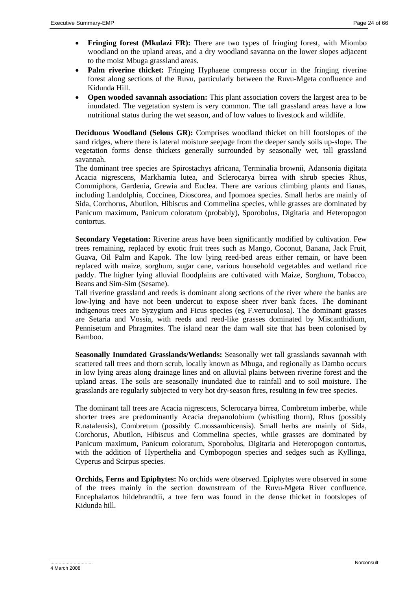- **Fringing forest (Mkulazi FR):** There are two types of fringing forest, with Miombo woodland on the upland areas, and a dry woodland savanna on the lower slopes adjacent to the moist Mbuga grassland areas.
- **Palm riverine thicket:** Fringing Hyphaene compressa occur in the fringing riverine forest along sections of the Ruvu, particularly between the Ruvu-Mgeta confluence and Kidunda Hill.
- **Open wooded savannah association:** This plant association covers the largest area to be inundated. The vegetation system is very common. The tall grassland areas have a low nutritional status during the wet season, and of low values to livestock and wildlife.

**Deciduous Woodland (Selous GR):** Comprises woodland thicket on hill footslopes of the sand ridges, where there is lateral moisture seepage from the deeper sandy soils up-slope. The vegetation forms dense thickets generally surrounded by seasonally wet, tall grassland savannah.

The dominant tree species are Spirostachys africana, Terminalia brownii, Adansonia digitata Acacia nigrescens, Markhamia lutea, and Sclerocarya birrea with shrub species Rhus, Commiphora, Gardenia, Grewia and Euclea. There are various climbing plants and lianas, including Landolphia, Coccinea, Dioscorea, and Ipomoea species. Small herbs are mainly of Sida, Corchorus, Abutilon, Hibiscus and Commelina species, while grasses are dominated by Panicum maximum, Panicum coloratum (probably), Sporobolus, Digitaria and Heteropogon contortus.

**Secondary Vegetation:** Riverine areas have been significantly modified by cultivation. Few trees remaining, replaced by exotic fruit trees such as Mango, Coconut, Banana, Jack Fruit, Guava, Oil Palm and Kapok. The low lying reed-bed areas either remain, or have been replaced with maize, sorghum, sugar cane, various household vegetables and wetland rice paddy. The higher lying alluvial floodplains are cultivated with Maize, Sorghum, Tobacco, Beans and Sim-Sim (Sesame).

Tall riverine grassland and reeds is dominant along sections of the river where the banks are low-lying and have not been undercut to expose sheer river bank faces. The dominant indigenous trees are Syzygium and Ficus species (eg F.verruculosa). The dominant grasses are Setaria and Vossia, with reeds and reed-like grasses dominated by Miscanthidium, Pennisetum and Phragmites. The island near the dam wall site that has been colonised by Bamboo.

**Seasonally Inundated Grasslands/Wetlands:** Seasonally wet tall grasslands savannah with scattered tall trees and thorn scrub, locally known as Mbuga, and regionally as Dambo occurs in low lying areas along drainage lines and on alluvial plains between riverine forest and the upland areas. The soils are seasonally inundated due to rainfall and to soil moisture. The grasslands are regularly subjected to very hot dry-season fires, resulting in few tree species.

The dominant tall trees are Acacia nigrescens, Sclerocarya birrea, Combretum imberbe, while shorter trees are predominantly Acacia drepanolobium (whistling thorn), Rhus (possibly R.natalensis), Combretum (possibly C.mossambicensis). Small herbs are mainly of Sida, Corchorus, Abutilon, Hibiscus and Commelina species, while grasses are dominated by Panicum maximum, Panicum coloratum, Sporobolus, Digitaria and Heteropogon contortus, with the addition of Hyperthelia and Cymbopogon species and sedges such as Kyllinga, Cyperus and Scirpus species.

**Orchids, Ferns and Epiphytes:** No orchids were observed. Epiphytes were observed in some of the trees mainly in the section downstream of the Ruvu-Mgeta River confluence. Encephalartos hildebrandtii, a tree fern was found in the dense thicket in footslopes of Kidunda hill.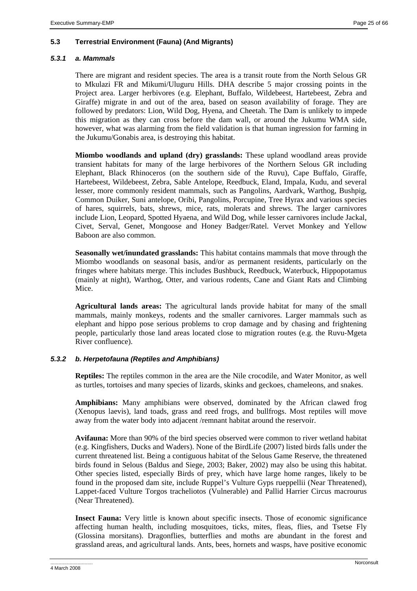# **5.3 Terrestrial Environment (Fauna) (And Migrants)**

# *5.3.1 a. Mammals*

There are migrant and resident species. The area is a transit route from the North Selous GR to Mkulazi FR and Mikumi/Uluguru Hills. DHA describe 5 major crossing points in the Project area. Larger herbivores (e.g. Elephant, Buffalo, Wildebeest, Hartebeest, Zebra and Giraffe) migrate in and out of the area, based on season availability of forage. They are followed by predators: Lion, Wild Dog, Hyena, and Cheetah. The Dam is unlikely to impede this migration as they can cross before the dam wall, or around the Jukumu WMA side, however, what was alarming from the field validation is that human ingression for farming in the Jukumu/Gonabis area, is destroying this habitat.

**Miombo woodlands and upland (dry) grasslands:** These upland woodland areas provide transient habitats for many of the large herbivores of the Northern Selous GR including Elephant, Black Rhinoceros (on the southern side of the Ruvu), Cape Buffalo, Giraffe, Hartebeest, Wildebeest, Zebra, Sable Antelope, Reedbuck, Eland, Impala, Kudu, and several lesser, more commonly resident mammals, such as Pangolins, Aardvark, Warthog, Bushpig, Common Duiker, Suni antelope, Oribi, Pangolins, Porcupine, Tree Hyrax and various species of hares, squirrels, bats, shrews, mice, rats, molerats and shrews. The larger carnivores include Lion, Leopard, Spotted Hyaena, and Wild Dog, while lesser carnivores include Jackal, Civet, Serval, Genet, Mongoose and Honey Badger/Ratel. Vervet Monkey and Yellow Baboon are also common.

**Seasonally wet/inundated grasslands:** This habitat contains mammals that move through the Miombo woodlands on seasonal basis, and/or as permanent residents, particularly on the fringes where habitats merge. This includes Bushbuck, Reedbuck, Waterbuck, Hippopotamus (mainly at night), Warthog, Otter, and various rodents, Cane and Giant Rats and Climbing Mice.

**Agricultural lands areas:** The agricultural lands provide habitat for many of the small mammals, mainly monkeys, rodents and the smaller carnivores. Larger mammals such as elephant and hippo pose serious problems to crop damage and by chasing and frightening people, particularly those land areas located close to migration routes (e.g. the Ruvu-Mgeta River confluence).

# *5.3.2 b. Herpetofauna (Reptiles and Amphibians)*

**Reptiles:** The reptiles common in the area are the Nile crocodile, and Water Monitor, as well as turtles, tortoises and many species of lizards, skinks and geckoes, chameleons, and snakes.

**Amphibians:** Many amphibians were observed, dominated by the African clawed frog (Xenopus laevis), land toads, grass and reed frogs, and bullfrogs. Most reptiles will move away from the water body into adjacent /remnant habitat around the reservoir.

**Avifauna:** More than 90% of the bird species observed were common to river wetland habitat (e.g. Kingfishers, Ducks and Waders). None of the BirdLife (2007) listed birds falls under the current threatened list. Being a contiguous habitat of the Selous Game Reserve, the threatened birds found in Selous (Baldus and Siege, 2003; Baker, 2002) may also be using this habitat. Other species listed, especially Birds of prey, which have large home ranges, likely to be found in the proposed dam site, include Ruppel's Vulture Gyps rueppellii (Near Threatened), Lappet-faced Vulture Torgos tracheliotos (Vulnerable) and Pallid Harrier Circus macrourus (Near Threatened).

**Insect Fauna:** Very little is known about specific insects. Those of economic significance affecting human health, including mosquitoes, ticks, mites, fleas, flies, and Tsetse Fly (Glossina morsitans). Dragonflies, butterflies and moths are abundant in the forest and grassland areas, and agricultural lands. Ants, bees, hornets and wasps, have positive economic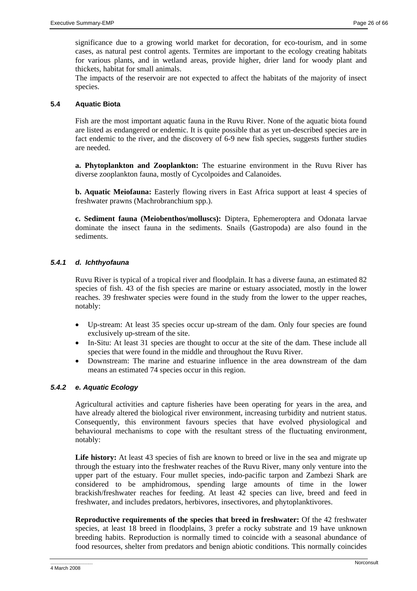significance due to a growing world market for decoration, for eco-tourism, and in some cases, as natural pest control agents. Termites are important to the ecology creating habitats for various plants, and in wetland areas, provide higher, drier land for woody plant and thickets, habitat for small animals.

The impacts of the reservoir are not expected to affect the habitats of the majority of insect species.

# **5.4 Aquatic Biota**

Fish are the most important aquatic fauna in the Ruvu River. None of the aquatic biota found are listed as endangered or endemic. It is quite possible that as yet un-described species are in fact endemic to the river, and the discovery of 6-9 new fish species, suggests further studies are needed.

**a. Phytoplankton and Zooplankton:** The estuarine environment in the Ruvu River has diverse zooplankton fauna, mostly of Cycolpoides and Calanoides.

**b. Aquatic Meiofauna:** Easterly flowing rivers in East Africa support at least 4 species of freshwater prawns (Machrobranchium spp.).

**c. Sediment fauna (Meiobenthos/molluscs):** Diptera, Ephemeroptera and Odonata larvae dominate the insect fauna in the sediments. Snails (Gastropoda) are also found in the sediments.

# *5.4.1 d. Ichthyofauna*

Ruvu River is typical of a tropical river and floodplain. It has a diverse fauna, an estimated 82 species of fish. 43 of the fish species are marine or estuary associated, mostly in the lower reaches. 39 freshwater species were found in the study from the lower to the upper reaches, notably:

- Up-stream: At least 35 species occur up-stream of the dam. Only four species are found exclusively up-stream of the site.
- In-Situ: At least 31 species are thought to occur at the site of the dam. These include all species that were found in the middle and throughout the Ruvu River.
- Downstream: The marine and estuarine influence in the area downstream of the dam means an estimated 74 species occur in this region.

# *5.4.2 e. Aquatic Ecology*

Agricultural activities and capture fisheries have been operating for years in the area, and have already altered the biological river environment, increasing turbidity and nutrient status. Consequently, this environment favours species that have evolved physiological and behavioural mechanisms to cope with the resultant stress of the fluctuating environment, notably:

Life history: At least 43 species of fish are known to breed or live in the sea and migrate up through the estuary into the freshwater reaches of the Ruvu River, many only venture into the upper part of the estuary. Four mullet species, indo-pacific tarpon and Zambezi Shark are considered to be amphidromous, spending large amounts of time in the lower brackish/freshwater reaches for feeding. At least 42 species can live, breed and feed in freshwater, and includes predators, herbivores, insectivores, and phytoplanktivores.

**Reproductive requirements of the species that breed in freshwater:** Of the 42 freshwater species, at least 18 breed in floodplains, 3 prefer a rocky substrate and 19 have unknown breeding habits. Reproduction is normally timed to coincide with a seasonal abundance of food resources, shelter from predators and benign abiotic conditions. This normally coincides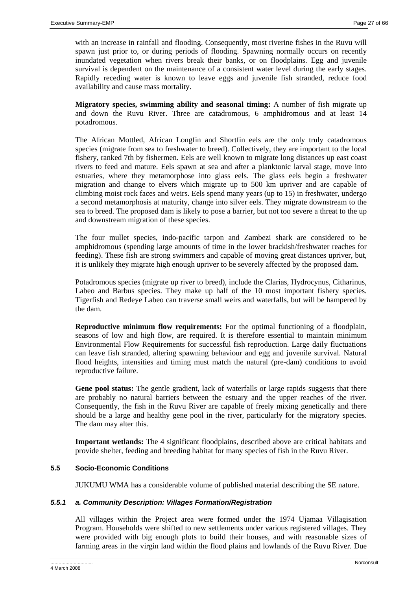with an increase in rainfall and flooding. Consequently, most riverine fishes in the Ruvu will spawn just prior to, or during periods of flooding. Spawning normally occurs on recently inundated vegetation when rivers break their banks, or on floodplains. Egg and juvenile survival is dependent on the maintenance of a consistent water level during the early stages. Rapidly receding water is known to leave eggs and juvenile fish stranded, reduce food availability and cause mass mortality.

**Migratory species, swimming ability and seasonal timing:** A number of fish migrate up and down the Ruvu River. Three are catadromous, 6 amphidromous and at least 14 potadromous.

The African Mottled, African Longfin and Shortfin eels are the only truly catadromous species (migrate from sea to freshwater to breed). Collectively, they are important to the local fishery, ranked 7th by fishermen. Eels are well known to migrate long distances up east coast rivers to feed and mature. Eels spawn at sea and after a planktonic larval stage, move into estuaries, where they metamorphose into glass eels. The glass eels begin a freshwater migration and change to elvers which migrate up to 500 km upriver and are capable of climbing moist rock faces and weirs. Eels spend many years (up to 15) in freshwater, undergo a second metamorphosis at maturity, change into silver eels. They migrate downstream to the sea to breed. The proposed dam is likely to pose a barrier, but not too severe a threat to the up and downstream migration of these species.

The four mullet species, indo-pacific tarpon and Zambezi shark are considered to be amphidromous (spending large amounts of time in the lower brackish/freshwater reaches for feeding). These fish are strong swimmers and capable of moving great distances upriver, but, it is unlikely they migrate high enough upriver to be severely affected by the proposed dam.

Potadromous species (migrate up river to breed), include the Clarias, Hydrocynus, Citharinus, Labeo and Barbus species. They make up half of the 10 most important fishery species. Tigerfish and Redeye Labeo can traverse small weirs and waterfalls, but will be hampered by the dam.

**Reproductive minimum flow requirements:** For the optimal functioning of a floodplain, seasons of low and high flow, are required. It is therefore essential to maintain minimum Environmental Flow Requirements for successful fish reproduction. Large daily fluctuations can leave fish stranded, altering spawning behaviour and egg and juvenile survival. Natural flood heights, intensities and timing must match the natural (pre-dam) conditions to avoid reproductive failure.

**Gene pool status:** The gentle gradient, lack of waterfalls or large rapids suggests that there are probably no natural barriers between the estuary and the upper reaches of the river. Consequently, the fish in the Ruvu River are capable of freely mixing genetically and there should be a large and healthy gene pool in the river, particularly for the migratory species. The dam may alter this.

**Important wetlands:** The 4 significant floodplains, described above are critical habitats and provide shelter, feeding and breeding habitat for many species of fish in the Ruvu River.

# **5.5 Socio-Economic Conditions**

JUKUMU WMA has a considerable volume of published material describing the SE nature.

# *5.5.1 a. Community Description: Villages Formation/Registration*

All villages within the Project area were formed under the 1974 Ujamaa Villagisation Program. Households were shifted to new settlements under various registered villages. They were provided with big enough plots to build their houses, and with reasonable sizes of farming areas in the virgin land within the flood plains and lowlands of the Ruvu River. Due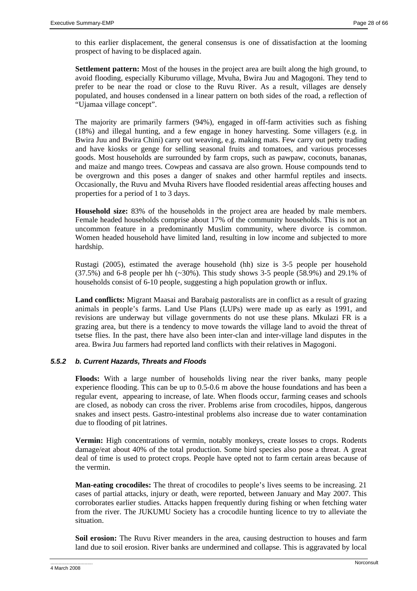to this earlier displacement, the general consensus is one of dissatisfaction at the looming prospect of having to be displaced again.

**Settlement pattern:** Most of the houses in the project area are built along the high ground, to avoid flooding, especially Kiburumo village, Mvuha, Bwira Juu and Magogoni. They tend to prefer to be near the road or close to the Ruvu River. As a result, villages are densely populated, and houses condensed in a linear pattern on both sides of the road, a reflection of "Ujamaa village concept".

The majority are primarily farmers (94%), engaged in off-farm activities such as fishing (18%) and illegal hunting, and a few engage in honey harvesting. Some villagers (e.g. in Bwira Juu and Bwira Chini) carry out weaving, e.g. making mats. Few carry out petty trading and have kiosks or genge for selling seasonal fruits and tomatoes, and various processes goods. Most households are surrounded by farm crops, such as pawpaw, coconuts, bananas, and maize and mango trees. Cowpeas and cassava are also grown. House compounds tend to be overgrown and this poses a danger of snakes and other harmful reptiles and insects. Occasionally, the Ruvu and Mvuha Rivers have flooded residential areas affecting houses and properties for a period of 1 to 3 days.

**Household size:** 83% of the households in the project area are headed by male members. Female headed households comprise about 17% of the community households. This is not an uncommon feature in a predominantly Muslim community, where divorce is common. Women headed household have limited land, resulting in low income and subjected to more hardship.

Rustagi (2005), estimated the average household (hh) size is 3-5 people per household  $(37.5%)$  and 6-8 people per hh  $(\sim 30%)$ . This study shows 3-5 people (58.9%) and 29.1% of households consist of 6-10 people, suggesting a high population growth or influx.

**Land conflicts:** Migrant Maasai and Barabaig pastoralists are in conflict as a result of grazing animals in people's farms. Land Use Plans (LUPs) were made up as early as 1991, and revisions are underway but village governments do not use these plans. Mkulazi FR is a grazing area, but there is a tendency to move towards the village land to avoid the threat of tsetse flies. In the past, there have also been inter-clan and inter-village land disputes in the area. Bwira Juu farmers had reported land conflicts with their relatives in Magogoni.

# *5.5.2 b. Current Hazards, Threats and Floods*

**Floods:** With a large number of households living near the river banks, many people experience flooding. This can be up to 0.5-0.6 m above the house foundations and has been a regular event, appearing to increase, of late. When floods occur, farming ceases and schools are closed, as nobody can cross the river. Problems arise from crocodiles, hippos, dangerous snakes and insect pests. Gastro-intestinal problems also increase due to water contamination due to flooding of pit latrines.

**Vermin:** High concentrations of vermin, notably monkeys, create losses to crops. Rodents damage/eat about 40% of the total production. Some bird species also pose a threat. A great deal of time is used to protect crops. People have opted not to farm certain areas because of the vermin.

**Man-eating crocodiles:** The threat of crocodiles to people's lives seems to be increasing. 21 cases of partial attacks, injury or death, were reported, between January and May 2007. This corroborates earlier studies. Attacks happen frequently during fishing or when fetching water from the river. The JUKUMU Society has a crocodile hunting licence to try to alleviate the situation.

**Soil erosion:** The Ruvu River meanders in the area, causing destruction to houses and farm land due to soil erosion. River banks are undermined and collapse. This is aggravated by local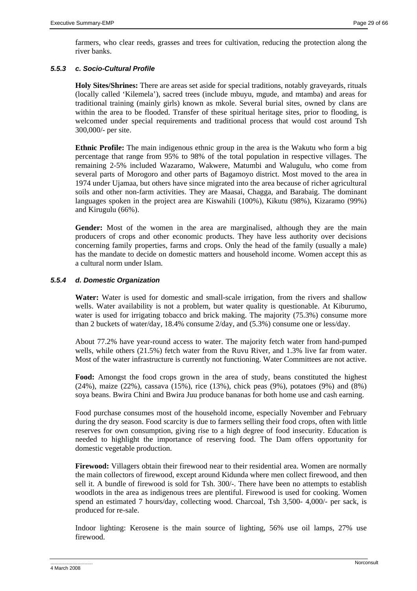farmers, who clear reeds, grasses and trees for cultivation, reducing the protection along the river banks.

# *5.5.3 c. Socio-Cultural Profile*

**Holy Sites/Shrines:** There are areas set aside for special traditions, notably graveyards, rituals (locally called 'Kilemela'), sacred trees (include mbuyu, mgude, and mtamba) and areas for traditional training (mainly girls) known as mkole. Several burial sites, owned by clans are within the area to be flooded. Transfer of these spiritual heritage sites, prior to flooding, is welcomed under special requirements and traditional process that would cost around Tsh 300,000/- per site.

**Ethnic Profile:** The main indigenous ethnic group in the area is the Wakutu who form a big percentage that range from 95% to 98% of the total population in respective villages. The remaining 2-5% included Wazaramo, Wakwere, Matumbi and Walugulu, who come from several parts of Morogoro and other parts of Bagamoyo district. Most moved to the area in 1974 under Ujamaa, but others have since migrated into the area because of richer agricultural soils and other non-farm activities. They are Maasai, Chagga, and Barabaig. The dominant languages spoken in the project area are Kiswahili (100%), Kikutu (98%), Kizaramo (99%) and Kirugulu (66%).

Gender: Most of the women in the area are marginalised, although they are the main producers of crops and other economic products. They have less authority over decisions concerning family properties, farms and crops. Only the head of the family (usually a male) has the mandate to decide on domestic matters and household income. Women accept this as a cultural norm under Islam.

# *5.5.4 d. Domestic Organization*

**Water:** Water is used for domestic and small-scale irrigation, from the rivers and shallow wells. Water availability is not a problem, but water quality is questionable. At Kiburumo, water is used for irrigating tobacco and brick making. The majority (75.3%) consume more than 2 buckets of water/day, 18.4% consume 2/day, and (5.3%) consume one or less/day.

About 77.2% have year-round access to water. The majority fetch water from hand-pumped wells, while others (21.5%) fetch water from the Ruvu River, and 1.3% live far from water. Most of the water infrastructure is currently not functioning. Water Committees are not active.

**Food:** Amongst the food crops grown in the area of study, beans constituted the highest (24%), maize (22%), cassava (15%), rice (13%), chick peas (9%), potatoes (9%) and (8%) soya beans. Bwira Chini and Bwira Juu produce bananas for both home use and cash earning.

Food purchase consumes most of the household income, especially November and February during the dry season. Food scarcity is due to farmers selling their food crops, often with little reserves for own consumption, giving rise to a high degree of food insecurity. Education is needed to highlight the importance of reserving food. The Dam offers opportunity for domestic vegetable production.

**Firewood:** Villagers obtain their firewood near to their residential area. Women are normally the main collectors of firewood, except around Kidunda where men collect firewood, and then sell it. A bundle of firewood is sold for Tsh. 300/-. There have been no attempts to establish woodlots in the area as indigenous trees are plentiful. Firewood is used for cooking. Women spend an estimated 7 hours/day, collecting wood. Charcoal, Tsh 3,500- 4,000/- per sack, is produced for re-sale.

Indoor lighting: Kerosene is the main source of lighting, 56% use oil lamps, 27% use firewood.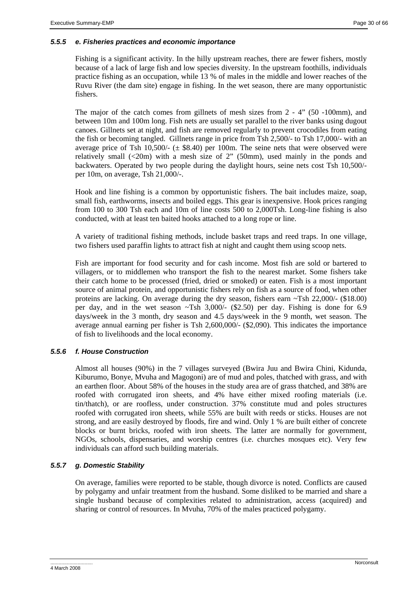# *5.5.5 e. Fisheries practices and economic importance*

Fishing is a significant activity. In the hilly upstream reaches, there are fewer fishers, mostly because of a lack of large fish and low species diversity. In the upstream foothills, individuals practice fishing as an occupation, while 13 % of males in the middle and lower reaches of the Ruvu River (the dam site) engage in fishing. In the wet season, there are many opportunistic fishers.

The major of the catch comes from gillnets of mesh sizes from 2 - 4" (50 -100mm), and between 10m and 100m long. Fish nets are usually set parallel to the river banks using dugout canoes. Gillnets set at night, and fish are removed regularly to prevent crocodiles from eating the fish or becoming tangled. Gillnets range in price from Tsh 2,500/- to Tsh 17,000/- with an average price of Tsh  $10,500/-(\pm \$8.40)$  per 100m. The seine nets that were observed were relatively small  $\ll 20$ m) with a mesh size of 2" (50mm), used mainly in the ponds and backwaters. Operated by two people during the daylight hours, seine nets cost Tsh 10,500/ per 10m, on average, Tsh 21,000/-.

Hook and line fishing is a common by opportunistic fishers. The bait includes maize, soap, small fish, earthworms, insects and boiled eggs. This gear is inexpensive. Hook prices ranging from 100 to 300 Tsh each and 10m of line costs 500 to 2,000Tsh. Long-line fishing is also conducted, with at least ten baited hooks attached to a long rope or line.

A variety of traditional fishing methods, include basket traps and reed traps. In one village, two fishers used paraffin lights to attract fish at night and caught them using scoop nets.

Fish are important for food security and for cash income. Most fish are sold or bartered to villagers, or to middlemen who transport the fish to the nearest market. Some fishers take their catch home to be processed (fried, dried or smoked) or eaten. Fish is a most important source of animal protein, and opportunistic fishers rely on fish as a source of food, when other proteins are lacking. On average during the dry season, fishers earn ~Tsh 22,000/- (\$18.00) per day, and in the wet season  $\sim$ Tsh 3,000/- (\$2.50) per day. Fishing is done for 6.9 days/week in the 3 month, dry season and 4.5 days/week in the 9 month, wet season. The average annual earning per fisher is Tsh 2,600,000/- (\$2,090). This indicates the importance of fish to livelihoods and the local economy.

# *5.5.6 f. House Construction*

Almost all houses (90%) in the 7 villages surveyed (Bwira Juu and Bwira Chini, Kidunda, Kiburumo, Bonye, Mvuha and Magogoni) are of mud and poles, thatched with grass, and with an earthen floor. About 58% of the houses in the study area are of grass thatched, and 38% are roofed with corrugated iron sheets, and 4% have either mixed roofing materials (i.e. tin/thatch), or are roofless, under construction. 37% constitute mud and poles structures roofed with corrugated iron sheets, while 55% are built with reeds or sticks. Houses are not strong, and are easily destroyed by floods, fire and wind. Only 1 % are built either of concrete blocks or burnt bricks, roofed with iron sheets. The latter are normally for government, NGOs, schools, dispensaries, and worship centres (i.e. churches mosques etc). Very few individuals can afford such building materials.

# *5.5.7 g. Domestic Stability*

On average, families were reported to be stable, though divorce is noted. Conflicts are caused by polygamy and unfair treatment from the husband. Some disliked to be married and share a single husband because of complexities related to administration, access (acquired) and sharing or control of resources. In Mvuha, 70% of the males practiced polygamy.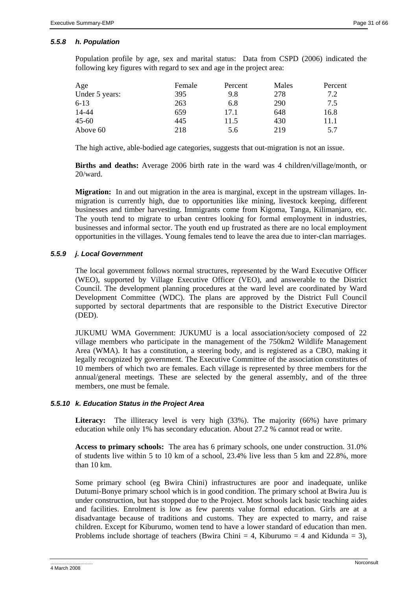# *5.5.8 h. Population*

Population profile by age, sex and marital status: Data from CSPD (2006) indicated the following key figures with regard to sex and age in the project area:

| Age            | Female | Percent | Males | Percent |
|----------------|--------|---------|-------|---------|
| Under 5 years: | 395    | 9.8     | 278   | 7.2     |
| 6-13           | 263    | 6.8     | 290   | 7.5     |
| 14-44          | 659    | 17.1    | 648   | 16.8    |
| 45-60          | 445    | 11.5    | 430   | 11.1    |
| Above 60       | 218    | 5.6     | 219   | 5.7     |

The high active, able-bodied age categories, suggests that out-migration is not an issue.

**Births and deaths:** Average 2006 birth rate in the ward was 4 children/village/month, or 20/ward.

**Migration:** In and out migration in the area is marginal, except in the upstream villages. Inmigration is currently high, due to opportunities like mining, livestock keeping, different businesses and timber harvesting. Immigrants come from Kigoma, Tanga, Kilimanjaro, etc. The youth tend to migrate to urban centres looking for formal employment in industries, businesses and informal sector. The youth end up frustrated as there are no local employment opportunities in the villages. Young females tend to leave the area due to inter-clan marriages.

# *5.5.9 j. Local Government*

The local government follows normal structures, represented by the Ward Executive Officer (WEO), supported by Village Executive Officer (VEO), and answerable to the District Council. The development planning procedures at the ward level are coordinated by Ward Development Committee (WDC). The plans are approved by the District Full Council supported by sectoral departments that are responsible to the District Executive Director (DED).

JUKUMU WMA Government: JUKUMU is a local association/society composed of 22 village members who participate in the management of the 750km2 Wildlife Management Area (WMA). It has a constitution, a steering body, and is registered as a CBO, making it legally recognized by government. The Executive Committee of the association constitutes of 10 members of which two are females. Each village is represented by three members for the annual/general meetings. These are selected by the general assembly, and of the three members, one must be female.

# *5.5.10 k. Education Status in the Project Area*

Literacy: The illiteracy level is very high (33%). The majority (66%) have primary education while only 1% has secondary education. About 27.2 % cannot read or write.

**Access to primary schools:** The area has 6 primary schools, one under construction. 31.0% of students live within 5 to 10 km of a school, 23.4% live less than 5 km and 22.8%, more than 10 km.

Some primary school (eg Bwira Chini) infrastructures are poor and inadequate, unlike Dutumi-Bonye primary school which is in good condition. The primary school at Bwira Juu is under construction, but has stopped due to the Project. Most schools lack basic teaching aides and facilities. Enrolment is low as few parents value formal education. Girls are at a disadvantage because of traditions and customs. They are expected to marry, and raise children. Except for Kiburumo, women tend to have a lower standard of education than men. Problems include shortage of teachers (Bwira Chini = 4, Kiburumo = 4 and Kidunda = 3),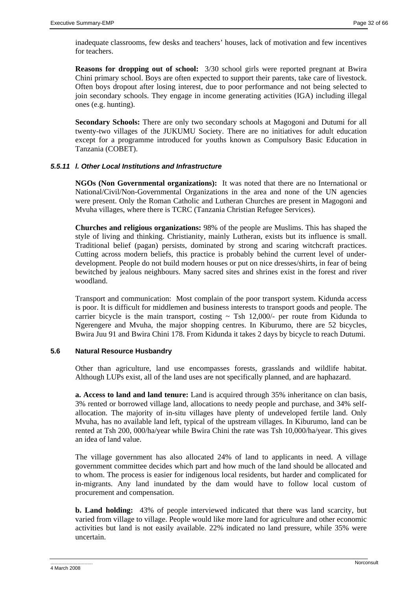inadequate classrooms, few desks and teachers' houses, lack of motivation and few incentives for teachers.

**Reasons for dropping out of school:** 3/30 school girls were reported pregnant at Bwira Chini primary school. Boys are often expected to support their parents, take care of livestock. Often boys dropout after losing interest, due to poor performance and not being selected to join secondary schools. They engage in income generating activities (IGA) including illegal ones (e.g. hunting).

**Secondary Schools:** There are only two secondary schools at Magogoni and Dutumi for all twenty-two villages of the JUKUMU Society. There are no initiatives for adult education except for a programme introduced for youths known as Compulsory Basic Education in Tanzania (COBET).

# *5.5.11 l. Other Local Institutions and Infrastructure*

**NGOs (Non Governmental organizations):** It was noted that there are no International or National/Civil/Non-Governmental Organizations in the area and none of the UN agencies were present. Only the Roman Catholic and Lutheran Churches are present in Magogoni and Mvuha villages, where there is TCRC (Tanzania Christian Refugee Services).

**Churches and religious organizations:** 98% of the people are Muslims. This has shaped the style of living and thinking. Christianity, mainly Lutheran, exists but its influence is small. Traditional belief (pagan) persists, dominated by strong and scaring witchcraft practices. Cutting across modern beliefs, this practice is probably behind the current level of underdevelopment. People do not build modern houses or put on nice dresses/shirts, in fear of being bewitched by jealous neighbours. Many sacred sites and shrines exist in the forest and river woodland.

Transport and communication: Most complain of the poor transport system. Kidunda access is poor. It is difficult for middlemen and business interests to transport goods and people. The carrier bicycle is the main transport, costing  $\sim$  Tsh 12,000/- per route from Kidunda to Ngerengere and Mvuha, the major shopping centres. In Kiburumo, there are 52 bicycles, Bwira Juu 91 and Bwira Chini 178. From Kidunda it takes 2 days by bicycle to reach Dutumi.

# **5.6 Natural Resource Husbandry**

Other than agriculture, land use encompasses forests, grasslands and wildlife habitat. Although LUPs exist, all of the land uses are not specifically planned, and are haphazard.

**a. Access to land and land tenure:** Land is acquired through 35% inheritance on clan basis, 3% rented or borrowed village land, allocations to needy people and purchase, and 34% selfallocation. The majority of in-situ villages have plenty of undeveloped fertile land. Only Mvuha, has no available land left, typical of the upstream villages. In Kiburumo, land can be rented at Tsh 200, 000/ha/year while Bwira Chini the rate was Tsh 10,000/ha/year. This gives an idea of land value.

The village government has also allocated 24% of land to applicants in need. A village government committee decides which part and how much of the land should be allocated and to whom. The process is easier for indigenous local residents, but harder and complicated for in-migrants. Any land inundated by the dam would have to follow local custom of procurement and compensation.

**b. Land holding:** 43% of people interviewed indicated that there was land scarcity, but varied from village to village. People would like more land for agriculture and other economic activities but land is not easily available. 22% indicated no land pressure, while 35% were uncertain.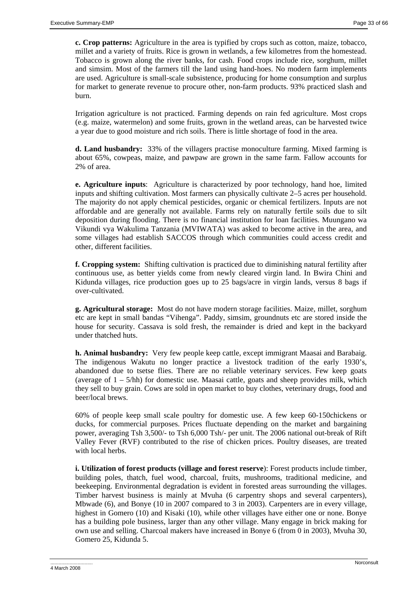**c. Crop patterns:** Agriculture in the area is typified by crops such as cotton, maize, tobacco, millet and a variety of fruits. Rice is grown in wetlands, a few kilometres from the homestead. Tobacco is grown along the river banks, for cash. Food crops include rice, sorghum, millet and simsim. Most of the farmers till the land using hand-hoes. No modern farm implements are used. Agriculture is small-scale subsistence, producing for home consumption and surplus for market to generate revenue to procure other, non-farm products. 93% practiced slash and burn.

Irrigation agriculture is not practiced. Farming depends on rain fed agriculture. Most crops (e.g. maize, watermelon) and some fruits, grown in the wetland areas, can be harvested twice a year due to good moisture and rich soils. There is little shortage of food in the area.

**d. Land husbandry:** 33% of the villagers practise monoculture farming. Mixed farming is about 65%, cowpeas, maize, and pawpaw are grown in the same farm. Fallow accounts for 2% of area.

**e. Agriculture inputs**: Agriculture is characterized by poor technology, hand hoe, limited inputs and shifting cultivation. Most farmers can physically cultivate 2–5 acres per household. The majority do not apply chemical pesticides, organic or chemical fertilizers. Inputs are not affordable and are generally not available. Farms rely on naturally fertile soils due to silt deposition during flooding. There is no financial institution for loan facilities. Muungano wa Vikundi vya Wakulima Tanzania (MVIWATA) was asked to become active in the area, and some villages had establish SACCOS through which communities could access credit and other, different facilities.

**f. Cropping system:** Shifting cultivation is practiced due to diminishing natural fertility after continuous use, as better yields come from newly cleared virgin land. In Bwira Chini and Kidunda villages, rice production goes up to 25 bags/acre in virgin lands, versus 8 bags if over-cultivated.

**g. Agricultural storage:** Most do not have modern storage facilities. Maize, millet, sorghum etc are kept in small bandas "Vihenga". Paddy, simsim, groundnuts etc are stored inside the house for security. Cassava is sold fresh, the remainder is dried and kept in the backyard under thatched huts.

**h. Animal husbandry:** Very few people keep cattle, except immigrant Maasai and Barabaig. The indigenous Wakutu no longer practice a livestock tradition of the early 1930's, abandoned due to tsetse flies. There are no reliable veterinary services. Few keep goats (average of  $1 - 5/h$ h) for domestic use. Maasai cattle, goats and sheep provides milk, which they sell to buy grain. Cows are sold in open market to buy clothes, veterinary drugs, food and beer/local brews.

60% of people keep small scale poultry for domestic use. A few keep 60-150chickens or ducks, for commercial purposes. Prices fluctuate depending on the market and bargaining power, averaging Tsh 3,500/- to Tsh 6,000 Tsh/- per unit. The 2006 national out-break of Rift Valley Fever (RVF) contributed to the rise of chicken prices. Poultry diseases, are treated with local herbs.

**i. Utilization of forest products (village and forest reserve**): Forest products include timber, building poles, thatch, fuel wood, charcoal, fruits, mushrooms, traditional medicine, and beekeeping. Environmental degradation is evident in forested areas surrounding the villages. Timber harvest business is mainly at Mvuha (6 carpentry shops and several carpenters), Mbwade (6), and Bonye (10 in 2007 compared to 3 in 2003). Carpenters are in every village, highest in Gomero (10) and Kisaki (10), while other villages have either one or none. Bonye has a building pole business, larger than any other village. Many engage in brick making for own use and selling. Charcoal makers have increased in Bonye 6 (from 0 in 2003), Mvuha 30, Gomero 25, Kidunda 5.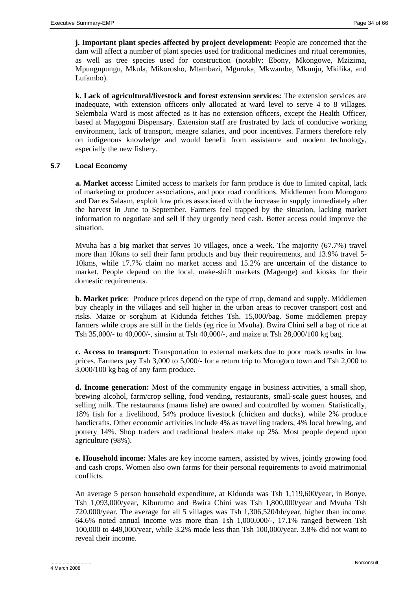**j. Important plant species affected by project development:** People are concerned that the dam will affect a number of plant species used for traditional medicines and ritual ceremonies, as well as tree species used for construction (notably: Ebony, Mkongowe, Mzizima, Mpungupungu, Mkula, Mikorosho, Mtambazi, Mguruka, Mkwambe, Mkunju, Mkilika, and Lufambo).

**k. Lack of agricultural/livestock and forest extension services:** The extension services are inadequate, with extension officers only allocated at ward level to serve 4 to 8 villages. Selembala Ward is most affected as it has no extension officers, except the Health Officer, based at Magogoni Dispensary. Extension staff are frustrated by lack of conducive working environment, lack of transport, meagre salaries, and poor incentives. Farmers therefore rely on indigenous knowledge and would benefit from assistance and modern technology, especially the new fishery.

# **5.7 Local Economy**

**a. Market access:** Limited access to markets for farm produce is due to limited capital, lack of marketing or producer associations, and poor road conditions. Middlemen from Morogoro and Dar es Salaam, exploit low prices associated with the increase in supply immediately after the harvest in June to September. Farmers feel trapped by the situation, lacking market information to negotiate and sell if they urgently need cash. Better access could improve the situation.

Mvuha has a big market that serves 10 villages, once a week. The majority (67.7%) travel more than 10kms to sell their farm products and buy their requirements, and 13.9% travel 5- 10kms, while 17.7% claim no market access and 15.2% are uncertain of the distance to market. People depend on the local, make-shift markets (Magenge) and kiosks for their domestic requirements.

**b. Market price**: Produce prices depend on the type of crop, demand and supply. Middlemen buy cheaply in the villages and sell higher in the urban areas to recover transport cost and risks. Maize or sorghum at Kidunda fetches Tsh. 15,000/bag. Some middlemen prepay farmers while crops are still in the fields (eg rice in Mvuha). Bwira Chini sell a bag of rice at Tsh 35,000/- to 40,000/-, simsim at Tsh 40,000/-, and maize at Tsh 28,000/100 kg bag.

**c. Access to transport**: Transportation to external markets due to poor roads results in low prices. Farmers pay Tsh 3,000 to 5,000/- for a return trip to Morogoro town and Tsh 2,000 to 3,000/100 kg bag of any farm produce.

**d. Income generation:** Most of the community engage in business activities, a small shop, brewing alcohol, farm/crop selling, food vending, restaurants, small-scale guest houses, and selling milk. The restaurants (mama lishe) are owned and controlled by women. Statistically, 18% fish for a livelihood, 54% produce livestock (chicken and ducks), while 2% produce handicrafts. Other economic activities include 4% as travelling traders, 4% local brewing, and pottery 14%. Shop traders and traditional healers make up 2%. Most people depend upon agriculture (98%).

**e. Household income:** Males are key income earners, assisted by wives, jointly growing food and cash crops. Women also own farms for their personal requirements to avoid matrimonial conflicts.

An average 5 person household expenditure, at Kidunda was Tsh 1,119,600/year, in Bonye, Tsh 1,093,000/year, Kiburumo and Bwira Chini was Tsh 1,800,000/year and Mvuha Tsh 720,000/year. The average for all 5 villages was Tsh 1,306,520/hh/year, higher than income. 64.6% noted annual income was more than Tsh 1,000,000/-, 17.1% ranged between Tsh 100,000 to 449,000/year, while 3.2% made less than Tsh 100,000/year. 3.8% did not want to reveal their income.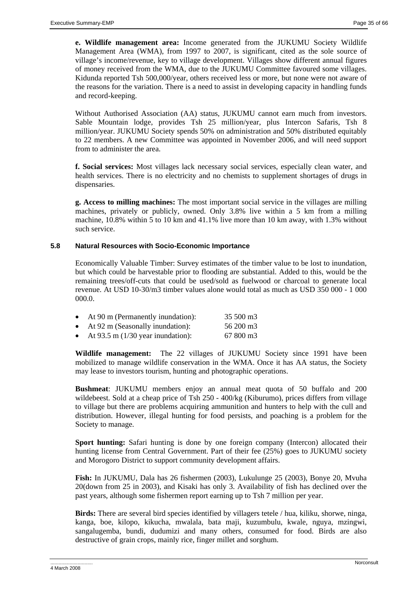**e. Wildlife management area:** Income generated from the JUKUMU Society Wildlife Management Area (WMA), from 1997 to 2007, is significant, cited as the sole source of village's income/revenue, key to village development. Villages show different annual figures of money received from the WMA, due to the JUKUMU Committee favoured some villages. Kidunda reported Tsh 500,000/year, others received less or more, but none were not aware of the reasons for the variation. There is a need to assist in developing capacity in handling funds and record-keeping.

Without Authorised Association (AA) status, JUKUMU cannot earn much from investors. Sable Mountain lodge, provides Tsh 25 million/year, plus Intercon Safaris, Tsh 8 million/year. JUKUMU Society spends 50% on administration and 50% distributed equitably to 22 members. A new Committee was appointed in November 2006, and will need support from to administer the area.

**f. Social services:** Most villages lack necessary social services, especially clean water, and health services. There is no electricity and no chemists to supplement shortages of drugs in dispensaries.

**g. Access to milling machines:** The most important social service in the villages are milling machines, privately or publicly, owned. Only 3.8% live within a 5 km from a milling machine, 10.8% within 5 to 10 km and 41.1% live more than 10 km away, with 1.3% without such service.

# **5.8 Natural Resources with Socio-Economic Importance**

Economically Valuable Timber: Survey estimates of the timber value to be lost to inundation, but which could be harvestable prior to flooding are substantial. Added to this, would be the remaining trees/off-cuts that could be used/sold as fuelwood or charcoal to generate local revenue. At USD 10-30/m3 timber values alone would total as much as USD 350 000 - 1 000 000.0.

| At 90 m (Permanently inundation):                                                                                                                                                                                                                                                                | 35 500 m3          |
|--------------------------------------------------------------------------------------------------------------------------------------------------------------------------------------------------------------------------------------------------------------------------------------------------|--------------------|
| At 92 m (Seasonally inundation):                                                                                                                                                                                                                                                                 | 56 200 m3          |
| $\mathbf{A}$ and $\mathbf{A}$ and $\mathbf{A}$ and $\mathbf{A}$ and $\mathbf{A}$ and $\mathbf{A}$ and $\mathbf{A}$ and $\mathbf{A}$ and $\mathbf{A}$ and $\mathbf{A}$ and $\mathbf{A}$ and $\mathbf{A}$ and $\mathbf{A}$ and $\mathbf{A}$ and $\mathbf{A}$ and $\mathbf{A}$ and $\mathbf{A}$ and | $\sim$ 0.00 $\sim$ |

• At 93.5 m (1/30 year inundation): 67 800 m3

**Wildlife management:** The 22 villages of JUKUMU Society since 1991 have been mobilized to manage wildlife conservation in the WMA. Once it has AA status, the Society may lease to investors tourism, hunting and photographic operations.

**Bushmeat**: JUKUMU members enjoy an annual meat quota of 50 buffalo and 200 wildebeest. Sold at a cheap price of Tsh 250 - 400/kg (Kiburumo), prices differs from village to village but there are problems acquiring ammunition and hunters to help with the cull and distribution. However, illegal hunting for food persists, and poaching is a problem for the Society to manage.

**Sport hunting:** Safari hunting is done by one foreign company (Intercon) allocated their hunting license from Central Government. Part of their fee (25%) goes to JUKUMU society and Morogoro District to support community development affairs.

**Fish:** In JUKUMU, Dala has 26 fishermen (2003), Lukulunge 25 (2003), Bonye 20, Mvuha 20(down from 25 in 2003), and Kisaki has only 3. Availability of fish has declined over the past years, although some fishermen report earning up to Tsh 7 million per year.

**Birds:** There are several bird species identified by villagers tetele / hua, kiliku, shorwe, ninga, kanga, boe, kilopo, kikucha, mwalala, bata maji, kuzumbulu, kwale, nguya, mzingwi, sangalugemba, bundi, dudumizi and many others, consumed for food. Birds are also destructive of grain crops, mainly rice, finger millet and sorghum.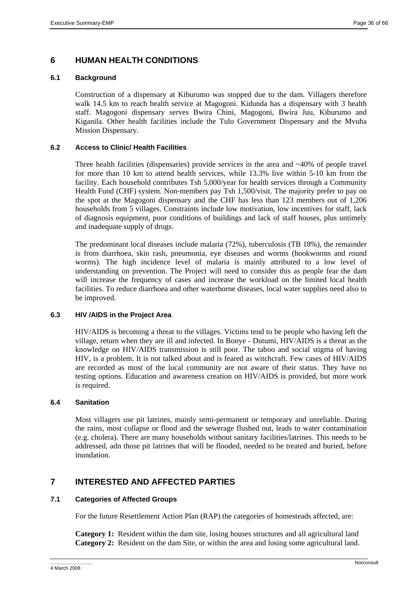# **6 HUMAN HEALTH CONDITIONS**

#### **6.1 Background**

Construction of a dispensary at Kiburumo was stopped due to the dam. Villagers therefore walk 14.5 km to reach health service at Magogoni. Kidunda has a dispensary with 3 health staff. Magogoni dispensary serves Bwira Chini, Magogoni, Bwira Juu, Kiburumo and Kiganila. Other health facilities include the Tulo Government Dispensary and the Mvuha Mission Dispensary.

#### **6.2 Access to Clinic/ Health Facilities**

Three health facilities (dispensaries) provide services in the area and  $\sim$ 40% of people travel for more than 10 km to attend health services, while 13.3% live within 5-10 km from the facility. Each household contributes Tsh 5,000/year for health services through a Community Health Fund (CHF) system. Non-members pay Tsh 1,500/visit. The majority prefer to pay on the spot at the Magogoni dispensary and the CHF has less than 123 members out of 1,206 households from 5 villages. Constraints include low motivation, low incentives for staff, lack of diagnosis equipment, poor conditions of buildings and lack of staff houses, plus untimely and inadequate supply of drugs.

The predominant local diseases include malaria (72%), tuberculosis (TB 18%), the remainder is from diarrhoea, skin rash, pneumonia, eye diseases and worms (hookworms and round worms). The high incidence level of malaria is mainly attributed to a low level of understanding on prevention. The Project will need to consider this as people fear the dam will increase the frequency of cases and increase the workload on the limited local health facilities. To reduce diarrhoea and other waterborne diseases, local water supplies need also to be improved.

# **6.3 HIV /AIDS in the Project Area**

HIV/AIDS is becoming a threat to the villages. Victims tend to be people who having left the village, return when they are ill and infected. In Bonye - Dutumi, HIV/AIDS is a threat as the knowledge on HIV/AIDS transmission is still poor. The taboo and social stigma of having HIV, is a problem. It is not talked about and is feared as witchcraft. Few cases of HIV/AIDS are recorded as most of the local community are not aware of their status. They have no testing options. Education and awareness creation on HIV/AIDS is provided, but more work is required.

# **6.4 Sanitation**

Most villagers use pit latrines, mainly semi-permanent or temporary and unreliable. During the rains, most collapse or flood and the sewerage flushed out, leads to water contamination (e.g. cholera). There are many households without sanitary facilities/latrines. This needs to be addressed, adn those pit latrines that will be flooded, needed to be treated and buried, before inundation.

# **7 INTERESTED AND AFFECTED PARTIES**

# **7.1 Categories of Affected Groups**

For the future Resettlement Action Plan (RAP) the categories of homesteads affected, are:

**Category 1:** Resident within the dam site, losing houses structures and all agricultural land **Category 2:** Resident on the dam Site, or within the area and losing some agricultural land.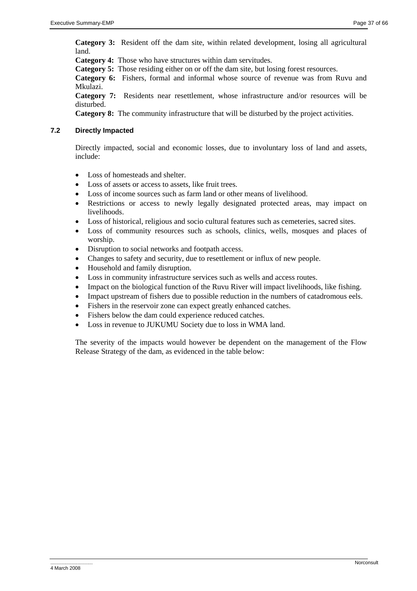**Category 3:** Resident off the dam site, within related development, losing all agricultural land.

**Category 4:** Those who have structures within dam servitudes.

**Category 5:** Those residing either on or off the dam site, but losing forest resources.

**Category 6:** Fishers, formal and informal whose source of revenue was from Ruvu and Mkulazi.

**Category 7:** Residents near resettlement, whose infrastructure and/or resources will be disturbed.

**Category 8:** The community infrastructure that will be disturbed by the project activities.

# **7.2 Directly Impacted**

Directly impacted, social and economic losses, due to involuntary loss of land and assets, include:

- Loss of homesteads and shelter.
- Loss of assets or access to assets, like fruit trees.
- Loss of income sources such as farm land or other means of livelihood.
- Restrictions or access to newly legally designated protected areas, may impact on livelihoods.
- Loss of historical, religious and socio cultural features such as cemeteries, sacred sites.
- Loss of community resources such as schools, clinics, wells, mosques and places of worship.
- Disruption to social networks and footpath access.
- Changes to safety and security, due to resettlement or influx of new people.
- Household and family disruption.
- Loss in community infrastructure services such as wells and access routes.
- Impact on the biological function of the Ruvu River will impact livelihoods, like fishing.
- Impact upstream of fishers due to possible reduction in the numbers of catadromous eels.
- Fishers in the reservoir zone can expect greatly enhanced catches.
- Fishers below the dam could experience reduced catches.
- Loss in revenue to JUKUMU Society due to loss in WMA land.

The severity of the impacts would however be dependent on the management of the Flow Release Strategy of the dam, as evidenced in the table below: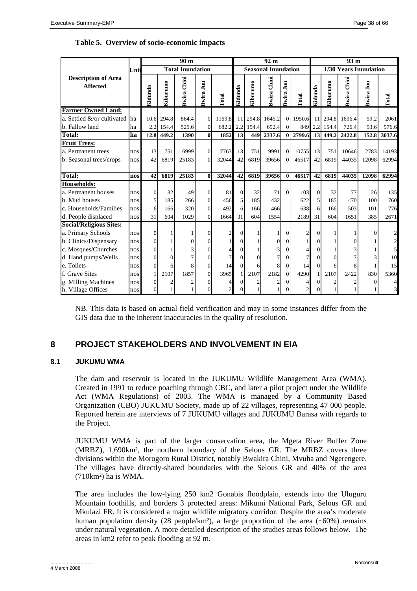|                                                                      |            |                |             | 90 <sub>m</sub>         |                      |                |                |             | 92 <sub>m</sub>            |                        |                | 93 <sub>m</sub>       |             |                    |               |                         |  |
|----------------------------------------------------------------------|------------|----------------|-------------|-------------------------|----------------------|----------------|----------------|-------------|----------------------------|------------------------|----------------|-----------------------|-------------|--------------------|---------------|-------------------------|--|
|                                                                      | Unit       |                |             | <b>Total Inundation</b> |                      |                |                |             | <b>Seasonal Inundation</b> |                        |                | 1/30 Years Inundation |             |                    |               |                         |  |
| <b>Description of Area</b><br><b>Affected</b>                        |            | Kidunda        | Kiburumo    | Chini<br>Bwira          | Bwira Juu            | Total          | Kidunda        | Kiburumo    | Chini<br>Bwira             | $\mathbf{I}$<br>Bwira. | <b>Total</b>   | Kidunda               | Kiburumo    | <b>Bwira Chini</b> | Bwira Juu     | Total                   |  |
| <b>Farmer Owned Land:</b>                                            |            |                |             |                         |                      |                |                |             |                            |                        |                |                       |             |                    |               |                         |  |
| a. Settled &/or cultivated ha                                        |            |                | 10.6 294.8  | 864.4                   | $\Omega$             | 1169.8         | 11             | 294.8       | 1645.2                     | $\Omega$               | 1950.6         | 11                    | 294.8       | 1696.4             | 59.2          | 2061                    |  |
| b. Fallow land                                                       | ha         | 2.2            | 154.4       | 525.6                   | $\overline{0}$       | 682.2          | 2.2            | 154.4       | 692.4                      | $\Omega$               |                | 849 2.2               | 154.4       | 726.4              | 93.6          | 976.6                   |  |
| <b>Total:</b>                                                        | ha         | 12.8           | 449.2       | 1390                    | $\mathbf{0}$         | 1852           | 13             | 449         | 2337.6                     | $\mathbf{0}$           | 2799.6         |                       | 13 449.2    | 2422.8             | 152.8         | 3037.6                  |  |
| <b>Fruit Trees:</b><br>a. Permanent trees<br>b. Seasonal trees/crops | nos<br>nos | 13<br>42       | 751<br>6819 | 6999<br>25183           | $\Omega$<br>$\Omega$ | 7763<br>32044  | 13<br>42       | 751<br>6819 | 9991<br>39656              | $\Omega$<br>$\Omega$   | 10755<br>46517 | 13<br>42              | 751<br>6819 | 10646<br>44035     | 2783<br>12098 | 14193<br>62994          |  |
| Total:                                                               | nos        | 42             | 6819        | 25183                   | $\mathbf{0}$         | 32044          | 42             | 6819        | 39656                      | $\bf{0}$               | 46517          | 42                    | 6819        | 44035              | 12098         | 62994                   |  |
| Households:                                                          |            |                |             |                         |                      |                |                |             |                            |                        |                |                       |             |                    |               |                         |  |
| a. Permanent houses                                                  | nos        | $\theta$       | 32          | 49                      | $\Omega$             | 81             | $\overline{0}$ | 32          | 71                         | $\Omega$               | 103            | $\Omega$              | 32          | 77                 | 26            | 135                     |  |
| b. Mud houses                                                        | nos        | 5              | 185         | 266                     | $\Omega$             | 456            | 5              | 185         | 432                        |                        | 622            | 5                     | 185         | 470                | 100           | 760                     |  |
| c. Households/Families                                               | nos        | 6              | 166         | 320                     | $\Omega$             | 492            | 6              | 166         | 466                        |                        | 638            | 6                     | 166         | 503                | 101           | 776                     |  |
| d. People displaced                                                  | nos        | 31             | 604         | 1029                    | $\Omega$             | 1664           | 31             | 604         | 1554                       |                        | 2189           | 31                    | 604         | 1651               | 385           | 2671                    |  |
| <b>Social/Religious Sites:</b><br>a. Primary Schools                 | nos        | $\Omega$       |             |                         | $\Omega$             |                | 0              |             |                            | $\Omega$               | $\overline{c}$ |                       |             |                    | 0             | $\overline{\mathbf{c}}$ |  |
| b. Clinics/Dispensary                                                | nos        | $\theta$       |             |                         | $\Omega$             |                | 0              |             |                            | $\Omega$               |                |                       |             |                    |               | $\overline{c}$          |  |
| c. Mosques/Churches                                                  | nos        | $\theta$       |             |                         | $\Omega$             |                |                |             |                            | 0                      |                | 0                     |             |                    |               | 5                       |  |
| d. Hand pumps/Wells                                                  | nos        | $\overline{0}$ | $\Omega$    |                         | $\Omega$             |                | 0              |             |                            | $\Omega$               |                | $\theta$              |             |                    |               | 10                      |  |
| e. Toilets                                                           | nos        | $\theta$       | 6           | 8                       | $\Omega$             | 14             | $\Omega$       | 6           |                            | $\overline{0}$         | 14             | $\Omega$              | 6           |                    |               | 15                      |  |
| f. Grave Sites                                                       | nos        |                | 2107        | 1857                    | $\Omega$             | 3965           |                | 2107        | 2182                       | $\Omega$               | 4290           | $\mathbf{1}$          | 2107        | 2422               | 830           | 5360                    |  |
| g. Milling Machines                                                  | nos        | 0              |             |                         | 0                    | 4              |                |             |                            | $\Omega$               | 4              |                       |             |                    | $\Omega$      | 4                       |  |
| h. Village Offices                                                   | nos        | $\Omega$       |             |                         | $\Omega$             | $\overline{2}$ |                |             |                            | $\Omega$               | $\overline{c}$ |                       |             |                    |               | $\overline{\mathbf{3}}$ |  |

# **Table 5. Overview of socio-economic impacts**

NB. This data is based on actual field verification and may in some instances differ from the GIS data due to the inherent inaccuracies in the quality of resolution.

# **8 PROJECT STAKEHOLDERS AND INVOLVEMENT IN EIA**

# **8.1 JUKUMU WMA**

The dam and reservoir is located in the JUKUMU Wildlife Management Area (WMA). Created in 1991 to reduce poaching through CBC, and later a pilot project under the Wildlife Act (WMA Regulations) of 2003. The WMA is managed by a Community Based Organization (CBO) JUKUMU Society, made up of 22 villages, representing 47 000 people. Reported herein are interviews of 7 JUKUMU villages and JUKUMU Barasa with regards to the Project.

JUKUMU WMA is part of the larger conservation area, the Mgeta River Buffer Zone (MRBZ), 1,690km², the northern boundary of the Selous GR. The MRBZ covers three divisions within the Morogoro Rural District, notably Bwakira Chini, Mvuha and Ngerengere. The villages have directly-shared boundaries with the Selous GR and 40% of the area  $(710 \text{km}^2)$  ha is WMA.

The area includes the low-lying 250 km2 Gonabis floodplain, extends into the Uluguru Mountain foothills, and borders 3 protected areas: Mikumi National Park, Selous GR and Mkulazi FR. It is considered a major wildlife migratory corridor. Despite the area's moderate human population density (28 people/km<sup>2</sup>), a large proportion of the area ( $\sim 60\%$ ) remains under natural vegetation. A more detailed description of the studies areas follows below. The areas in km2 refer to peak flooding at 92 m.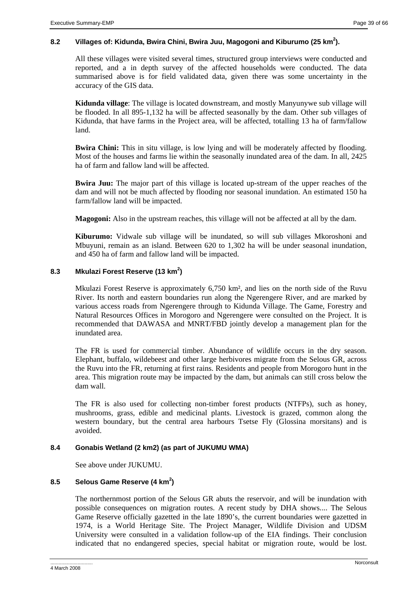# 8.2 Villages of: Kidunda, Bwira Chini, Bwira Juu, Magogoni and Kiburumo (25 km<sup>2</sup>).

All these villages were visited several times, structured group interviews were conducted and reported, and a in depth survey of the affected households were conducted. The data summarised above is for field validated data, given there was some uncertainty in the accuracy of the GIS data.

**Kidunda village**: The village is located downstream, and mostly Manyunywe sub village will be flooded. In all 895-1,132 ha will be affected seasonally by the dam. Other sub villages of Kidunda, that have farms in the Project area, will be affected, totalling 13 ha of farm/fallow land.

**Bwira Chini:** This in situ village, is low lying and will be moderately affected by flooding. Most of the houses and farms lie within the seasonally inundated area of the dam. In all, 2425 ha of farm and fallow land will be affected.

**Bwira Juu:** The major part of this village is located up-stream of the upper reaches of the dam and will not be much affected by flooding nor seasonal inundation. An estimated 150 ha farm/fallow land will be impacted.

**Magogoni:** Also in the upstream reaches, this village will not be affected at all by the dam.

**Kiburumo:** Vidwale sub village will be inundated, so will sub villages Mkoroshoni and Mbuyuni, remain as an island. Between 620 to 1,302 ha will be under seasonal inundation, and 450 ha of farm and fallow land will be impacted.

# **8.3 Mkulazi Forest Reserve (13 km<sup>2</sup> )**

Mkulazi Forest Reserve is approximately 6,750 km², and lies on the north side of the Ruvu River. Its north and eastern boundaries run along the Ngerengere River, and are marked by various access roads from Ngerengere through to Kidunda Village. The Game, Forestry and Natural Resources Offices in Morogoro and Ngerengere were consulted on the Project. It is recommended that DAWASA and MNRT/FBD jointly develop a management plan for the inundated area.

The FR is used for commercial timber. Abundance of wildlife occurs in the dry season. Elephant, buffalo, wildebeest and other large herbivores migrate from the Selous GR, across the Ruvu into the FR, returning at first rains. Residents and people from Morogoro hunt in the area. This migration route may be impacted by the dam, but animals can still cross below the dam wall.

The FR is also used for collecting non-timber forest products (NTFPs), such as honey, mushrooms, grass, edible and medicinal plants. Livestock is grazed, common along the western boundary, but the central area harbours Tsetse Fly (Glossina morsitans) and is avoided.

# **8.4 Gonabis Wetland (2 km2) (as part of JUKUMU WMA)**

See above under JUKUMU.

# **8.5 Selous Game Reserve (4 km<sup>2</sup> )**

The northernmost portion of the Selous GR abuts the reservoir, and will be inundation with possible consequences on migration routes. A recent study by DHA shows.... The Selous Game Reserve officially gazetted in the late 1890's, the current boundaries were gazetted in 1974, is a World Heritage Site. The Project Manager, Wildlife Division and UDSM University were consulted in a validation follow-up of the EIA findings. Their conclusion indicated that no endangered species, special habitat or migration route, would be lost.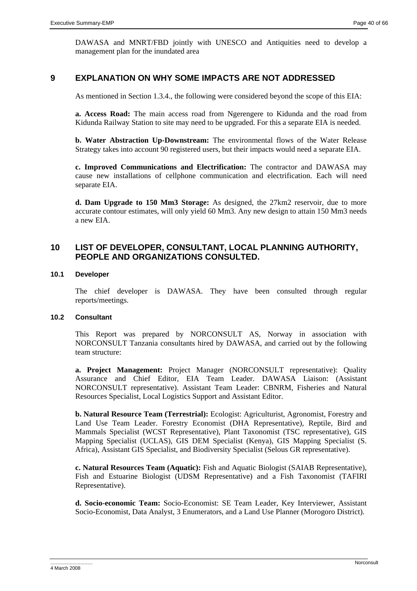DAWASA and MNRT/FBD jointly with UNESCO and Antiquities need to develop a management plan for the inundated area

# **9 EXPLANATION ON WHY SOME IMPACTS ARE NOT ADDRESSED**

As mentioned in Section 1.3.4., the following were considered beyond the scope of this EIA:

**a. Access Road:** The main access road from Ngerengere to Kidunda and the road from Kidunda Railway Station to site may need to be upgraded. For this a separate EIA is needed.

**b. Water Abstraction Up-Downstream:** The environmental flows of the Water Release Strategy takes into account 90 registered users, but their impacts would need a separate EIA.

**c. Improved Communications and Electrification:** The contractor and DAWASA may cause new installations of cellphone communication and electrification. Each will need separate EIA.

**d. Dam Upgrade to 150 Mm3 Storage:** As designed, the 27km2 reservoir, due to more accurate contour estimates, will only yield 60 Mm3. Any new design to attain 150 Mm3 needs a new EIA.

# **10 LIST OF DEVELOPER, CONSULTANT, LOCAL PLANNING AUTHORITY, PEOPLE AND ORGANIZATIONS CONSULTED.**

#### **10.1 Developer**

The chief developer is DAWASA. They have been consulted through regular reports/meetings.

# **10.2 Consultant**

This Report was prepared by NORCONSULT AS, Norway in association with NORCONSULT Tanzania consultants hired by DAWASA, and carried out by the following team structure:

**a. Project Management:** Project Manager (NORCONSULT representative): Quality Assurance and Chief Editor, EIA Team Leader. DAWASA Liaison: (Assistant NORCONSULT representative). Assistant Team Leader: CBNRM, Fisheries and Natural Resources Specialist, Local Logistics Support and Assistant Editor.

**b. Natural Resource Team (Terrestrial):** Ecologist: Agriculturist, Agronomist, Forestry and Land Use Team Leader. Forestry Economist (DHA Representative), Reptile, Bird and Mammals Specialist (WCST Representative), Plant Taxonomist (TSC representative), GIS Mapping Specialist (UCLAS), GIS DEM Specialist (Kenya), GIS Mapping Specialist (S. Africa), Assistant GIS Specialist, and Biodiversity Specialist (Selous GR representative).

**c. Natural Resources Team (Aquatic):** Fish and Aquatic Biologist (SAIAB Representative), Fish and Estuarine Biologist (UDSM Representative) and a Fish Taxonomist (TAFIRI Representative).

**d. Socio-economic Team:** Socio-Economist: SE Team Leader, Key Interviewer, Assistant Socio-Economist, Data Analyst, 3 Enumerators, and a Land Use Planner (Morogoro District).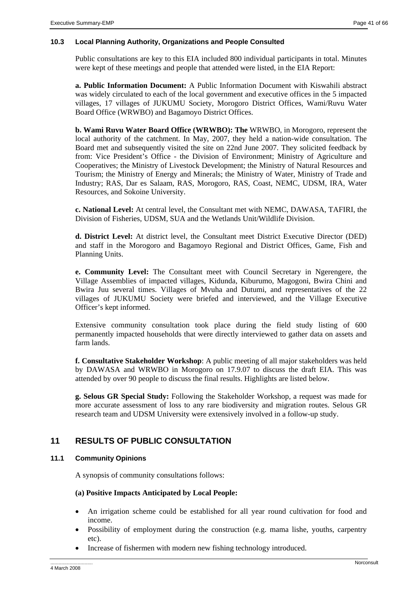# **10.3 Local Planning Authority, Organizations and People Consulted**

Public consultations are key to this EIA included 800 individual participants in total. Minutes were kept of these meetings and people that attended were listed, in the EIA Report:

**a. Public Information Document:** A Public Information Document with Kiswahili abstract was widely circulated to each of the local government and executive offices in the 5 impacted villages, 17 villages of JUKUMU Society, Morogoro District Offices, Wami/Ruvu Water Board Office (WRWBO) and Bagamoyo District Offices.

**b. Wami Ruvu Water Board Office (WRWBO): The** WRWBO, in Morogoro, represent the local authority of the catchment. In May, 2007, they held a nation-wide consultation. The Board met and subsequently visited the site on 22nd June 2007. They solicited feedback by from: Vice President's Office - the Division of Environment; Ministry of Agriculture and Cooperatives; the Ministry of Livestock Development; the Ministry of Natural Resources and Tourism; the Ministry of Energy and Minerals; the Ministry of Water, Ministry of Trade and Industry; RAS, Dar es Salaam, RAS, Morogoro, RAS, Coast, NEMC, UDSM, IRA, Water Resources, and Sokoine University.

**c. National Level:** At central level, the Consultant met with NEMC, DAWASA, TAFIRI, the Division of Fisheries, UDSM, SUA and the Wetlands Unit/Wildlife Division.

**d. District Level:** At district level, the Consultant meet District Executive Director (DED) and staff in the Morogoro and Bagamoyo Regional and District Offices, Game, Fish and Planning Units.

**e. Community Level:** The Consultant meet with Council Secretary in Ngerengere, the Village Assemblies of impacted villages, Kidunda, Kiburumo, Magogoni, Bwira Chini and Bwira Juu several times. Villages of Mvuha and Dutumi, and representatives of the 22 villages of JUKUMU Society were briefed and interviewed, and the Village Executive Officer's kept informed.

Extensive community consultation took place during the field study listing of 600 permanently impacted households that were directly interviewed to gather data on assets and farm lands.

**f. Consultative Stakeholder Workshop**: A public meeting of all major stakeholders was held by DAWASA and WRWBO in Morogoro on 17.9.07 to discuss the draft EIA. This was attended by over 90 people to discuss the final results. Highlights are listed below.

**g. Selous GR Special Study:** Following the Stakeholder Workshop, a request was made for more accurate assessment of loss to any rare biodiversity and migration routes. Selous GR research team and UDSM University were extensively involved in a follow-up study.

# **11 RESULTS OF PUBLIC CONSULTATION**

# **11.1 Community Opinions**

A synopsis of community consultations follows:

# **(a) Positive Impacts Anticipated by Local People:**

- An irrigation scheme could be established for all year round cultivation for food and income.
- Possibility of employment during the construction (e.g. mama lishe, youths, carpentry etc).
- Increase of fishermen with modern new fishing technology introduced.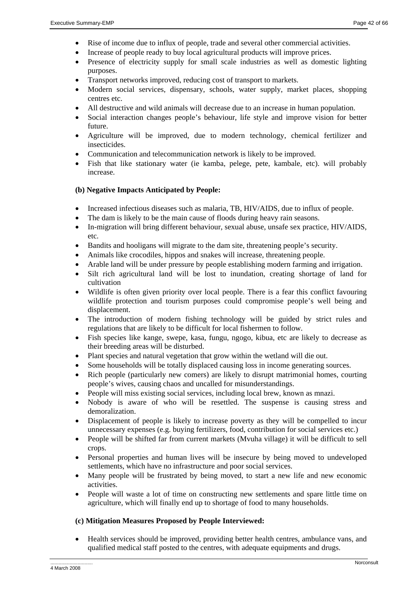- Rise of income due to influx of people, trade and several other commercial activities.
- Increase of people ready to buy local agricultural products will improve prices.
- Presence of electricity supply for small scale industries as well as domestic lighting purposes.
- Transport networks improved, reducing cost of transport to markets.
- Modern social services, dispensary, schools, water supply, market places, shopping centres etc.
- All destructive and wild animals will decrease due to an increase in human population.
- Social interaction changes people's behaviour, life style and improve vision for better future.
- Agriculture will be improved, due to modern technology, chemical fertilizer and insecticides.
- Communication and telecommunication network is likely to be improved.
- Fish that like stationary water (ie kamba, pelege, pete, kambale, etc). will probably increase.

# **(b) Negative Impacts Anticipated by People:**

- Increased infectious diseases such as malaria, TB, HIV/AIDS, due to influx of people.
- The dam is likely to be the main cause of floods during heavy rain seasons.
- In-migration will bring different behaviour, sexual abuse, unsafe sex practice, HIV/AIDS, etc.
- Bandits and hooligans will migrate to the dam site, threatening people's security.
- Animals like crocodiles, hippos and snakes will increase, threatening people.
- Arable land will be under pressure by people establishing modern farming and irrigation.
- Silt rich agricultural land will be lost to inundation, creating shortage of land for cultivation
- Wildlife is often given priority over local people. There is a fear this conflict favouring wildlife protection and tourism purposes could compromise people's well being and displacement.
- The introduction of modern fishing technology will be guided by strict rules and regulations that are likely to be difficult for local fishermen to follow.
- Fish species like kange, swepe, kasa, fungu, ngogo, kibua, etc are likely to decrease as their breeding areas will be disturbed.
- Plant species and natural vegetation that grow within the wetland will die out.
- Some households will be totally displaced causing loss in income generating sources.
- Rich people (particularly new comers) are likely to disrupt matrimonial homes, courting people's wives, causing chaos and uncalled for misunderstandings.
- People will miss existing social services, including local brew, known as mnazi.
- Nobody is aware of who will be resettled. The suspense is causing stress and demoralization.
- Displacement of people is likely to increase poverty as they will be compelled to incur unnecessary expenses (e.g. buying fertilizers, food, contribution for social services etc.)
- People will be shifted far from current markets (Mvuha village) it will be difficult to sell crops.
- Personal properties and human lives will be insecure by being moved to undeveloped settlements, which have no infrastructure and poor social services.
- Many people will be frustrated by being moved, to start a new life and new economic activities.
- People will waste a lot of time on constructing new settlements and spare little time on agriculture, which will finally end up to shortage of food to many households.

# **(c) Mitigation Measures Proposed by People Interviewed:**

• Health services should be improved, providing better health centres, ambulance vans, and qualified medical staff posted to the centres, with adequate equipments and drugs.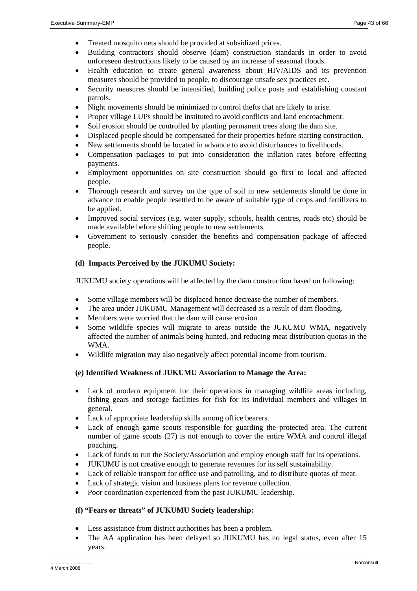- Treated mosquito nets should be provided at subsidized prices.
- Building contractors should observe (dam) construction standards in order to avoid unforeseen destructions likely to be caused by an increase of seasonal floods.
- Health education to create general awareness about HIV/AIDS and its prevention measures should be provided to people, to discourage unsafe sex practices etc.
- Security measures should be intensified, building police posts and establishing constant patrols.
- Night movements should be minimized to control thefts that are likely to arise.
- Proper village LUPs should be instituted to avoid conflicts and land encroachment.
- Soil erosion should be controlled by planting permanent trees along the dam site.
- Displaced people should be compensated for their properties before starting construction.
- New settlements should be located in advance to avoid disturbances to livelihoods.
- Compensation packages to put into consideration the inflation rates before effecting payments.
- Employment opportunities on site construction should go first to local and affected people.
- Thorough research and survey on the type of soil in new settlements should be done in advance to enable people resettled to be aware of suitable type of crops and fertilizers to be applied.
- Improved social services (e.g. water supply, schools, health centres, roads etc) should be made available before shifting people to new settlements.
- Government to seriously consider the benefits and compensation package of affected people.

# **(d) Impacts Perceived by the JUKUMU Society:**

JUKUMU society operations will be affected by the dam construction based on following:

- Some village members will be displaced hence decrease the number of members.
- The area under JUKUMU Management will decreased as a result of dam flooding.
- Members were worried that the dam will cause erosion
- Some wildlife species will migrate to areas outside the JUKUMU WMA, negatively affected the number of animals being hunted, and reducing meat distribution quotas in the WMA.
- Wildlife migration may also negatively affect potential income from tourism.

# **(e) Identified Weakness of JUKUMU Association to Manage the Area:**

- Lack of modern equipment for their operations in managing wildlife areas including, fishing gears and storage facilities for fish for its individual members and villages in general.
- Lack of appropriate leadership skills among office bearers.
- Lack of enough game scouts responsible for guarding the protected area. The current number of game scouts (27) is not enough to cover the entire WMA and control illegal poaching.
- Lack of funds to run the Society/Association and employ enough staff for its operations.
- JUKUMU is not creative enough to generate revenues for its self sustainability.
- Lack of reliable transport for office use and patrolling, and to distribute quotas of meat.
- Lack of strategic vision and business plans for revenue collection.
- Poor coordination experienced from the past JUKUMU leadership.

# **(f) "Fears or threats" of JUKUMU Society leadership:**

- Less assistance from district authorities has been a problem.
- The AA application has been delayed so JUKUMU has no legal status, even after 15 years.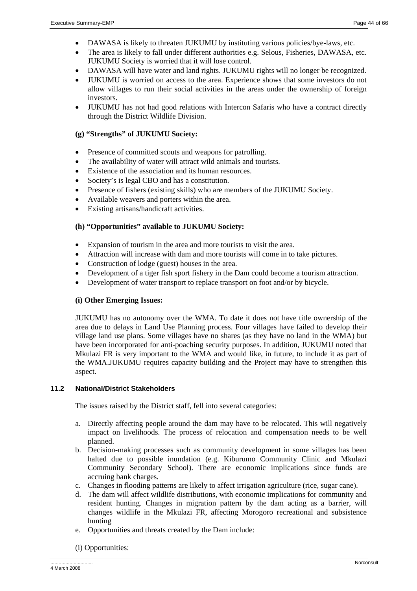- DAWASA is likely to threaten JUKUMU by instituting various policies/bye-laws, etc.
- The area is likely to fall under different authorities e.g. Selous, Fisheries, DAWASA, etc. JUKUMU Society is worried that it will lose control.
- DAWASA will have water and land rights. JUKUMU rights will no longer be recognized.
- JUKUMU is worried on access to the area. Experience shows that some investors do not allow villages to run their social activities in the areas under the ownership of foreign investors.
- JUKUMU has not had good relations with Intercon Safaris who have a contract directly through the District Wildlife Division.

# **(g) "Strengths" of JUKUMU Society:**

- Presence of committed scouts and weapons for patrolling.
- The availability of water will attract wild animals and tourists.
- Existence of the association and its human resources.
- Society's is legal CBO and has a constitution.
- Presence of fishers (existing skills) who are members of the JUKUMU Society.
- Available weavers and porters within the area.
- Existing artisans/handicraft activities.

# **(h) "Opportunities" available to JUKUMU Society:**

- Expansion of tourism in the area and more tourists to visit the area.
- Attraction will increase with dam and more tourists will come in to take pictures.
- Construction of lodge (guest) houses in the area.
- Development of a tiger fish sport fishery in the Dam could become a tourism attraction.
- Development of water transport to replace transport on foot and/or by bicycle.

# **(i) Other Emerging Issues:**

JUKUMU has no autonomy over the WMA. To date it does not have title ownership of the area due to delays in Land Use Planning process. Four villages have failed to develop their village land use plans. Some villages have no shares (as they have no land in the WMA) but have been incorporated for anti-poaching security purposes. In addition, JUKUMU noted that Mkulazi FR is very important to the WMA and would like, in future, to include it as part of the WMA.JUKUMU requires capacity building and the Project may have to strengthen this aspect.

# **11.2 National/District Stakeholders**

The issues raised by the District staff, fell into several categories:

- a. Directly affecting people around the dam may have to be relocated. This will negatively impact on livelihoods. The process of relocation and compensation needs to be well planned.
- b. Decision-making processes such as community development in some villages has been halted due to possible inundation (e.g. Kiburumo Community Clinic and Mkulazi Community Secondary School). There are economic implications since funds are accruing bank charges.
- c. Changes in flooding patterns are likely to affect irrigation agriculture (rice, sugar cane).
- d. The dam will affect wildlife distributions, with economic implications for community and resident hunting. Changes in migration pattern by the dam acting as a barrier, will changes wildlife in the Mkulazi FR, affecting Morogoro recreational and subsistence hunting
- e. Opportunities and threats created by the Dam include:
- (i) Opportunities: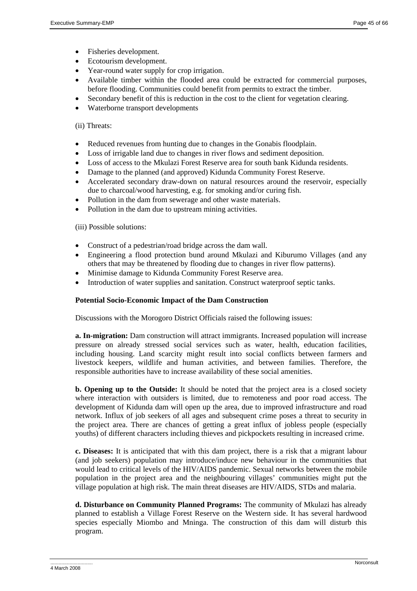- Fisheries development.
- Ecotourism development.
- Year-round water supply for crop irrigation.
- Available timber within the flooded area could be extracted for commercial purposes, before flooding. Communities could benefit from permits to extract the timber.
- Secondary benefit of this is reduction in the cost to the client for vegetation clearing.
- Waterborne transport developments

#### (ii) Threats:

- Reduced revenues from hunting due to changes in the Gonabis floodplain.
- Loss of irrigable land due to changes in river flows and sediment deposition.
- Loss of access to the Mkulazi Forest Reserve area for south bank Kidunda residents.
- Damage to the planned (and approved) Kidunda Community Forest Reserve.
- Accelerated secondary draw-down on natural resources around the reservoir, especially due to charcoal/wood harvesting, e.g. for smoking and/or curing fish.
- Pollution in the dam from sewerage and other waste materials.
- Pollution in the dam due to upstream mining activities.

(iii) Possible solutions:

- Construct of a pedestrian/road bridge across the dam wall.
- Engineering a flood protection bund around Mkulazi and Kiburumo Villages (and any others that may be threatened by flooding due to changes in river flow patterns).
- Minimise damage to Kidunda Community Forest Reserve area.
- Introduction of water supplies and sanitation. Construct waterproof septic tanks.

# **Potential Socio-Economic Impact of the Dam Construction**

Discussions with the Morogoro District Officials raised the following issues:

**a. In-migration:** Dam construction will attract immigrants. Increased population will increase pressure on already stressed social services such as water, health, education facilities, including housing. Land scarcity might result into social conflicts between farmers and livestock keepers, wildlife and human activities, and between families. Therefore, the responsible authorities have to increase availability of these social amenities.

**b. Opening up to the Outside:** It should be noted that the project area is a closed society where interaction with outsiders is limited, due to remoteness and poor road access. The development of Kidunda dam will open up the area, due to improved infrastructure and road network. Influx of job seekers of all ages and subsequent crime poses a threat to security in the project area. There are chances of getting a great influx of jobless people (especially youths) of different characters including thieves and pickpockets resulting in increased crime.

**c. Diseases:** It is anticipated that with this dam project, there is a risk that a migrant labour (and job seekers) population may introduce/induce new behaviour in the communities that would lead to critical levels of the HIV/AIDS pandemic. Sexual networks between the mobile population in the project area and the neighbouring villages' communities might put the village population at high risk. The main threat diseases are HIV/AIDS, STDs and malaria.

**d. Disturbance on Community Planned Programs:** The community of Mkulazi has already planned to establish a Village Forest Reserve on the Western side. It has several hardwood species especially Miombo and Mninga. The construction of this dam will disturb this program.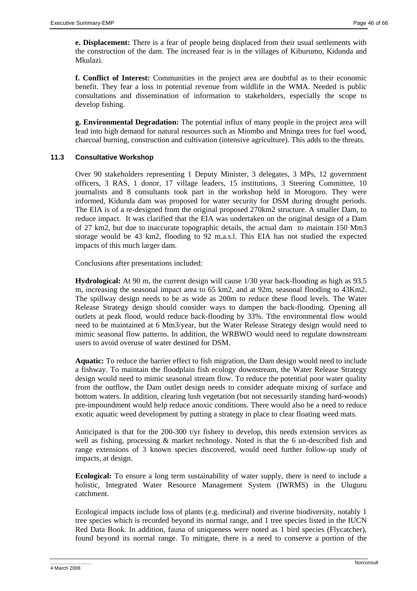**e. Displacement:** There is a fear of people being displaced from their usual settlements with the construction of the dam. The increased fear is in the villages of Kiburumo, Kidunda and Mkulazi.

**f. Conflict of Interest:** Communities in the project area are doubtful as to their economic benefit. They fear a loss in potential revenue from wildlife in the WMA. Needed is public consultations and dissemination of information to stakeholders, especially the scope to develop fishing.

**g. Environmental Degradation:** The potential influx of many people in the project area will lead into high demand for natural resources such as Miombo and Mninga trees for fuel wood, charcoal burning, construction and cultivation (intensive agriculture). This adds to the threats.

# **11.3 Consultative Workshop**

Over 90 stakeholders representing 1 Deputy Minister, 3 delegates, 3 MPs, 12 government officers, 3 RAS, 1 donor, 17 village leaders, 15 institutions, 3 Steering Committee, 10 journalists and 8 consultants took part in the workshop held in Morogoro. They were informed, Kidunda dam was proposed for water security for DSM during drought periods. The EIA is of a re-designed from the original proposed 270km2 structure. A smaller Dam, to reduce impact. It was clarified that the EIA was undertaken on the original design of a Dam of 27 km2, but due to inaccurate topographic details, the actual dam to maintain 150 Mm3 storage would be 43 km2, flooding to 92 m.a.s.l. This EIA has not studied the expected impacts of this much larger dam.

Conclusions after presentations included:

**Hydrological:** At 90 m, the current design will cause 1/30 year back-flooding as high as 93.5 m, increasing the seasonal impact area to 65 km2, and at 92m, seasonal flooding to 43Km2. The spillway design needs to be as wide as 200m to reduce these flood levels. The Water Release Strategy design should consider ways to dampen the back-flooding. Opening all outlets at peak flood, would reduce back-flooding by 33%. Tthe environmental flow would need to be maintained at 6 Mm3/year, but the Water Release Strategy design would need to mimic seasonal flow patterns. In addition, the WRBWO would need to regulate downstream users to avoid overuse of water destined for DSM.

**Aquatic:** To reduce the barrier effect to fish migration, the Dam design would need to include a fishway. To maintain the floodplain fish ecology downstream, the Water Release Strategy design would need to mimic seasonal stream flow. To reduce the potential poor water quality from the outflow, the Dam outlet design needs to consider adequate mixing of surface and bottom waters. In addition, clearing lush vegetation (but not necessarily standing hard-woods) pre-impoundment would help reduce anoxic conditions. There would also be a need to reduce exotic aquatic weed development by putting a strategy in place to clear floating weed mats.

Anticipated is that for the 200-300 t/yr fishery to develop, this needs extension services as well as fishing, processing & market technology. Noted is that the 6 un-described fish and range extensions of 3 known species discovered, would need further follow-up study of impacts, at design.

**Ecological:** To ensure a long term sustainability of water supply, there is need to include a holistic, Integrated Water Resource Management System (IWRMS) in the Uluguru catchment.

Ecological impacts include loss of plants (e.g. medicinal) and riverine biodiversity, notably 1 tree species which is recorded beyond its normal range, and 1 tree species listed in the IUCN Red Data Book. In addition, fauna of uniqueness were noted as 1 bird species (Flycatcher), found beyond its normal range. To mitigate, there is a need to conserve a portion of the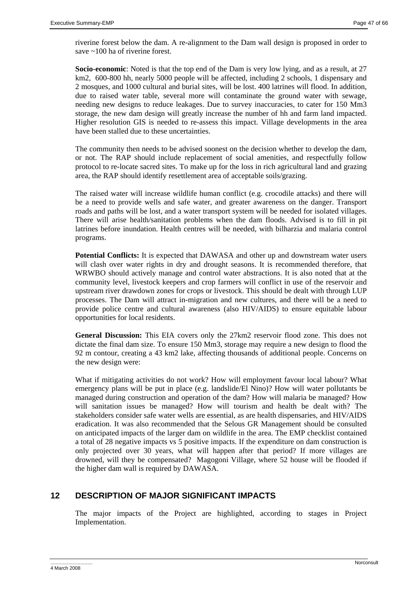riverine forest below the dam. A re-alignment to the Dam wall design is proposed in order to save ~100 ha of riverine forest.

**Socio-economic**: Noted is that the top end of the Dam is very low lying, and as a result, at 27 km2, 600-800 hh, nearly 5000 people will be affected, including 2 schools, 1 dispensary and 2 mosques, and 1000 cultural and burial sites, will be lost. 400 latrines will flood. In addition, due to raised water table, several more will contaminate the ground water with sewage, needing new designs to reduce leakages. Due to survey inaccuracies, to cater for 150 Mm3 storage, the new dam design will greatly increase the number of hh and farm land impacted. Higher resolution GIS is needed to re-assess this impact. Village developments in the area have been stalled due to these uncertainties.

The community then needs to be advised soonest on the decision whether to develop the dam, or not. The RAP should include replacement of social amenities, and respectfully follow protocol to re-locate sacred sites. To make up for the loss in rich agricultural land and grazing area, the RAP should identify resettlement area of acceptable soils/grazing.

The raised water will increase wildlife human conflict (e.g. crocodile attacks) and there will be a need to provide wells and safe water, and greater awareness on the danger. Transport roads and paths will be lost, and a water transport system will be needed for isolated villages. There will arise health/sanitation problems when the dam floods. Advised is to fill in pit latrines before inundation. Health centres will be needed, with bilharzia and malaria control programs.

**Potential Conflicts:** It is expected that DAWASA and other up and downstream water users will clash over water rights in dry and drought seasons. It is recommended therefore, that WRWBO should actively manage and control water abstractions. It is also noted that at the community level, livestock keepers and crop farmers will conflict in use of the reservoir and upstream river drawdown zones for crops or livestock. This should be dealt with through LUP processes. The Dam will attract in-migration and new cultures, and there will be a need to provide police centre and cultural awareness (also HIV/AIDS) to ensure equitable labour opportunities for local residents.

**General Discussion:** This EIA covers only the 27km2 reservoir flood zone. This does not dictate the final dam size. To ensure 150 Mm3, storage may require a new design to flood the 92 m contour, creating a 43 km2 lake, affecting thousands of additional people. Concerns on the new design were:

What if mitigating activities do not work? How will employment favour local labour? What emergency plans will be put in place (e.g. landslide/El Nino)? How will water pollutants be managed during construction and operation of the dam? How will malaria be managed? How will sanitation issues be managed? How will tourism and health be dealt with? The stakeholders consider safe water wells are essential, as are health dispensaries, and HIV/AIDS eradication. It was also recommended that the Selous GR Management should be consulted on anticipated impacts of the larger dam on wildlife in the area. The EMP checklist contained a total of 28 negative impacts vs 5 positive impacts. If the expenditure on dam construction is only projected over 30 years, what will happen after that period? If more villages are drowned, will they be compensated? Magogoni Village, where 52 house will be flooded if the higher dam wall is required by DAWASA.

# **12 DESCRIPTION OF MAJOR SIGNIFICANT IMPACTS**

The major impacts of the Project are highlighted, according to stages in Project Implementation.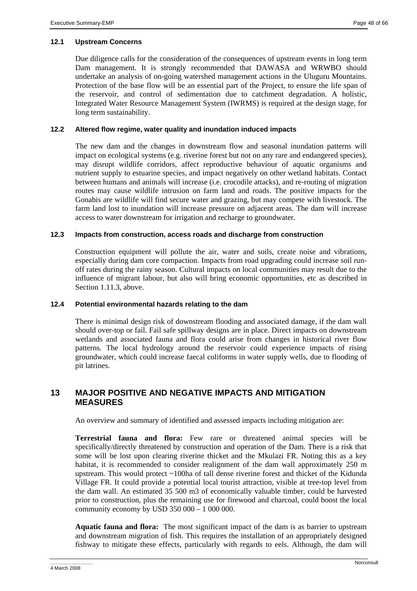# **12.1 Upstream Concerns**

Due diligence calls for the consideration of the consequences of upstream events in long term Dam management. It is strongly recommended that DAWASA and WRWBO should undertake an analysis of on-going watershed management actions in the Uluguru Mountains. Protection of the base flow will be an essential part of the Project, to ensure the life span of the reservoir, and control of sedimentation due to catchment degradation. A holistic, Integrated Water Resource Management System (IWRMS) is required at the design stage, for long term sustainability.

# **12.2 Altered flow regime, water quality and inundation induced impacts**

The new dam and the changes in downstream flow and seasonal inundation patterns will impact on ecological systems (e.g. riverine forest but not on any rare and endangered species), may disrupt wildlife corridors, affect reproductive behaviour of aquatic organisms and nutrient supply to estuarine species, and impact negatively on other wetland habitats. Contact between humans and animals will increase (i.e. crocodile attacks), and re-routing of migration routes may cause wildlife intrusion on farm land and roads. The positive impacts for the Gonabis are wildlife will find secure water and grazing, but may compete with livestock. The farm land lost to inundation will increase pressure on adjacent areas. The dam will increase access to water downstream for irrigation and recharge to groundwater.

# **12.3 Impacts from construction, access roads and discharge from construction**

Construction equipment will pollute the air, water and soils, create noise and vibrations, especially during dam core compaction. Impacts from road upgrading could increase soil runoff rates during the rainy season. Cultural impacts on local communities may result due to the influence of migrant labour, but also will bring economic opportunities, etc as described in Section 1.11.3, above.

# **12.4 Potential environmental hazards relating to the dam**

There is minimal design risk of downstream flooding and associated damage, if the dam wall should over-top or fail. Fail safe spillway designs are in place. Direct impacts on downstream wetlands and associated fauna and flora could arise from changes in historical river flow patterns. The local hydrology around the reservoir could experience impacts of rising groundwater, which could increase faecal coliforms in water supply wells, due to flooding of pit latrines.

# **13 MAJOR POSITIVE AND NEGATIVE IMPACTS AND MITIGATION MEASURES**

An overview and summary of identified and assessed impacts including mitigation are:

**Terrestrial fauna and flora:** Few rare or threatened animal species will be specifically/directly threatened by construction and operation of the Dam. There is a risk that some will be lost upon clearing riverine thicket and the Mkulazi FR. Noting this as a key habitat, it is recommended to consider realignment of the dam wall approximately 250 m upstream. This would protect ~100ha of tall dense riverine forest and thicket of the Kidunda Village FR. It could provide a potential local tourist attraction, visible at tree-top level from the dam wall. An estimated 35 500 m3 of economically valuable timber, could be harvested prior to construction, plus the remaining use for firewood and charcoal, could boost the local community economy by USD  $350\,000 - 1\,000\,000$ .

**Aquatic fauna and flora:** The most significant impact of the dam is as barrier to upstream and downstream migration of fish. This requires the installation of an appropriately designed fishway to mitigate these effects, particularly with regards to eels. Although, the dam will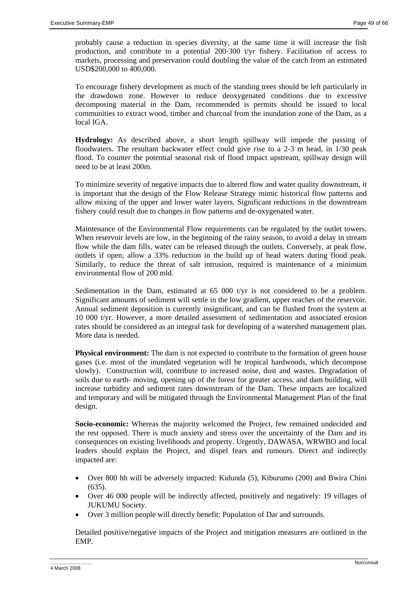probably cause a reduction in species diversity, at the same time it will increase the fish production, and contribute to a potential 200-300 t/yr fishery. Facilitation of access to markets, processing and preservation could doubling the value of the catch from an estimated USD\$200,000 to 400,000.

To encourage fishery development as much of the standing trees should be left particularly in the drawdown zone. However to reduce deoxygenated conditions due to excessive decomposing material in the Dam, recommended is permits should be issued to local communities to extract wood, timber and charcoal from the inundation zone of the Dam, as a local IGA.

**Hydrology:** As described above, a short length spillway will impede the passing of floodwaters. The resultant backwater effect could give rise to a 2-3 m head, in 1/30 peak flood. To counter the potential seasonal risk of flood impact upstream, spillway design will need to be at least 200m.

To minimize severity of negative impacts due to altered flow and water quality downstream, it is important that the design of the Flow Release Strategy mimic historical flow patterns and allow mixing of the upper and lower water layers. Significant reductions in the downstream fishery could result due to changes in flow patterns and de-oxygenated water.

Maintenance of the Environmental Flow requirements can be regulated by the outlet towers. When reservoir levels are low, in the beginning of the rainy season, to avoid a delay in stream flow while the dam fills, water can be released through the outlets. Conversely, at peak flow, outlets if open, allow a 33% reduction in the build up of head waters during flood peak. Similarly, to reduce the threat of salt intrusion, required is maintenance of a minimum environmental flow of 200 mld.

Sedimentation in the Dam, estimated at 65 000 t/yr is not considered to be a problem. Significant amounts of sediment will settle in the low gradient, upper reaches of the reservoir. Annual sediment deposition is currently insignificant, and can be flushed from the system at 10 000 t/yr. However, a more detailed assessment of sedimentation and associated erosion rates should be considered as an integral task for developing of a watershed management plan. More data is needed.

**Physical environment:** The dam is not expected to contribute to the formation of green house gases (i.e. most of the inundated vegetation will be tropical hardwoods, which decompose slowly). Construction will, contribute to increased noise, dust and wastes. Degradation of soils due to earth- moving, opening up of the forest for greater access, and dam building, will increase turbidity and sediment rates downstream of the Dam. These impacts are localized and temporary and will be mitigated through the Environmental Management Plan of the final design.

**Socio-economic:** Whereas the majority welcomed the Project, few remained undecided and the rest opposed. There is much anxiety and stress over the uncertainty of the Dam and its consequences on existing livelihoods and property. Urgently, DAWASA, WRWBO and local leaders should explain the Project, and dispel fears and rumours. Direct and indirectly impacted are:

- Over 800 hh will be adversely impacted: Kidunda (5), Kiburumo (200) and Bwira Chini (635).
- Over 46 000 people will be indirectly affected, positively and negatively: 19 villages of JUKUMU Society.
- Over 3 million people will directly benefit: Population of Dar and surrounds.

Detailed positive/negative impacts of the Project and mitigation measures are outlined in the EMP.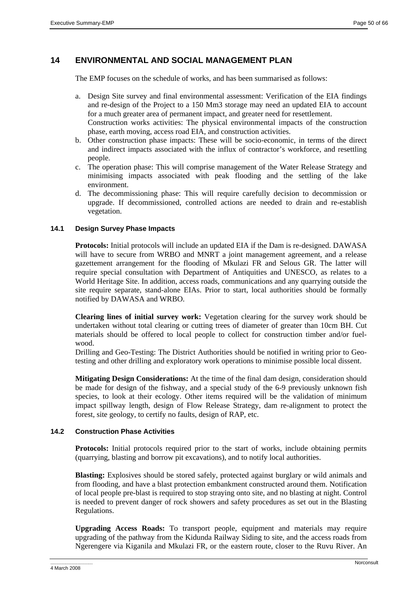# **14 ENVIRONMENTAL AND SOCIAL MANAGEMENT PLAN**

The EMP focuses on the schedule of works, and has been summarised as follows:

- a. Design Site survey and final environmental assessment: Verification of the EIA findings and re-design of the Project to a 150 Mm3 storage may need an updated EIA to account for a much greater area of permanent impact, and greater need for resettlement. Construction works activities: The physical environmental impacts of the construction phase, earth moving, access road EIA, and construction activities.
- b. Other construction phase impacts: These will be socio-economic, in terms of the direct and indirect impacts associated with the influx of contractor's workforce, and resettling people.
- c. The operation phase: This will comprise management of the Water Release Strategy and minimising impacts associated with peak flooding and the settling of the lake environment.
- d. The decommissioning phase: This will require carefully decision to decommission or upgrade. If decommissioned, controlled actions are needed to drain and re-establish vegetation.

#### **14.1 Design Survey Phase Impacts**

**Protocols:** Initial protocols will include an updated EIA if the Dam is re-designed. DAWASA will have to secure from WRBO and MNRT a joint management agreement, and a release gazettement arrangement for the flooding of Mkulazi FR and Selous GR. The latter will require special consultation with Department of Antiquities and UNESCO, as relates to a World Heritage Site. In addition, access roads, communications and any quarrying outside the site require separate, stand-alone EIAs. Prior to start, local authorities should be formally notified by DAWASA and WRBO.

**Clearing lines of initial survey work:** Vegetation clearing for the survey work should be undertaken without total clearing or cutting trees of diameter of greater than 10cm BH. Cut materials should be offered to local people to collect for construction timber and/or fuelwood.

Drilling and Geo-Testing: The District Authorities should be notified in writing prior to Geotesting and other drilling and exploratory work operations to minimise possible local dissent.

**Mitigating Design Considerations:** At the time of the final dam design, consideration should be made for design of the fishway, and a special study of the 6-9 previously unknown fish species, to look at their ecology. Other items required will be the validation of minimum impact spillway length, design of Flow Release Strategy, dam re-alignment to protect the forest, site geology, to certify no faults, design of RAP, etc.

#### **14.2 Construction Phase Activities**

**Protocols:** Initial protocols required prior to the start of works, include obtaining permits (quarrying, blasting and borrow pit excavations), and to notify local authorities.

**Blasting:** Explosives should be stored safely, protected against burglary or wild animals and from flooding, and have a blast protection embankment constructed around them. Notification of local people pre-blast is required to stop straying onto site, and no blasting at night. Control is needed to prevent danger of rock showers and safety procedures as set out in the Blasting Regulations.

**Upgrading Access Roads:** To transport people, equipment and materials may require upgrading of the pathway from the Kidunda Railway Siding to site, and the access roads from Ngerengere via Kiganila and Mkulazi FR, or the eastern route, closer to the Ruvu River. An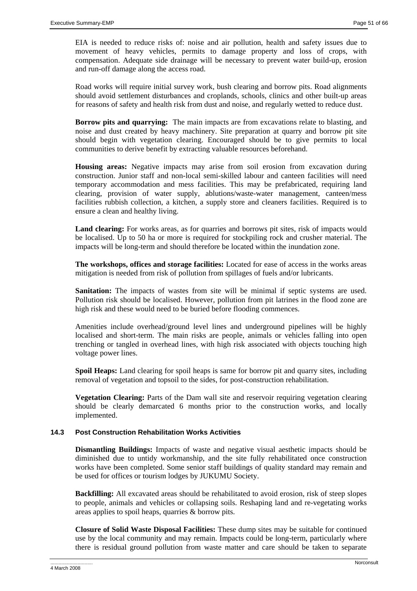EIA is needed to reduce risks of: noise and air pollution, health and safety issues due to movement of heavy vehicles, permits to damage property and loss of crops, with compensation. Adequate side drainage will be necessary to prevent water build-up, erosion and run-off damage along the access road.

Road works will require initial survey work, bush clearing and borrow pits. Road alignments should avoid settlement disturbances and croplands, schools, clinics and other built-up areas for reasons of safety and health risk from dust and noise, and regularly wetted to reduce dust.

**Borrow pits and quarrying:** The main impacts are from excavations relate to blasting, and noise and dust created by heavy machinery. Site preparation at quarry and borrow pit site should begin with vegetation clearing. Encouraged should be to give permits to local communities to derive benefit by extracting valuable resources beforehand.

**Housing areas:** Negative impacts may arise from soil erosion from excavation during construction. Junior staff and non-local semi-skilled labour and canteen facilities will need temporary accommodation and mess facilities. This may be prefabricated, requiring land clearing, provision of water supply, ablutions/waste-water management, canteen/mess facilities rubbish collection, a kitchen, a supply store and cleaners facilities. Required is to ensure a clean and healthy living.

**Land clearing:** For works areas, as for quarries and borrows pit sites, risk of impacts would be localised. Up to 50 ha or more is required for stockpiling rock and crusher material. The impacts will be long-term and should therefore be located within the inundation zone.

**The workshops, offices and storage facilities:** Located for ease of access in the works areas mitigation is needed from risk of pollution from spillages of fuels and/or lubricants.

**Sanitation:** The impacts of wastes from site will be minimal if septic systems are used. Pollution risk should be localised. However, pollution from pit latrines in the flood zone are high risk and these would need to be buried before flooding commences.

Amenities include overhead/ground level lines and underground pipelines will be highly localised and short-term. The main risks are people, animals or vehicles falling into open trenching or tangled in overhead lines, with high risk associated with objects touching high voltage power lines.

**Spoil Heaps:** Land clearing for spoil heaps is same for borrow pit and quarry sites, including removal of vegetation and topsoil to the sides, for post-construction rehabilitation.

**Vegetation Clearing:** Parts of the Dam wall site and reservoir requiring vegetation clearing should be clearly demarcated 6 months prior to the construction works, and locally implemented.

# **14.3 Post Construction Rehabilitation Works Activities**

**Dismantling Buildings:** Impacts of waste and negative visual aesthetic impacts should be diminished due to untidy workmanship, and the site fully rehabilitated once construction works have been completed. Some senior staff buildings of quality standard may remain and be used for offices or tourism lodges by JUKUMU Society.

**Backfilling:** All excavated areas should be rehabilitated to avoid erosion, risk of steep slopes to people, animals and vehicles or collapsing soils. Reshaping land and re-vegetating works areas applies to spoil heaps, quarries & borrow pits.

**Closure of Solid Waste Disposal Facilities:** These dump sites may be suitable for continued use by the local community and may remain. Impacts could be long-term, particularly where there is residual ground pollution from waste matter and care should be taken to separate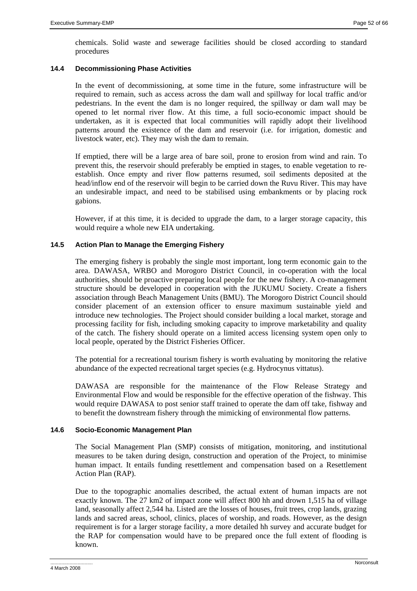chemicals. Solid waste and sewerage facilities should be closed according to standard procedures

# **14.4 Decommissioning Phase Activities**

In the event of decommissioning, at some time in the future, some infrastructure will be required to remain, such as access across the dam wall and spillway for local traffic and/or pedestrians. In the event the dam is no longer required, the spillway or dam wall may be opened to let normal river flow. At this time, a full socio-economic impact should be undertaken, as it is expected that local communities will rapidly adopt their livelihood patterns around the existence of the dam and reservoir (i.e. for irrigation, domestic and livestock water, etc). They may wish the dam to remain.

If emptied, there will be a large area of bare soil, prone to erosion from wind and rain. To prevent this, the reservoir should preferably be emptied in stages, to enable vegetation to reestablish. Once empty and river flow patterns resumed, soil sediments deposited at the head/inflow end of the reservoir will begin to be carried down the Ruvu River. This may have an undesirable impact, and need to be stabilised using embankments or by placing rock gabions.

However, if at this time, it is decided to upgrade the dam, to a larger storage capacity, this would require a whole new EIA undertaking.

#### **14.5 Action Plan to Manage the Emerging Fishery**

The emerging fishery is probably the single most important, long term economic gain to the area. DAWASA, WRBO and Morogoro District Council, in co-operation with the local authorities, should be proactive preparing local people for the new fishery. A co-management structure should be developed in cooperation with the JUKUMU Society. Create a fishers association through Beach Management Units (BMU). The Morogoro District Council should consider placement of an extension officer to ensure maximum sustainable yield and introduce new technologies. The Project should consider building a local market, storage and processing facility for fish, including smoking capacity to improve marketability and quality of the catch. The fishery should operate on a limited access licensing system open only to local people, operated by the District Fisheries Officer.

The potential for a recreational tourism fishery is worth evaluating by monitoring the relative abundance of the expected recreational target species (e.g. Hydrocynus vittatus).

DAWASA are responsible for the maintenance of the Flow Release Strategy and Environmental Flow and would be responsible for the effective operation of the fishway. This would require DAWASA to post senior staff trained to operate the dam off take, fishway and to benefit the downstream fishery through the mimicking of environmental flow patterns.

#### **14.6 Socio-Economic Management Plan**

The Social Management Plan (SMP) consists of mitigation, monitoring, and institutional measures to be taken during design, construction and operation of the Project, to minimise human impact. It entails funding resettlement and compensation based on a Resettlement Action Plan (RAP).

Due to the topographic anomalies described, the actual extent of human impacts are not exactly known. The 27 km2 of impact zone will affect 800 hh and drown 1,515 ha of village land, seasonally affect 2,544 ha. Listed are the losses of houses, fruit trees, crop lands, grazing lands and sacred areas, school, clinics, places of worship, and roads. However, as the design requirement is for a larger storage facility, a more detailed hh survey and accurate budget for the RAP for compensation would have to be prepared once the full extent of flooding is known.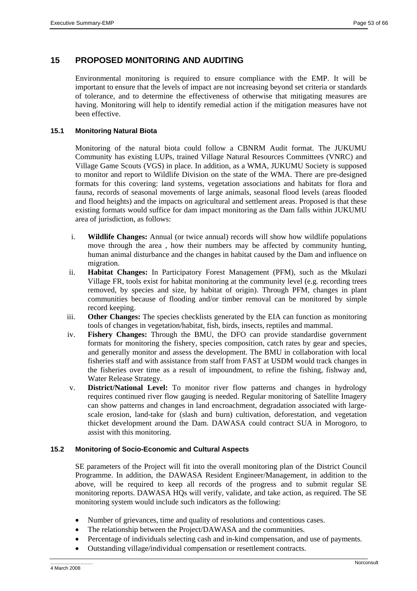# **15 PROPOSED MONITORING AND AUDITING**

Environmental monitoring is required to ensure compliance with the EMP. It will be important to ensure that the levels of impact are not increasing beyond set criteria or standards of tolerance, and to determine the effectiveness of otherwise that mitigating measures are having. Monitoring will help to identify remedial action if the mitigation measures have not been effective.

# **15.1 Monitoring Natural Biota**

Monitoring of the natural biota could follow a CBNRM Audit format. The JUKUMU Community has existing LUPs, trained Village Natural Resources Committees (VNRC) and Village Game Scouts (VGS) in place. In addition, as a WMA, JUKUMU Society is supposed to monitor and report to Wildlife Division on the state of the WMA. There are pre-designed formats for this covering: land systems, vegetation associations and habitats for flora and fauna, records of seasonal movements of large animals, seasonal flood levels (areas flooded and flood heights) and the impacts on agricultural and settlement areas. Proposed is that these existing formats would suffice for dam impact monitoring as the Dam falls within JUKUMU area of jurisdiction, as follows:

- i. **Wildlife Changes:** Annual (or twice annual) records will show how wildlife populations move through the area , how their numbers may be affected by community hunting, human animal disturbance and the changes in habitat caused by the Dam and influence on migration.
- ii. **Habitat Changes:** In Participatory Forest Management (PFM), such as the Mkulazi Village FR, tools exist for habitat monitoring at the community level (e.g. recording trees removed, by species and size, by habitat of origin). Through PFM, changes in plant communities because of flooding and/or timber removal can be monitored by simple record keeping.
- iii. **Other Changes:** The species checklists generated by the EIA can function as monitoring tools of changes in vegetation/habitat, fish, birds, insects, reptiles and mammal.
- iv. **Fishery Changes:** Through the BMU, the DFO can provide standardise government formats for monitoring the fishery, species composition, catch rates by gear and species, and generally monitor and assess the development. The BMU in collaboration with local fisheries staff and with assistance from staff from FAST at USDM would track changes in the fisheries over time as a result of impoundment, to refine the fishing, fishway and, Water Release Strategy.
- v. **District/National Level:** To monitor river flow patterns and changes in hydrology requires continued river flow gauging is needed. Regular monitoring of Satellite Imagery can show patterns and changes in land encroachment, degradation associated with largescale erosion, land-take for (slash and burn) cultivation, deforestation, and vegetation thicket development around the Dam. DAWASA could contract SUA in Morogoro, to assist with this monitoring.

# **15.2 Monitoring of Socio-Economic and Cultural Aspects**

SE parameters of the Project will fit into the overall monitoring plan of the District Council Programme. In addition, the DAWASA Resident Engineer/Management, in addition to the above, will be required to keep all records of the progress and to submit regular SE monitoring reports. DAWASA HQs will verify, validate, and take action, as required. The SE monitoring system would include such indicators as the following:

- Number of grievances, time and quality of resolutions and contentious cases.
- The relationship between the Project/DAWASA and the communities.
- Percentage of individuals selecting cash and in-kind compensation, and use of payments.
- Outstanding village/individual compensation or resettlement contracts.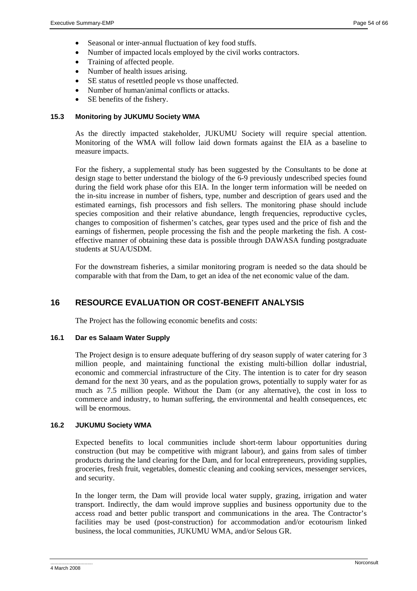- Seasonal or inter-annual fluctuation of key food stuffs.
- Number of impacted locals employed by the civil works contractors.
- Training of affected people.
- Number of health issues arising.
- SE status of resettled people vs those unaffected.
- Number of human/animal conflicts or attacks.
- SE benefits of the fishery.

# **15.3 Monitoring by JUKUMU Society WMA**

As the directly impacted stakeholder, JUKUMU Society will require special attention. Monitoring of the WMA will follow laid down formats against the EIA as a baseline to measure impacts.

For the fishery, a supplemental study has been suggested by the Consultants to be done at design stage to better understand the biology of the 6-9 previously undescribed species found during the field work phase ofor this EIA. In the longer term information will be needed on the in-situ increase in number of fishers, type, number and description of gears used and the estimated earnings, fish processors and fish sellers. The monitoring phase should include species composition and their relative abundance, length frequencies, reproductive cycles, changes to composition of fishermen's catches, gear types used and the price of fish and the earnings of fishermen, people processing the fish and the people marketing the fish. A costeffective manner of obtaining these data is possible through DAWASA funding postgraduate students at SUA/USDM.

For the downstream fisheries, a similar monitoring program is needed so the data should be comparable with that from the Dam, to get an idea of the net economic value of the dam.

# **16 RESOURCE EVALUATION OR COST-BENEFIT ANALYSIS**

The Project has the following economic benefits and costs:

# **16.1 Dar es Salaam Water Supply**

The Project design is to ensure adequate buffering of dry season supply of water catering for 3 million people, and maintaining functional the existing multi-billion dollar industrial, economic and commercial infrastructure of the City. The intention is to cater for dry season demand for the next 30 years, and as the population grows, potentially to supply water for as much as 7.5 million people. Without the Dam (or any alternative), the cost in loss to commerce and industry, to human suffering, the environmental and health consequences, etc will be enormous.

# **16.2 JUKUMU Society WMA**

Expected benefits to local communities include short-term labour opportunities during construction (but may be competitive with migrant labour), and gains from sales of timber products during the land clearing for the Dam, and for local entrepreneurs, providing supplies, groceries, fresh fruit, vegetables, domestic cleaning and cooking services, messenger services, and security.

In the longer term, the Dam will provide local water supply, grazing, irrigation and water transport. Indirectly, the dam would improve supplies and business opportunity due to the access road and better public transport and communications in the area. The Contractor's facilities may be used (post-construction) for accommodation and/or ecotourism linked business, the local communities, JUKUMU WMA, and/or Selous GR.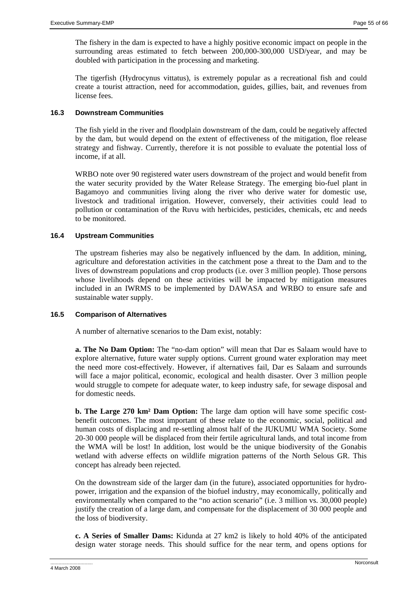The fishery in the dam is expected to have a highly positive economic impact on people in the surrounding areas estimated to fetch between 200,000-300,000 USD/year, and may be doubled with participation in the processing and marketing.

The tigerfish (Hydrocynus vittatus), is extremely popular as a recreational fish and could create a tourist attraction, need for accommodation, guides, gillies, bait, and revenues from license fees.

# **16.3 Downstream Communities**

The fish yield in the river and floodplain downstream of the dam, could be negatively affected by the dam, but would depend on the extent of effectiveness of the mitigation, floe release strategy and fishway. Currently, therefore it is not possible to evaluate the potential loss of income, if at all.

WRBO note over 90 registered water users downstream of the project and would benefit from the water security provided by the Water Release Strategy. The emerging bio-fuel plant in Bagamoyo and communities living along the river who derive water for domestic use, livestock and traditional irrigation. However, conversely, their activities could lead to pollution or contamination of the Ruvu with herbicides, pesticides, chemicals, etc and needs to be monitored.

# **16.4 Upstream Communities**

The upstream fisheries may also be negatively influenced by the dam. In addition, mining, agriculture and deforestation activities in the catchment pose a threat to the Dam and to the lives of downstream populations and crop products (i.e. over 3 million people). Those persons whose livelihoods depend on these activities will be impacted by mitigation measures included in an IWRMS to be implemented by DAWASA and WRBO to ensure safe and sustainable water supply.

# **16.5 Comparison of Alternatives**

A number of alternative scenarios to the Dam exist, notably:

**a. The No Dam Option:** The "no-dam option" will mean that Dar es Salaam would have to explore alternative, future water supply options. Current ground water exploration may meet the need more cost-effectively. However, if alternatives fail, Dar es Salaam and surrounds will face a major political, economic, ecological and health disaster. Over 3 million people would struggle to compete for adequate water, to keep industry safe, for sewage disposal and for domestic needs.

**b. The Large 270 km² Dam Option:** The large dam option will have some specific costbenefit outcomes. The most important of these relate to the economic, social, political and human costs of displacing and re-settling almost half of the JUKUMU WMA Society. Some 20-30 000 people will be displaced from their fertile agricultural lands, and total income from the WMA will be lost! In addition, lost would be the unique biodiversity of the Gonabis wetland with adverse effects on wildlife migration patterns of the North Selous GR. This concept has already been rejected.

On the downstream side of the larger dam (in the future), associated opportunities for hydropower, irrigation and the expansion of the biofuel industry, may economically, politically and environmentally when compared to the "no action scenario" (i.e. 3 million vs. 30,000 people) justify the creation of a large dam, and compensate for the displacement of 30 000 people and the loss of biodiversity.

**c. A Series of Smaller Dams:** Kidunda at 27 km2 is likely to hold 40% of the anticipated design water storage needs. This should suffice for the near term, and opens options for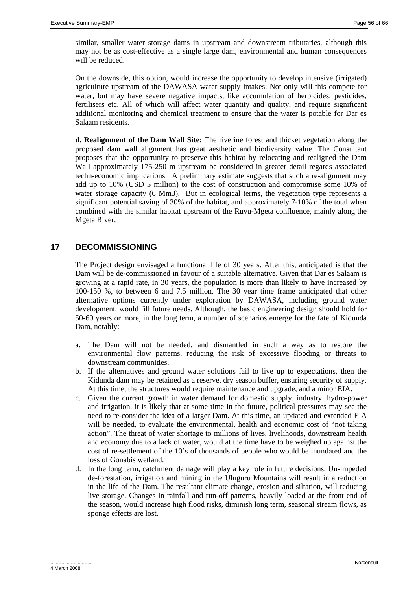similar, smaller water storage dams in upstream and downstream tributaries, although this may not be as cost-effective as a single large dam, environmental and human consequences will be reduced.

On the downside, this option, would increase the opportunity to develop intensive (irrigated) agriculture upstream of the DAWASA water supply intakes. Not only will this compete for water, but may have severe negative impacts, like accumulation of herbicides, pesticides, fertilisers etc. All of which will affect water quantity and quality, and require significant additional monitoring and chemical treatment to ensure that the water is potable for Dar es Salaam residents.

**d. Realignment of the Dam Wall Site:** The riverine forest and thicket vegetation along the proposed dam wall alignment has great aesthetic and biodiversity value. The Consultant proposes that the opportunity to preserve this habitat by relocating and realigned the Dam Wall approximately 175-250 m upstream be considered in greater detail regards associated techn-economic implications. A preliminary estimate suggests that such a re-alignment may add up to 10% (USD 5 million) to the cost of construction and compromise some 10% of water storage capacity (6 Mm3). But in ecological terms, the vegetation type represents a significant potential saving of 30% of the habitat, and approximately 7-10% of the total when combined with the similar habitat upstream of the Ruvu-Mgeta confluence, mainly along the Mgeta River.

# **17 DECOMMISSIONING**

The Project design envisaged a functional life of 30 years. After this, anticipated is that the Dam will be de-commissioned in favour of a suitable alternative. Given that Dar es Salaam is growing at a rapid rate, in 30 years, the population is more than likely to have increased by 100-150 %, to between 6 and 7.5 million. The 30 year time frame anticipated that other alternative options currently under exploration by DAWASA, including ground water development, would fill future needs. Although, the basic engineering design should hold for 50-60 years or more, in the long term, a number of scenarios emerge for the fate of Kidunda Dam, notably:

- a. The Dam will not be needed, and dismantled in such a way as to restore the environmental flow patterns, reducing the risk of excessive flooding or threats to downstream communities.
- b. If the alternatives and ground water solutions fail to live up to expectations, then the Kidunda dam may be retained as a reserve, dry season buffer, ensuring security of supply. At this time, the structures would require maintenance and upgrade, and a minor EIA.
- c. Given the current growth in water demand for domestic supply, industry, hydro-power and irrigation, it is likely that at some time in the future, political pressures may see the need to re-consider the idea of a larger Dam. At this time, an updated and extended EIA will be needed, to evaluate the environmental, health and economic cost of "not taking action". The threat of water shortage to millions of lives, livelihoods, downstream health and economy due to a lack of water, would at the time have to be weighed up against the cost of re-settlement of the 10's of thousands of people who would be inundated and the loss of Gonabis wetland.
- d. In the long term, catchment damage will play a key role in future decisions. Un-impeded de-forestation, irrigation and mining in the Uluguru Mountains will result in a reduction in the life of the Dam. The resultant climate change, erosion and siltation, will reducing live storage. Changes in rainfall and run-off patterns, heavily loaded at the front end of the season, would increase high flood risks, diminish long term, seasonal stream flows, as sponge effects are lost.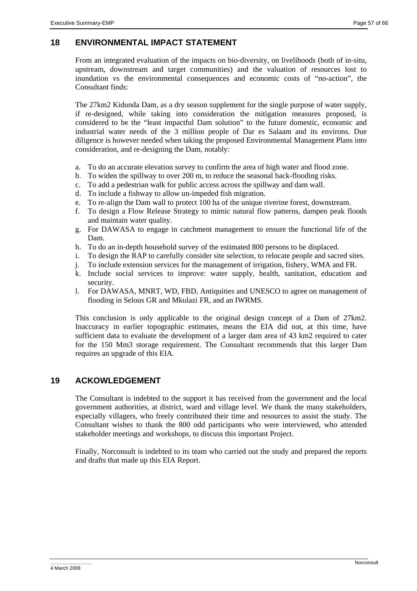# **18 ENVIRONMENTAL IMPACT STATEMENT**

From an integrated evaluation of the impacts on bio-diversity, on livelihoods (both of in-situ, upstream, downstream and target communities) and the valuation of resources lost to inundation vs the environmental consequences and economic costs of "no-action", the Consultant finds:

The 27km2 Kidunda Dam, as a dry season supplement for the single purpose of water supply, if re-designed, while taking into consideration the mitigation measures proposed, is considered to be the "least impactful Dam solution" to the future domestic, economic and industrial water needs of the 3 million people of Dar es Salaam and its environs. Due diligence is however needed when taking the proposed Environmental Management Plans into consideration, and re-designing the Dam, notably:

- a. To do an accurate elevation survey to confirm the area of high water and flood zone.
- b. To widen the spillway to over 200 m, to reduce the seasonal back-flooding risks.
- c. To add a pedestrian walk for public access across the spillway and dam wall.
- d. To include a fishway to allow un-impeded fish migration.
- e. To re-align the Dam wall to protect 100 ha of the unique riverine forest, downstream.
- f. To design a Flow Release Strategy to mimic natural flow patterns, dampen peak floods and maintain water quality.
- g. For DAWASA to engage in catchment management to ensure the functional life of the Dam.
- h. To do an in-depth household survey of the estimated 800 persons to be displaced.
- i. To design the RAP to carefully consider site selection, to relocate people and sacred sites.
- j. To include extension services for the management of irrigation, fishery, WMA and FR.
- k. Include social services to improve: water supply, health, sanitation, education and security.
- l. For DAWASA, MNRT, WD, FBD, Antiquities and UNESCO to agree on management of flooding in Selous GR and Mkulazi FR, and an IWRMS.

This conclusion is only applicable to the original design concept of a Dam of 27km2. Inaccuracy in earlier topographic estimates, means the EIA did not, at this time, have sufficient data to evaluate the development of a larger dam area of 43 km2 required to cater for the 150 Mm3 storage requirement. The Consultant recommends that this larger Dam requires an upgrade of this EIA.

# **19 ACKOWLEDGEMENT**

The Consultant is indebted to the support it has received from the government and the local government authorities, at district, ward and village level. We thank the many stakeholders, especially villagers, who freely contributed their time and resources to assist the study. The Consultant wishes to thank the 800 odd participants who were interviewed, who attended stakeholder meetings and workshops, to discuss this important Project.

Finally, Norconsult is indebted to its team who carried out the study and prepared the reports and drafts that made up this EIA Report.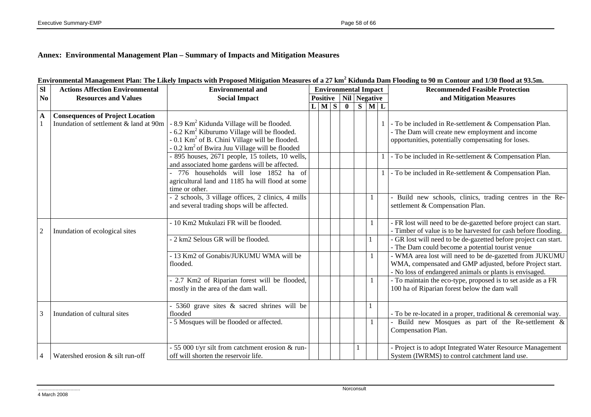# **Annex: Environmental Management Plan – Summary of Impacts and Mitigation Measures**

| SI | <b>Actions Affection Environmental</b>                                            | <b>Environmental and</b>                                                                                                                                                                                                                                                                       | <b>Environmental Impact</b> |       |  |                              |   |       | <b>Recommended Feasible Protection</b>                                                                                                                                                                                    |
|----|-----------------------------------------------------------------------------------|------------------------------------------------------------------------------------------------------------------------------------------------------------------------------------------------------------------------------------------------------------------------------------------------|-----------------------------|-------|--|------------------------------|---|-------|---------------------------------------------------------------------------------------------------------------------------------------------------------------------------------------------------------------------------|
| No | <b>Resources and Values</b>                                                       | <b>Social Impact</b>                                                                                                                                                                                                                                                                           |                             |       |  | <b>Positive</b> Nil Negative |   |       | and Mitigation Measures                                                                                                                                                                                                   |
|    |                                                                                   |                                                                                                                                                                                                                                                                                                |                             | L M S |  | $\mathbf{0}$                 | S | $M$ L |                                                                                                                                                                                                                           |
| A  | <b>Consequences of Project Location</b><br>Inundation of settlement & land at 90m | - 8.9 Km <sup>2</sup> Kidunda Village will be flooded.<br>$-6.2$ Km <sup>2</sup> Kiburumo Village will be flooded.<br>- 0.1 Km <sup>2</sup> of B. Chini Village will be flooded.<br>0.2 km <sup>2</sup> of Bwira Juu Village will be flooded<br>895 houses, 2671 people, 15 toilets, 10 wells, |                             |       |  |                              |   |       | - To be included in Re-settlement & Compensation Plan.<br>- The Dam will create new employment and income<br>opportunities, potentially compensating for loses.<br>- To be included in Re-settlement & Compensation Plan. |
|    |                                                                                   | and associated home gardens will be affected.<br>776 households will lose 1852 ha of<br>agricultural land and 1185 ha will flood at some<br>time or other.                                                                                                                                     |                             |       |  |                              |   |       | - To be included in Re-settlement & Compensation Plan.                                                                                                                                                                    |
|    |                                                                                   | - 2 schools, 3 village offices, 2 clinics, 4 mills<br>and several trading shops will be affected.                                                                                                                                                                                              |                             |       |  |                              |   |       | Build new schools, clinics, trading centres in the Re-<br>settlement & Compensation Plan.                                                                                                                                 |
| 2  | Inundation of ecological sites                                                    | - 10 Km2 Mukulazi FR will be flooded.                                                                                                                                                                                                                                                          |                             |       |  |                              |   |       | - FR lost will need to be de-gazetted before project can start.<br>Timber of value is to be harvested for cash before flooding.                                                                                           |
|    |                                                                                   | - 2 km2 Selous GR will be flooded.                                                                                                                                                                                                                                                             |                             |       |  |                              |   |       | GR lost will need to be de-gazetted before project can start.<br>The Dam could become a potential tourist venue                                                                                                           |
|    |                                                                                   | - 13 Km2 of Gonabis/JUKUMU WMA will be<br>flooded.                                                                                                                                                                                                                                             |                             |       |  |                              |   |       | - WMA area lost will need to be de-gazetted from JUKUMU<br>WMA, compensated and GMP adjusted, before Project start.<br>No loss of endangered animals or plants is envisaged.                                              |
|    |                                                                                   | 2.7 Km2 of Riparian forest will be flooded,<br>mostly in the area of the dam wall.                                                                                                                                                                                                             |                             |       |  |                              |   |       | - To maintain the eco-type, proposed is to set aside as a FR<br>100 ha of Riparian forest below the dam wall                                                                                                              |
| 3  | Inundation of cultural sites                                                      | 5360 grave sites & sacred shrines will be<br>flooded                                                                                                                                                                                                                                           |                             |       |  |                              |   |       | To be re-located in a proper, traditional & ceremonial way.                                                                                                                                                               |
|    |                                                                                   | $-5$ Mosques will be flooded or affected.                                                                                                                                                                                                                                                      |                             |       |  |                              |   |       | Build new Mosques as part of the Re-settlement &<br>Compensation Plan.                                                                                                                                                    |
| 4  | Watershed erosion & silt run-off                                                  | 55 000 t/yr silt from catchment erosion & run-<br>off will shorten the reservoir life.                                                                                                                                                                                                         |                             |       |  |                              |   |       | Project is to adopt Integrated Water Resource Management<br>System (IWRMS) to control catchment land use.                                                                                                                 |

# **Environmental Management Plan: The Likely Impacts with Proposed Mitigation Measures of a 27 km2 Kidunda Dam Flooding to 90 m Contour and 1/30 flood at 93.5m.**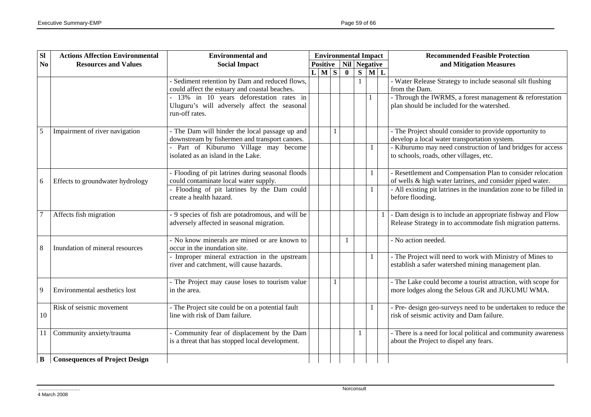| $\overline{sl}$ | <b>Actions Affection Environmental</b> | <b>Environmental and</b>                                                      | <b>Environmental Impact</b> |             |  |              |  |                                  |             | <b>Recommended Feasible Protection</b>                                                                 |
|-----------------|----------------------------------------|-------------------------------------------------------------------------------|-----------------------------|-------------|--|--------------|--|----------------------------------|-------------|--------------------------------------------------------------------------------------------------------|
| N <sub>0</sub>  | <b>Resources and Values</b>            | <b>Social Impact</b>                                                          |                             |             |  |              |  | <b>Positive</b>   Nil   Negative |             | and Mitigation Measures                                                                                |
|                 |                                        |                                                                               |                             | $L$ $M$ $S$ |  | $\mathbf{0}$ |  |                                  | $S$ $M$ $L$ |                                                                                                        |
|                 |                                        | Sediment retention by Dam and reduced flows,                                  |                             |             |  |              |  |                                  |             | - Water Release Strategy to include seasonal silt flushing                                             |
|                 |                                        | could affect the estuary and coastal beaches.                                 |                             |             |  |              |  |                                  |             | from the Dam.                                                                                          |
|                 |                                        | - 13% in 10 years deforestation rates in                                      |                             |             |  |              |  |                                  |             | - Through the IWRMS, a forest management & reforestation                                               |
|                 |                                        | Uluguru's will adversely affect the seasonal                                  |                             |             |  |              |  |                                  |             | plan should be included for the watershed.                                                             |
|                 |                                        | run-off rates.                                                                |                             |             |  |              |  |                                  |             |                                                                                                        |
|                 |                                        |                                                                               |                             |             |  |              |  |                                  |             |                                                                                                        |
| $\overline{5}$  | Impairment of river navigation         | - The Dam will hinder the local passage up and                                |                             |             |  |              |  |                                  |             | - The Project should consider to provide opportunity to                                                |
|                 |                                        | downstream by fishermen and transport canoes.                                 |                             |             |  |              |  |                                  |             | develop a local water transportation system.                                                           |
|                 |                                        | Part of Kiburumo Village may become<br>isolated as an island in the Lake.     |                             |             |  |              |  |                                  |             | - Kiburumo may need construction of land bridges for access<br>to schools, roads, other villages, etc. |
|                 |                                        |                                                                               |                             |             |  |              |  |                                  |             |                                                                                                        |
|                 |                                        | - Flooding of pit latrines during seasonal floods                             |                             |             |  |              |  |                                  |             | - Resettlement and Compensation Plan to consider relocation                                            |
| 6               | Effects to groundwater hydrology       | could contaminate local water supply.                                         |                             |             |  |              |  |                                  |             | of wells & high water latrines, and consider piped water.                                              |
|                 |                                        | - Flooding of pit latrines by the Dam could                                   |                             |             |  |              |  |                                  |             | - All existing pit latrines in the inundation zone to be filled in                                     |
|                 |                                        | create a health hazard.                                                       |                             |             |  |              |  |                                  |             | before flooding.                                                                                       |
|                 |                                        |                                                                               |                             |             |  |              |  |                                  |             |                                                                                                        |
| $\overline{7}$  | Affects fish migration                 | - 9 species of fish are potadromous, and will be                              |                             |             |  |              |  |                                  |             | - Dam design is to include an appropriate fishway and Flow                                             |
|                 |                                        | adversely affected in seasonal migration.                                     |                             |             |  |              |  |                                  |             | Release Strategy in to accommodate fish migration patterns.                                            |
|                 |                                        |                                                                               |                             |             |  |              |  |                                  |             |                                                                                                        |
| 8               | Inundation of mineral resources        | - No know minerals are mined or are known to<br>occur in the inundation site. |                             |             |  |              |  |                                  |             | $\overline{-N}$ o action needed.                                                                       |
|                 |                                        | Improper mineral extraction in the upstream                                   |                             |             |  |              |  |                                  |             | - The Project will need to work with Ministry of Mines to                                              |
|                 |                                        | river and catchment, will cause hazards.                                      |                             |             |  |              |  |                                  |             | establish a safer watershed mining management plan.                                                    |
|                 |                                        |                                                                               |                             |             |  |              |  |                                  |             |                                                                                                        |
|                 |                                        | - The Project may cause loses to tourism value                                |                             |             |  |              |  |                                  |             | - The Lake could become a tourist attraction, with scope for                                           |
| 9               | Environmental aesthetics lost          | in the area.                                                                  |                             |             |  |              |  |                                  |             | more lodges along the Selous GR and JUKUMU WMA.                                                        |
|                 |                                        |                                                                               |                             |             |  |              |  |                                  |             |                                                                                                        |
|                 | Risk of seismic movement               | - The Project site could be on a potential fault                              |                             |             |  |              |  |                                  |             | - Pre- design geo-surveys need to be undertaken to reduce the                                          |
| 10              |                                        | line with risk of Dam failure.                                                |                             |             |  |              |  |                                  |             | risk of seismic activity and Dam failure.                                                              |
|                 |                                        |                                                                               |                             |             |  |              |  |                                  |             |                                                                                                        |
|                 | 11 Community anxiety/trauma            | Community fear of displacement by the Dam                                     |                             |             |  |              |  |                                  |             | - There is a need for local political and community awareness                                          |
|                 |                                        | is a threat that has stopped local development.                               |                             |             |  |              |  |                                  |             | about the Project to dispel any fears.                                                                 |
|                 |                                        |                                                                               |                             |             |  |              |  |                                  |             |                                                                                                        |
| B               | <b>Consequences of Project Design</b>  |                                                                               |                             |             |  |              |  |                                  |             |                                                                                                        |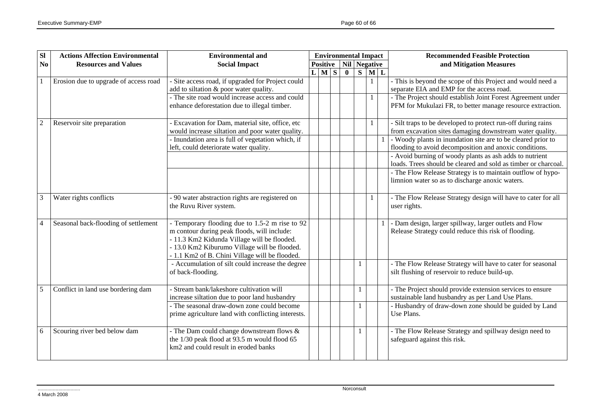| SI             | <b>Actions Affection Environmental</b> | <b>Environmental and</b>                           | <b>Environmental Impact</b> |           |  |                                  |             |  | <b>Recommended Feasible Protection</b>                         |
|----------------|----------------------------------------|----------------------------------------------------|-----------------------------|-----------|--|----------------------------------|-------------|--|----------------------------------------------------------------|
| N <sub>0</sub> | <b>Resources and Values</b>            | <b>Social Impact</b>                               |                             |           |  | <b>Positive</b>   Nil   Negative |             |  | and Mitigation Measures                                        |
|                |                                        |                                                    |                             | $L$ M $S$ |  | $\mathbf{0}$                     | $S$ $M$ $L$ |  |                                                                |
|                | Erosion due to upgrade of access road  | - Site access road, if upgraded for Project could  |                             |           |  |                                  |             |  | - This is beyond the scope of this Project and would need a    |
|                |                                        | add to siltation & poor water quality.             |                             |           |  |                                  |             |  | separate EIA and EMP for the access road.                      |
|                |                                        | - The site road would increase access and could    |                             |           |  |                                  |             |  | - The Project should establish Joint Forest Agreement under    |
|                |                                        | enhance deforestation due to illegal timber.       |                             |           |  |                                  |             |  | PFM for Mukulazi FR, to better manage resource extraction.     |
|                |                                        |                                                    |                             |           |  |                                  |             |  |                                                                |
|                | Reservoir site preparation             | - Excavation for Dam, material site, office, etc   |                             |           |  |                                  |             |  | - Silt traps to be developed to protect run-off during rains   |
|                |                                        | would increase siltation and poor water quality.   |                             |           |  |                                  |             |  | from excavation sites damaging downstream water quality.       |
|                |                                        | - Inundation area is full of vegetation which, if  |                             |           |  |                                  |             |  | - Woody plants in inundation site are to be cleared prior to   |
|                |                                        | left, could deteriorate water quality.             |                             |           |  |                                  |             |  | flooding to avoid decomposition and anoxic conditions.         |
|                |                                        |                                                    |                             |           |  |                                  |             |  | - Avoid burning of woody plants as ash adds to nutrient        |
|                |                                        |                                                    |                             |           |  |                                  |             |  | loads. Trees should be cleared and sold as timber or charcoal. |
|                |                                        |                                                    |                             |           |  |                                  |             |  | - The Flow Release Strategy is to maintain outflow of hypo-    |
|                |                                        |                                                    |                             |           |  |                                  |             |  | limnion water so as to discharge anoxic waters.                |
|                |                                        |                                                    |                             |           |  |                                  |             |  |                                                                |
|                | Water rights conflicts                 | - 90 water abstraction rights are registered on    |                             |           |  |                                  |             |  | - The Flow Release Strategy design will have to cater for all  |
|                |                                        | the Ruvu River system.                             |                             |           |  |                                  |             |  | user rights.                                                   |
| $\overline{4}$ | Seasonal back-flooding of settlement   | - Temporary flooding due to 1.5-2 m rise to 92     |                             |           |  |                                  |             |  | - Dam design, larger spillway, larger outlets and Flow         |
|                |                                        | m contour during peak floods, will include:        |                             |           |  |                                  |             |  | Release Strategy could reduce this risk of flooding.           |
|                |                                        | - 11.3 Km2 Kidunda Village will be flooded.        |                             |           |  |                                  |             |  |                                                                |
|                |                                        | - 13.0 Km2 Kiburumo Village will be flooded.       |                             |           |  |                                  |             |  |                                                                |
|                |                                        | - 1.1 Km2 of B. Chini Village will be flooded.     |                             |           |  |                                  |             |  |                                                                |
|                |                                        | - Accumulation of silt could increase the degree   |                             |           |  |                                  | 1           |  | - The Flow Release Strategy will have to cater for seasonal    |
|                |                                        | of back-flooding.                                  |                             |           |  |                                  |             |  | silt flushing of reservoir to reduce build-up.                 |
|                |                                        |                                                    |                             |           |  |                                  |             |  |                                                                |
| 5              | Conflict in land use bordering dam     | Stream bank/lakeshore cultivation will             |                             |           |  |                                  | 1           |  | - The Project should provide extension services to ensure      |
|                |                                        | increase siltation due to poor land husbandry      |                             |           |  |                                  |             |  | sustainable land husbandry as per Land Use Plans.              |
|                |                                        | - The seasonal draw-down zone could become         |                             |           |  |                                  |             |  | - Husbandry of draw-down zone should be guided by Land         |
|                |                                        | prime agriculture land with conflicting interests. |                             |           |  |                                  |             |  | Use Plans.                                                     |
|                |                                        |                                                    |                             |           |  |                                  |             |  |                                                                |
| 6              | Scouring river bed below dam           | - The Dam could change downstream flows &          |                             |           |  |                                  | 1           |  | - The Flow Release Strategy and spillway design need to        |
|                |                                        | the 1/30 peak flood at 93.5 m would flood 65       |                             |           |  |                                  |             |  | safeguard against this risk.                                   |
|                |                                        | km2 and could result in eroded banks               |                             |           |  |                                  |             |  |                                                                |
|                |                                        |                                                    |                             |           |  |                                  |             |  |                                                                |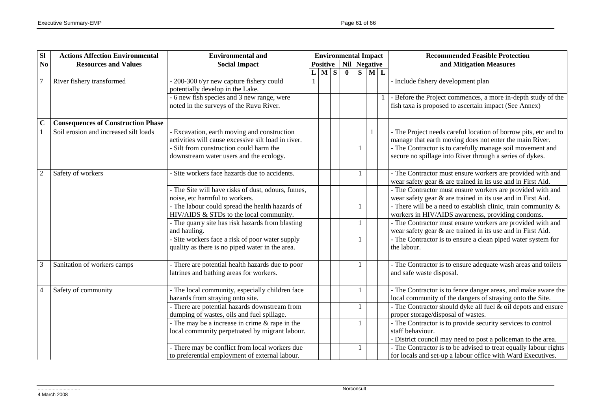| SI             | <b>Actions Affection Environmental</b>    | <b>Environmental and</b>                            | <b>Environmental Impact</b> |                 |  |              |   |    | <b>Recommended Feasible Protection</b>                           |  |
|----------------|-------------------------------------------|-----------------------------------------------------|-----------------------------|-----------------|--|--------------|---|----|------------------------------------------------------------------|--|
| No             | <b>Resources and Values</b>               | <b>Social Impact</b>                                |                             | <b>Positive</b> |  | Nil Negative |   |    | and Mitigation Measures                                          |  |
|                |                                           |                                                     |                             | L M S           |  | $\mathbf{0}$ | S | ML |                                                                  |  |
| $\overline{7}$ | River fishery transformed                 | - 200-300 t/yr new capture fishery could            |                             |                 |  |              |   |    | - Include fishery development plan                               |  |
|                |                                           | potentially develop in the Lake.                    |                             |                 |  |              |   |    |                                                                  |  |
|                |                                           | - 6 new fish species and 3 new range, were          |                             |                 |  |              |   |    | - Before the Project commences, a more in-depth study of the     |  |
|                |                                           | noted in the surveys of the Ruvu River.             |                             |                 |  |              |   |    | fish taxa is proposed to ascertain impact (See Annex)            |  |
|                |                                           |                                                     |                             |                 |  |              |   |    |                                                                  |  |
| $\overline{c}$ | <b>Consequences of Construction Phase</b> |                                                     |                             |                 |  |              |   |    |                                                                  |  |
|                | Soil erosion and increased silt loads     | - Excavation, earth moving and construction         |                             |                 |  |              |   |    | - The Project needs careful location of borrow pits, etc and to  |  |
|                |                                           | activities will cause excessive silt load in river. |                             |                 |  |              |   |    | manage that earth moving does not enter the main River.          |  |
|                |                                           | - Silt from construction could harm the             |                             |                 |  |              |   |    | - The Contractor is to carefully manage soil movement and        |  |
|                |                                           | downstream water users and the ecology.             |                             |                 |  |              |   |    | secure no spillage into River through a series of dykes.         |  |
|                |                                           |                                                     |                             |                 |  |              |   |    |                                                                  |  |
| $\overline{2}$ | Safety of workers                         | Site workers face hazards due to accidents.         |                             |                 |  |              |   |    | - The Contractor must ensure workers are provided with and       |  |
|                |                                           |                                                     |                             |                 |  |              |   |    | wear safety gear & are trained in its use and in First Aid.      |  |
|                |                                           | - The Site will have risks of dust, odours, fumes,  |                             |                 |  |              |   |    | - The Contractor must ensure workers are provided with and       |  |
|                |                                           | noise, etc harmful to workers.                      |                             |                 |  |              |   |    | wear safety gear & are trained in its use and in First Aid.      |  |
|                |                                           | - The labour could spread the health hazards of     |                             |                 |  |              |   |    | - There will be a need to establish clinic, train community $\&$ |  |
|                |                                           | HIV/AIDS & STDs to the local community.             |                             |                 |  |              |   |    | workers in HIV/AIDS awareness, providing condoms.                |  |
|                |                                           | - The quarry site has risk hazards from blasting    |                             |                 |  |              |   |    | - The Contractor must ensure workers are provided with and       |  |
|                |                                           | and hauling.                                        |                             |                 |  |              |   |    | wear safety gear & are trained in its use and in First Aid.      |  |
|                |                                           | - Site workers face a risk of poor water supply     |                             |                 |  |              |   |    | - The Contractor is to ensure a clean piped water system for     |  |
|                |                                           | quality as there is no piped water in the area.     |                             |                 |  |              |   |    | the labour.                                                      |  |
|                |                                           |                                                     |                             |                 |  |              |   |    |                                                                  |  |
|                | Sanitation of workers camps               | - There are potential health hazards due to poor    |                             |                 |  |              |   |    | - The Contractor is to ensure adequate wash areas and toilets    |  |
|                |                                           | latrines and bathing areas for workers.             |                             |                 |  |              |   |    | and safe waste disposal.                                         |  |
|                |                                           |                                                     |                             |                 |  |              |   |    |                                                                  |  |
| $\overline{4}$ | Safety of community                       | - The local community, especially children face     |                             |                 |  |              |   |    | - The Contractor is to fence danger areas, and make aware the    |  |
|                |                                           | hazards from straying onto site.                    |                             |                 |  |              |   |    | local community of the dangers of straying onto the Site.        |  |
|                |                                           | - There are potential hazards downstream from       |                             |                 |  |              |   |    | - The Contractor should dyke all fuel & oil depots and ensure    |  |
|                |                                           | dumping of wastes, oils and fuel spillage.          |                             |                 |  |              |   |    | proper storage/disposal of wastes.                               |  |
|                |                                           | - The may be a increase in crime $&$ rape in the    |                             |                 |  |              |   |    | - The Contractor is to provide security services to control      |  |
|                |                                           | local community perpetuated by migrant labour.      |                             |                 |  |              |   |    | staff behaviour.                                                 |  |
|                |                                           |                                                     |                             |                 |  |              |   |    | - District council may need to post a policeman to the area.     |  |
|                |                                           | - There may be conflict from local workers due      |                             |                 |  |              |   |    | - The Contractor is to be advised to treat equally labour rights |  |
|                |                                           | to preferential employment of external labour.      |                             |                 |  |              |   |    | for locals and set-up a labour office with Ward Executives.      |  |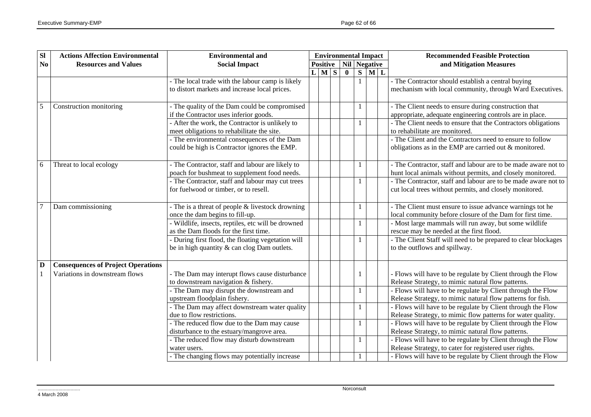| $\overline{sl}$         | <b>Actions Affection Environmental</b>    | <b>Environmental and</b>                                                                  | <b>Environmental Impact</b> |                 |  |              |        |  | <b>Recommended Feasible Protection</b>                                                                     |
|-------------------------|-------------------------------------------|-------------------------------------------------------------------------------------------|-----------------------------|-----------------|--|--------------|--------|--|------------------------------------------------------------------------------------------------------------|
| N <sub>0</sub>          | <b>Resources and Values</b>               | <b>Social Impact</b>                                                                      |                             | <b>Positive</b> |  | Nil Negative |        |  | and Mitigation Measures                                                                                    |
|                         |                                           |                                                                                           |                             | $L$ $M$ $S$     |  | $\mathbf{0}$ | $S$ ML |  |                                                                                                            |
|                         |                                           | - The local trade with the labour camp is likely                                          |                             |                 |  |              |        |  | - The Contractor should establish a central buying                                                         |
|                         |                                           | to distort markets and increase local prices.                                             |                             |                 |  |              |        |  | mechanism with local community, through Ward Executives.                                                   |
|                         |                                           |                                                                                           |                             |                 |  |              |        |  |                                                                                                            |
| 5                       | Construction monitoring                   | - The quality of the Dam could be compromised                                             |                             |                 |  |              |        |  | - The Client needs to ensure during construction that                                                      |
|                         |                                           | if the Contractor uses inferior goods.                                                    |                             |                 |  |              |        |  | appropriate, adequate engineering controls are in place.                                                   |
|                         |                                           | - After the work, the Contractor is unlikely to                                           |                             |                 |  |              |        |  | - The Client needs to ensure that the Contractors obligations                                              |
|                         |                                           | meet obligations to rehabilitate the site.                                                |                             |                 |  |              |        |  | to rehabilitate are monitored.                                                                             |
|                         |                                           | - The environmental consequences of the Dam                                               |                             |                 |  |              |        |  | - The Client and the Contractors need to ensure to follow                                                  |
|                         |                                           | could be high is Contractor ignores the EMP.                                              |                             |                 |  |              |        |  | obligations as in the EMP are carried out & monitored.                                                     |
|                         |                                           |                                                                                           |                             |                 |  |              |        |  |                                                                                                            |
| 6                       | Threat to local ecology                   | - The Contractor, staff and labour are likely to                                          |                             |                 |  |              |        |  | - The Contractor, staff and labour are to be made aware not to                                             |
|                         |                                           | poach for bushmeat to supplement food needs.                                              |                             |                 |  |              |        |  | hunt local animals without permits, and closely monitored.                                                 |
|                         |                                           | - The Contractor, staff and labour may cut trees                                          |                             |                 |  |              |        |  | - The Contractor, staff and labour are to be made aware not to                                             |
|                         |                                           | for fuelwood or timber, or to resell.                                                     |                             |                 |  |              |        |  | cut local trees without permits, and closely monitored.                                                    |
|                         |                                           |                                                                                           |                             |                 |  |              |        |  |                                                                                                            |
| $\overline{7}$          | Dam commissioning                         | - The is a threat of people $&$ livestock drowning                                        |                             |                 |  |              |        |  | - The Client must ensure to issue advance warnings tot he                                                  |
|                         |                                           | once the dam begins to fill-up.                                                           |                             |                 |  |              |        |  | local community before closure of the Dam for first time.                                                  |
|                         |                                           | Wildlife, insects, reptiles, etc will be drowned                                          |                             |                 |  |              |        |  | - Most large mammals will run away, but some wildlife                                                      |
|                         |                                           | as the Dam floods for the first time.<br>During first flood, the floating vegetation will |                             |                 |  |              |        |  | rescue may be needed at the first flood.<br>- The Client Staff will need to be prepared to clear blockages |
|                         |                                           | be in high quantity & can clog Dam outlets.                                               |                             |                 |  |              |        |  | to the outflows and spillway.                                                                              |
|                         |                                           |                                                                                           |                             |                 |  |              |        |  |                                                                                                            |
| $\overline{\mathbf{D}}$ | <b>Consequences of Project Operations</b> |                                                                                           |                             |                 |  |              |        |  |                                                                                                            |
|                         | Variations in downstream flows            | - The Dam may interupt flows cause disturbance                                            |                             |                 |  |              |        |  | - Flows will have to be regulate by Client through the Flow                                                |
|                         |                                           | to downstream navigation & fishery.                                                       |                             |                 |  |              |        |  | Release Strategy, to mimic natural flow patterns.                                                          |
|                         |                                           | - The Dam may disrupt the downstream and                                                  |                             |                 |  |              |        |  | - Flows will have to be regulate by Client through the Flow                                                |
|                         |                                           | upstream floodplain fishery.                                                              |                             |                 |  |              |        |  | Release Strategy, to mimic natural flow patterns for fish.                                                 |
|                         |                                           | - The Dam may affect downstream water quality                                             |                             |                 |  |              |        |  | - Flows will have to be regulate by Client through the Flow                                                |
|                         |                                           | due to flow restrictions.                                                                 |                             |                 |  |              |        |  | Release Strategy, to mimic flow patterns for water quality.                                                |
|                         |                                           | - The reduced flow due to the Dam may cause                                               |                             |                 |  |              | 1      |  | - Flows will have to be regulate by Client through the Flow                                                |
|                         |                                           | disturbance to the estuary/mangrove area.                                                 |                             |                 |  |              |        |  | Release Strategy, to mimic natural flow patterns.                                                          |
|                         |                                           | - The reduced flow may disturb downstream                                                 |                             |                 |  |              | 1      |  | - Flows will have to be regulate by Client through the Flow                                                |
|                         |                                           | water users.                                                                              |                             |                 |  |              |        |  | Release Strategy, to cater for registered user rights.                                                     |
|                         |                                           | - The changing flows may potentially increase                                             |                             |                 |  |              |        |  | - Flows will have to be regulate by Client through the Flow                                                |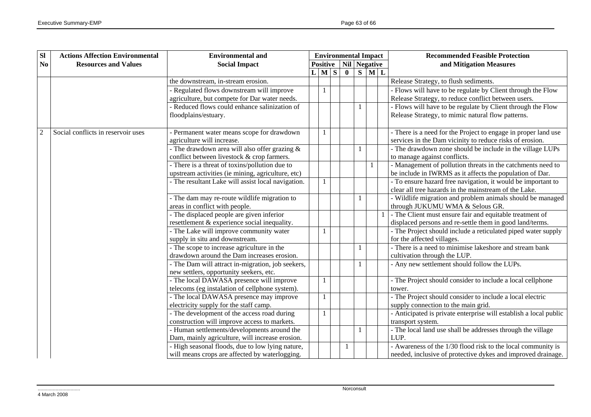| SI             | <b>Actions Affection Environmental</b> | <b>Environmental and</b>                                                                  | <b>Environmental Impact</b> |  | <b>Recommended Feasible Protection</b> |   |                           |                                                                                                                      |
|----------------|----------------------------------------|-------------------------------------------------------------------------------------------|-----------------------------|--|----------------------------------------|---|---------------------------|----------------------------------------------------------------------------------------------------------------------|
| N <sub>0</sub> | <b>Resources and Values</b>            | <b>Social Impact</b>                                                                      |                             |  | <b>Positive</b>   Nil   Negative       |   |                           | and Mitigation Measures                                                                                              |
|                |                                        |                                                                                           | $L$ M $S$                   |  | $\mathbf{0}$                           | S | $\mathbf{M}$ $\mathbf{L}$ |                                                                                                                      |
|                |                                        | the downstream, in-stream erosion.                                                        |                             |  |                                        |   |                           | Release Strategy, to flush sediments.                                                                                |
|                |                                        | - Regulated flows downstream will improve                                                 | $\mathbf{1}$                |  |                                        |   |                           | - Flows will have to be regulate by Client through the Flow                                                          |
|                |                                        | agriculture, but compete for Dar water needs.                                             |                             |  |                                        |   |                           | Release Strategy, to reduce conflict between users.                                                                  |
|                |                                        | - Reduced flows could enhance salinization of                                             |                             |  |                                        | 1 |                           | - Flows will have to be regulate by Client through the Flow                                                          |
|                |                                        | floodplains/estuary.                                                                      |                             |  |                                        |   |                           | Release Strategy, to mimic natural flow patterns.                                                                    |
|                |                                        |                                                                                           |                             |  |                                        |   |                           |                                                                                                                      |
| $\overline{2}$ | Social conflicts in reservoir uses     | - Permanent water means scope for drawdown                                                | 1                           |  |                                        |   |                           | - There is a need for the Project to engage in proper land use                                                       |
|                |                                        | agriculture will increase.                                                                |                             |  |                                        |   |                           | services in the Dam vicinity to reduce risks of erosion.                                                             |
|                |                                        | - The drawdown area will also offer grazing $\&$                                          |                             |  |                                        | 1 |                           | - The drawdown zone should be include in the village LUPs                                                            |
|                |                                        | conflict between livestock & crop farmers.                                                |                             |  |                                        |   |                           | to manage against conflicts.                                                                                         |
|                |                                        | - There is a threat of toxins/pollution due to                                            |                             |  |                                        |   |                           | - Management of pollution threats in the catchments need to                                                          |
|                |                                        | upstream activities (ie mining, agriculture, etc)                                         |                             |  |                                        |   |                           | be include in IWRMS as it affects the population of Dar.                                                             |
|                |                                        | - The resultant Lake will assist local navigation.                                        | $\mathbf{1}$                |  |                                        |   |                           | - To ensure hazard free navigation, it would be important to                                                         |
|                |                                        |                                                                                           |                             |  |                                        |   |                           | clear all tree hazards in the mainstream of the Lake.                                                                |
|                |                                        | - The dam may re-route wildlife migration to                                              |                             |  |                                        | 1 |                           | - Wildlife migration and problem animals should be managed                                                           |
|                |                                        | areas in conflict with people.                                                            |                             |  |                                        |   |                           | through JUKUMU WMA & Selous GR.                                                                                      |
|                |                                        | - The displaced people are given inferior<br>resettlement & experience social inequality. |                             |  |                                        |   |                           | - The Client must ensure fair and equitable treatment of<br>displaced persons and re-settle them in good land/terms. |
|                |                                        | - The Lake will improve community water                                                   | 1                           |  |                                        |   |                           | - The Project should include a reticulated piped water supply                                                        |
|                |                                        | supply in situ and downstream.                                                            |                             |  |                                        |   |                           | for the affected villages.                                                                                           |
|                |                                        | - The scope to increase agriculture in the                                                |                             |  |                                        | 1 |                           | - There is a need to minimise lakeshore and stream bank                                                              |
|                |                                        | drawdown around the Dam increases erosion.                                                |                             |  |                                        |   |                           | cultivation through the LUP.                                                                                         |
|                |                                        | - The Dam will attract in-migration, job seekers,                                         |                             |  |                                        |   |                           | - Any new settlement should follow the LUPs.                                                                         |
|                |                                        | new settlers, opportunity seekers, etc.                                                   |                             |  |                                        |   |                           |                                                                                                                      |
|                |                                        | - The local DAWASA presence will improve                                                  | 1                           |  |                                        |   |                           | - The Project should consider to include a local cellphone                                                           |
|                |                                        | telecoms (eg instalation of cellphone system).                                            |                             |  |                                        |   |                           | tower.                                                                                                               |
|                |                                        | - The local DAWASA presence may improve                                                   | $\mathbf{1}$                |  |                                        |   |                           | - The Project should consider to include a local electric                                                            |
|                |                                        | electricity supply for the staff camp.                                                    |                             |  |                                        |   |                           | supply connection to the main grid.                                                                                  |
|                |                                        | - The development of the access road during                                               | 1                           |  |                                        |   |                           | - Anticipated is private enterprise will establish a local public                                                    |
|                |                                        | construction will improve access to markets.                                              |                             |  |                                        |   |                           | transport system.                                                                                                    |
|                |                                        | - Human settlements/developments around the                                               |                             |  |                                        | 1 |                           | - The local land use shall be addresses through the village                                                          |
|                |                                        | Dam, mainly agriculture, will increase erosion.                                           |                             |  |                                        |   |                           | LUP.                                                                                                                 |
|                |                                        | - High seasonal floods, due to low lying nature,                                          |                             |  |                                        |   |                           | - Awareness of the 1/30 flood risk to the local community is                                                         |
|                |                                        | will means crops are affected by waterlogging.                                            |                             |  |                                        |   |                           | needed, inclusive of protective dykes and improved drainage.                                                         |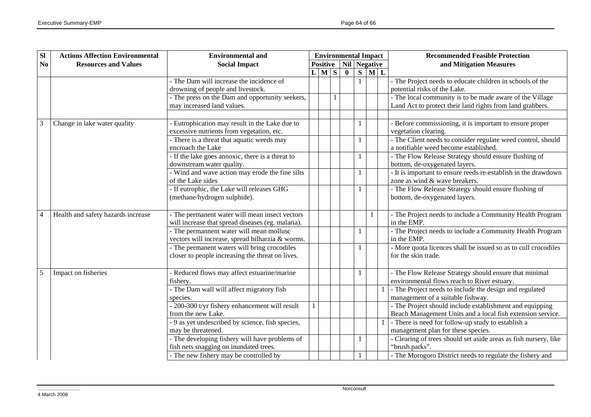| SI             | <b>Actions Affection Environmental</b> | <b>Environmental and</b>                              | <b>Environmental Impact</b> |  |                                  |                         |              | <b>Recommended Feasible Protection</b>                                                                |  |  |
|----------------|----------------------------------------|-------------------------------------------------------|-----------------------------|--|----------------------------------|-------------------------|--------------|-------------------------------------------------------------------------------------------------------|--|--|
| N <sub>0</sub> | <b>Resources and Values</b>            | <b>Social Impact</b>                                  |                             |  | <b>Positive</b>   Nil   Negative |                         |              | and Mitigation Measures                                                                               |  |  |
|                |                                        |                                                       | L M S                       |  | $\bf{0}$                         | $\overline{\mathbf{s}}$ | ML           |                                                                                                       |  |  |
|                |                                        | - The Dam will increase the incidence of              |                             |  |                                  | 1                       |              | - The Project needs to educate children in schools of the                                             |  |  |
|                |                                        | drowning of people and livestock.                     |                             |  |                                  |                         |              | potential risks of the Lake.                                                                          |  |  |
|                |                                        | - The press on the Dam and opportunity seekers,       |                             |  |                                  |                         |              | - The local community is to be made aware of the Village                                              |  |  |
|                |                                        | may increased land values.                            |                             |  |                                  |                         |              | Land Act to protect their land rights from land grabbers.                                             |  |  |
|                |                                        |                                                       |                             |  |                                  |                         |              |                                                                                                       |  |  |
| 3              | Change in lake water quality           | Eutrophication may result in the Lake due to          |                             |  |                                  | 1                       |              | Before commissioning, it is important to ensure proper                                                |  |  |
|                |                                        | excessive nutrients from vegetation, etc.             |                             |  |                                  |                         |              | vegetation clearing.                                                                                  |  |  |
|                |                                        | - There is a threat that aquatic weeds may            |                             |  |                                  | 1                       |              | - The Client needs to consider regulate weed control, should                                          |  |  |
|                |                                        | encroach the Lake                                     |                             |  |                                  |                         |              | a notifiable weed become established.                                                                 |  |  |
|                |                                        | - If the lake goes annoxic, there is a threat to      |                             |  |                                  | $\mathbf{1}$            |              | - The Flow Release Strategy should ensure flushing of                                                 |  |  |
|                |                                        | downstream water quality.                             |                             |  |                                  |                         |              | bottom, de-oxygenated layers.                                                                         |  |  |
|                |                                        | Wind and wave action may erode the fine silts         |                             |  |                                  | 1                       |              | - It is important to ensure reeds re-establish in the drawdown                                        |  |  |
|                |                                        | of the Lake sides                                     |                             |  |                                  |                         |              | zone as wind & wave breakers.                                                                         |  |  |
|                |                                        | - If eutrophic, the Lake will releases GHG            |                             |  |                                  | 1                       |              | - The Flow Release Strategy should ensure flushing of                                                 |  |  |
|                |                                        | (methane/hydrogen sulphide).                          |                             |  |                                  |                         |              | bottom, de-oxygenated layers.                                                                         |  |  |
|                |                                        |                                                       |                             |  |                                  |                         |              |                                                                                                       |  |  |
| $\overline{4}$ | Health and safety hazards increase     | - The permanent water will mean insect vectors        |                             |  |                                  |                         |              | - The Project needs to include a Community Health Program                                             |  |  |
|                |                                        | will increase that spread diseases (eg. malaria).     |                             |  |                                  |                         |              | in the EMP.                                                                                           |  |  |
|                |                                        | - The permannent water will mean mollusc              |                             |  |                                  | 1                       |              | - The Project needs to include a Community Health Program                                             |  |  |
|                |                                        | vectors will increase, spread bilharzia & worms.      |                             |  |                                  |                         |              | in the EMP.                                                                                           |  |  |
|                |                                        | - The permanent waters will bring crocodiles          |                             |  |                                  | 1                       |              | - More quota licences shall be issued so as to cull crocodiles<br>for the skin trade.                 |  |  |
|                |                                        | closer to people increasing the threat on lives.      |                             |  |                                  |                         |              |                                                                                                       |  |  |
| 5              |                                        |                                                       |                             |  |                                  |                         |              |                                                                                                       |  |  |
|                | Impact on fisheries                    | Reduced flows may affect estuarine/marine<br>fishery. |                             |  |                                  | $\mathbf{1}$            |              | - The Flow Release Strategy should ensure that minimal<br>environmental flows reach to River estuary. |  |  |
|                |                                        | - The Dam wall will affect migratory fish             |                             |  |                                  |                         | $\mathbf{1}$ | - The Project needs to include the design and regulated                                               |  |  |
|                |                                        | species.                                              |                             |  |                                  |                         |              | management of a suitable fishway.                                                                     |  |  |
|                |                                        | - 200-300 t/yr fishery enhancement will result        |                             |  |                                  |                         |              | - The Project should include establishment and equipping                                              |  |  |
|                |                                        | from the new Lake.                                    |                             |  |                                  |                         |              | Beach Management Units and a local fish extension service.                                            |  |  |
|                |                                        | - 9 as yet undescribed by science, fish species,      |                             |  |                                  |                         |              | - There is need for follow-up study to establish a                                                    |  |  |
|                |                                        | may be threatened.                                    |                             |  |                                  |                         |              | management plan for these species.                                                                    |  |  |
|                |                                        | - The developing fishery will have problems of        |                             |  |                                  | 1                       |              | Clearing of trees should set aside areas as fish nursery, like                                        |  |  |
|                |                                        | fish nets snagging on inundated trees.                |                             |  |                                  |                         |              | "brush parks".                                                                                        |  |  |
|                |                                        | - The new fishery may be controlled by                |                             |  |                                  | 1                       |              | - The Morogoro District needs to regulate the fishery and                                             |  |  |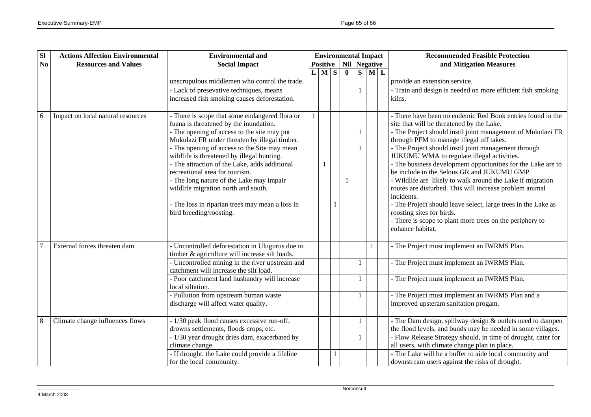| SI             | <b>Actions Affection Environmental</b> | <b>Environmental and</b>                                                                                                                                                                                                                                                                                                                                                                                                                                                                                                                   | <b>Environmental Impact</b> |                 |  |              |              |                                                         | <b>Recommended Feasible Protection</b>                                                                                                                                                                                                                                                                                                                                                                                                                                                                                                                                                                                                                                                                                                                       |  |
|----------------|----------------------------------------|--------------------------------------------------------------------------------------------------------------------------------------------------------------------------------------------------------------------------------------------------------------------------------------------------------------------------------------------------------------------------------------------------------------------------------------------------------------------------------------------------------------------------------------------|-----------------------------|-----------------|--|--------------|--------------|---------------------------------------------------------|--------------------------------------------------------------------------------------------------------------------------------------------------------------------------------------------------------------------------------------------------------------------------------------------------------------------------------------------------------------------------------------------------------------------------------------------------------------------------------------------------------------------------------------------------------------------------------------------------------------------------------------------------------------------------------------------------------------------------------------------------------------|--|
| N <sub>0</sub> | <b>Resources and Values</b>            | <b>Social Impact</b>                                                                                                                                                                                                                                                                                                                                                                                                                                                                                                                       |                             | <b>Positive</b> |  | Nil Negative |              |                                                         | and Mitigation Measures                                                                                                                                                                                                                                                                                                                                                                                                                                                                                                                                                                                                                                                                                                                                      |  |
|                |                                        |                                                                                                                                                                                                                                                                                                                                                                                                                                                                                                                                            |                             | $L$ M $S$       |  | $\mathbf{0}$ |              | $\overline{\mathbf{S} \mid \mathbf{M} \mid \mathbf{L}}$ |                                                                                                                                                                                                                                                                                                                                                                                                                                                                                                                                                                                                                                                                                                                                                              |  |
|                |                                        | unscrupulous middlemen who control the trade.                                                                                                                                                                                                                                                                                                                                                                                                                                                                                              |                             |                 |  |              |              |                                                         | provide an extension service.                                                                                                                                                                                                                                                                                                                                                                                                                                                                                                                                                                                                                                                                                                                                |  |
|                |                                        | - Lack of presevative techniques, means<br>increased fish smoking causes deforestation.                                                                                                                                                                                                                                                                                                                                                                                                                                                    |                             |                 |  |              | -1           |                                                         | - Train and design is needed on more efficient fish smoking<br>kilns.                                                                                                                                                                                                                                                                                                                                                                                                                                                                                                                                                                                                                                                                                        |  |
| 6              | Impact on local natural resources      | - There is scope that some endangered flora or<br>fuana is threatened by the inundation.<br>- The opening of access to the site may put<br>Mukulazi FR under threaten by illegal timber.<br>- The opening of access to the Site may mean<br>wildlife is threatened by illegal hunting.<br>- The attraction of the Lake, adds additional<br>recreational area for tourism.<br>- The long nature of the Lake may impair<br>wildlife migration north and south.<br>- The loss in riparian trees may mean a loss in<br>bird breeding/roosting. |                             |                 |  |              |              |                                                         | - There have been no endemic Red Book entries found in the<br>site that will be threatened by the Lake.<br>- The Project should instil joint management of Mukulazi FR<br>through PFM to manage illegal off takes.<br>- The Project should instil joint management through<br>JUKUMU WMA to regulate illegal activities.<br>- The business development opportunities for the Lake are to<br>be include in the Selous GR and JUKUMU GMP.<br>- Wildlife are likely to walk around the Lake if migration<br>routes are disturbed. This will increase problem animal<br>incidents.<br>- The Project should leave select, large trees in the Lake as<br>roosting sites for birds.<br>- There is scope to plant more trees on the periphery to<br>enhance habitat. |  |
|                | External forces threaten dam           | - Uncontrolled deforestation in Ulugurus due to<br>timber & agriculture will increase silt loads.                                                                                                                                                                                                                                                                                                                                                                                                                                          |                             |                 |  |              |              |                                                         | - The Project must implement an IWRMS Plan.                                                                                                                                                                                                                                                                                                                                                                                                                                                                                                                                                                                                                                                                                                                  |  |
|                |                                        | - Uncontrolled mining in the river upstream and<br>catchment will increase the silt load.                                                                                                                                                                                                                                                                                                                                                                                                                                                  |                             |                 |  |              |              |                                                         | - The Project must implement an IWRMS Plan.                                                                                                                                                                                                                                                                                                                                                                                                                                                                                                                                                                                                                                                                                                                  |  |
|                |                                        | - Poor catchment land husbandry will increase<br>local siltation.                                                                                                                                                                                                                                                                                                                                                                                                                                                                          |                             |                 |  |              | -1           |                                                         | - The Project must implement an IWRMS Plan.                                                                                                                                                                                                                                                                                                                                                                                                                                                                                                                                                                                                                                                                                                                  |  |
|                |                                        | - Pollution from upstream human waste<br>discharge will affect water quality.                                                                                                                                                                                                                                                                                                                                                                                                                                                              |                             |                 |  |              | -1           |                                                         | - The Project must implement an IWRMS Plan and a<br>improved upsteram sanitation progam.                                                                                                                                                                                                                                                                                                                                                                                                                                                                                                                                                                                                                                                                     |  |
| 8              | Climate change influences flows        | - 1/30 peak flood causes excessive run-off,<br>drowns settlements, floods crops, etc.<br>- 1/30 year drought dries dam, exacerbated by                                                                                                                                                                                                                                                                                                                                                                                                     |                             |                 |  |              | $\mathbf{1}$ |                                                         | - The Dam design, spillway design & outlets need to dampen<br>the flood levels, and bunds may be needed in some villages.<br>- Flow Release Strategy should, in time of drought, cater for                                                                                                                                                                                                                                                                                                                                                                                                                                                                                                                                                                   |  |
|                |                                        | climate change.                                                                                                                                                                                                                                                                                                                                                                                                                                                                                                                            |                             |                 |  |              |              |                                                         | all users, with climate change plan in place.                                                                                                                                                                                                                                                                                                                                                                                                                                                                                                                                                                                                                                                                                                                |  |
|                |                                        | - If drought, the Lake could provide a lifeline<br>for the local community.                                                                                                                                                                                                                                                                                                                                                                                                                                                                |                             |                 |  |              |              |                                                         | - The Lake will be a buffer to aide local community and<br>downstream users against the risks of drought.                                                                                                                                                                                                                                                                                                                                                                                                                                                                                                                                                                                                                                                    |  |

4 March 2008